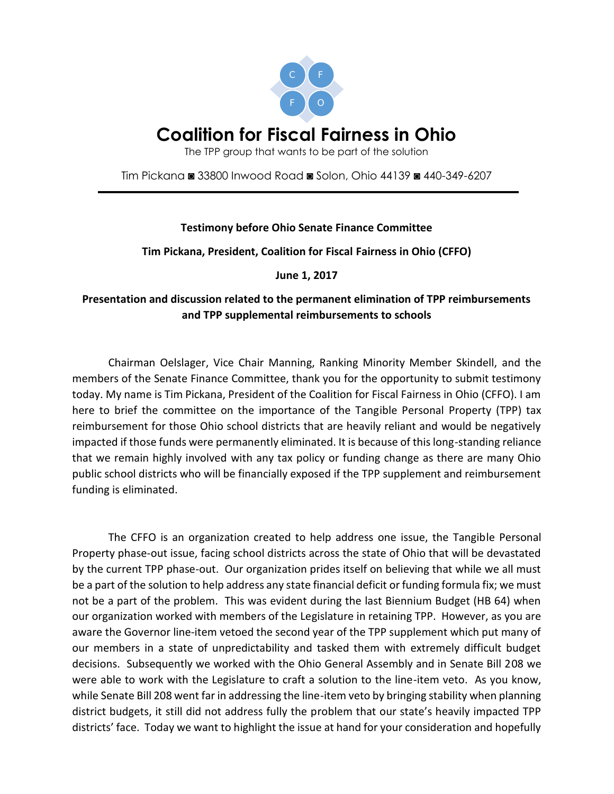

# **Coalition for Fiscal Fairness in Ohio**

The TPP group that wants to be part of the solution

Tim Pickana ◙ 33800 Inwood Road ◙ Solon, Ohio 44139 ◙ 440-349-6207

## **Testimony before Ohio Senate Finance Committee**

### **Tim Pickana, President, Coalition for Fiscal Fairness in Ohio (CFFO)**

**June 1, 2017**

## **Presentation and discussion related to the permanent elimination of TPP reimbursements and TPP supplemental reimbursements to schools**

Chairman Oelslager, Vice Chair Manning, Ranking Minority Member Skindell, and the members of the Senate Finance Committee, thank you for the opportunity to submit testimony today. My name is Tim Pickana, President of the Coalition for Fiscal Fairness in Ohio (CFFO). I am here to brief the committee on the importance of the Tangible Personal Property (TPP) tax reimbursement for those Ohio school districts that are heavily reliant and would be negatively impacted if those funds were permanently eliminated. It is because of this long-standing reliance that we remain highly involved with any tax policy or funding change as there are many Ohio public school districts who will be financially exposed if the TPP supplement and reimbursement funding is eliminated.

The CFFO is an organization created to help address one issue, the Tangible Personal Property phase-out issue, facing school districts across the state of Ohio that will be devastated by the current TPP phase-out. Our organization prides itself on believing that while we all must be a part of the solution to help address any state financial deficit or funding formula fix; we must not be a part of the problem. This was evident during the last Biennium Budget (HB 64) when our organization worked with members of the Legislature in retaining TPP. However, as you are aware the Governor line-item vetoed the second year of the TPP supplement which put many of our members in a state of unpredictability and tasked them with extremely difficult budget decisions. Subsequently we worked with the Ohio General Assembly and in Senate Bill 208 we were able to work with the Legislature to craft a solution to the line-item veto. As you know, while Senate Bill 208 went far in addressing the line-item veto by bringing stability when planning district budgets, it still did not address fully the problem that our state's heavily impacted TPP districts' face. Today we want to highlight the issue at hand for your consideration and hopefully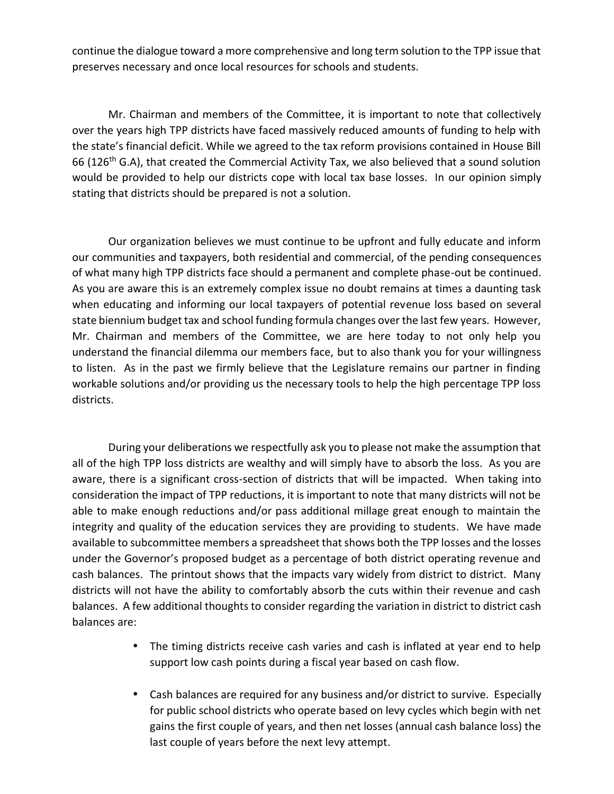continue the dialogue toward a more comprehensive and long term solution to the TPP issue that preserves necessary and once local resources for schools and students.

Mr. Chairman and members of the Committee, it is important to note that collectively over the years high TPP districts have faced massively reduced amounts of funding to help with the state's financial deficit. While we agreed to the tax reform provisions contained in House Bill 66 (126<sup>th</sup> G.A), that created the Commercial Activity Tax, we also believed that a sound solution would be provided to help our districts cope with local tax base losses. In our opinion simply stating that districts should be prepared is not a solution.

Our organization believes we must continue to be upfront and fully educate and inform our communities and taxpayers, both residential and commercial, of the pending consequences of what many high TPP districts face should a permanent and complete phase-out be continued. As you are aware this is an extremely complex issue no doubt remains at times a daunting task when educating and informing our local taxpayers of potential revenue loss based on several state biennium budget tax and school funding formula changes over the last few years. However, Mr. Chairman and members of the Committee, we are here today to not only help you understand the financial dilemma our members face, but to also thank you for your willingness to listen. As in the past we firmly believe that the Legislature remains our partner in finding workable solutions and/or providing us the necessary tools to help the high percentage TPP loss districts.

During your deliberations we respectfully ask you to please not make the assumption that all of the high TPP loss districts are wealthy and will simply have to absorb the loss. As you are aware, there is a significant cross-section of districts that will be impacted. When taking into consideration the impact of TPP reductions, it is important to note that many districts will not be able to make enough reductions and/or pass additional millage great enough to maintain the integrity and quality of the education services they are providing to students. We have made available to subcommittee members a spreadsheet that shows both the TPP losses and the losses under the Governor's proposed budget as a percentage of both district operating revenue and cash balances. The printout shows that the impacts vary widely from district to district. Many districts will not have the ability to comfortably absorb the cuts within their revenue and cash balances. A few additional thoughts to consider regarding the variation in district to district cash balances are:

- The timing districts receive cash varies and cash is inflated at year end to help support low cash points during a fiscal year based on cash flow.
- Cash balances are required for any business and/or district to survive. Especially for public school districts who operate based on levy cycles which begin with net gains the first couple of years, and then net losses (annual cash balance loss) the last couple of years before the next levy attempt.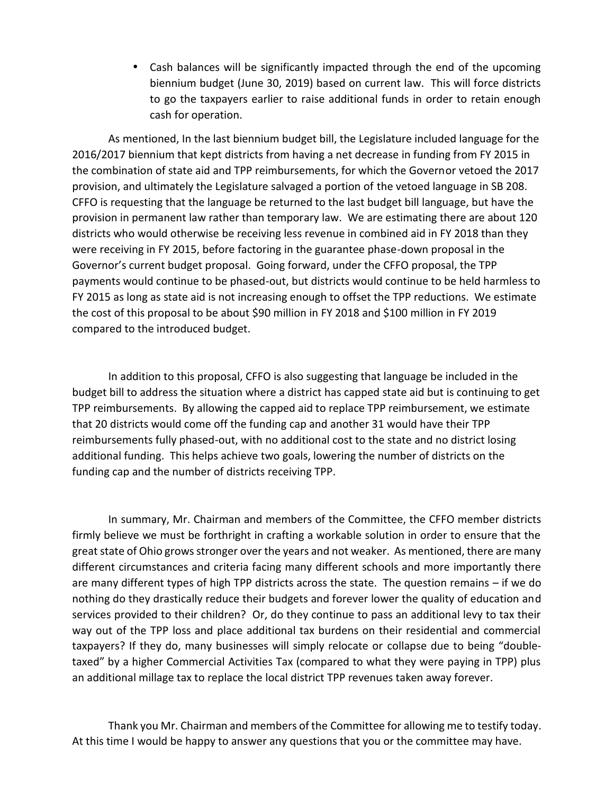Cash balances will be significantly impacted through the end of the upcoming biennium budget (June 30, 2019) based on current law. This will force districts to go the taxpayers earlier to raise additional funds in order to retain enough cash for operation.

As mentioned, In the last biennium budget bill, the Legislature included language for the 2016/2017 biennium that kept districts from having a net decrease in funding from FY 2015 in the combination of state aid and TPP reimbursements, for which the Governor vetoed the 2017 provision, and ultimately the Legislature salvaged a portion of the vetoed language in SB 208. CFFO is requesting that the language be returned to the last budget bill language, but have the provision in permanent law rather than temporary law. We are estimating there are about 120 districts who would otherwise be receiving less revenue in combined aid in FY 2018 than they were receiving in FY 2015, before factoring in the guarantee phase-down proposal in the Governor's current budget proposal. Going forward, under the CFFO proposal, the TPP payments would continue to be phased-out, but districts would continue to be held harmless to FY 2015 as long as state aid is not increasing enough to offset the TPP reductions. We estimate the cost of this proposal to be about \$90 million in FY 2018 and \$100 million in FY 2019 compared to the introduced budget.

In addition to this proposal, CFFO is also suggesting that language be included in the budget bill to address the situation where a district has capped state aid but is continuing to get TPP reimbursements. By allowing the capped aid to replace TPP reimbursement, we estimate that 20 districts would come off the funding cap and another 31 would have their TPP reimbursements fully phased-out, with no additional cost to the state and no district losing additional funding. This helps achieve two goals, lowering the number of districts on the funding cap and the number of districts receiving TPP.

In summary, Mr. Chairman and members of the Committee, the CFFO member districts firmly believe we must be forthright in crafting a workable solution in order to ensure that the great state of Ohio grows stronger over the years and not weaker. As mentioned, there are many different circumstances and criteria facing many different schools and more importantly there are many different types of high TPP districts across the state. The question remains – if we do nothing do they drastically reduce their budgets and forever lower the quality of education and services provided to their children? Or, do they continue to pass an additional levy to tax their way out of the TPP loss and place additional tax burdens on their residential and commercial taxpayers? If they do, many businesses will simply relocate or collapse due to being "double taxed" by a higher Commercial Activities Tax (compared to what they were paying in TPP) plus an additional millage tax to replace the local district TPP revenues taken away forever.

Thank you Mr. Chairman and members of the Committee for allowing me to testify today. At this time I would be happy to answer any questions that you or the committee may have.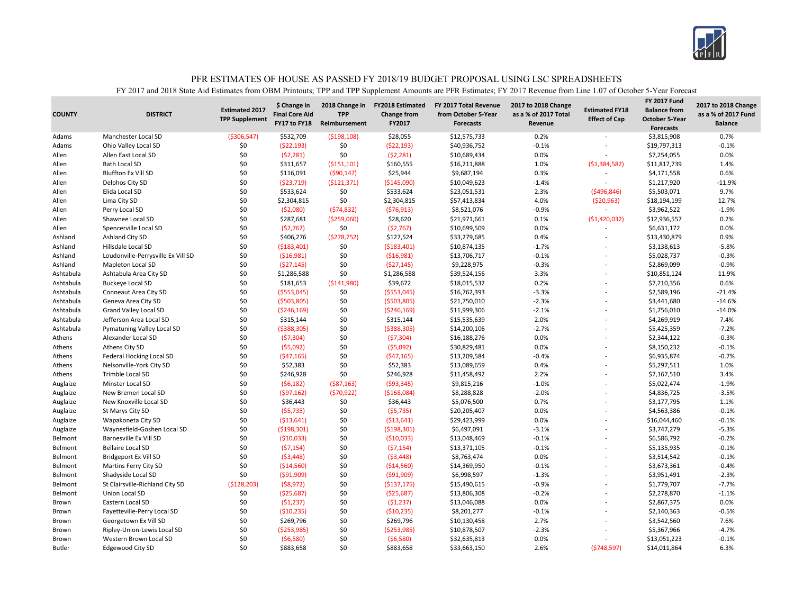

| <b>COUNTY</b> | <b>DISTRICT</b>                                   | <b>Estimated 2017</b><br><b>TPP Supplement</b> | \$ Change in<br><b>Final Core Aid</b><br>FY17 to FY18 | 2018 Change in<br><b>TPP</b><br>Reimbursement | <b>FY2018 Estimated</b><br><b>Change from</b><br>FY2017 | FY 2017 Total Revenue<br>from October 5-Year<br><b>Forecasts</b> | 2017 to 2018 Change<br>as a % of 2017 Total<br>Revenue | <b>Estimated FY18</b><br><b>Effect of Cap</b> | <b>FY 2017 Fund</b><br><b>Balance from</b><br><b>October 5-Year</b><br><b>Forecasts</b> | 2017 to 2018 Change<br>as a % of 2017 Fund<br><b>Balance</b> |
|---------------|---------------------------------------------------|------------------------------------------------|-------------------------------------------------------|-----------------------------------------------|---------------------------------------------------------|------------------------------------------------------------------|--------------------------------------------------------|-----------------------------------------------|-----------------------------------------------------------------------------------------|--------------------------------------------------------------|
| Adams         | Manchester Local SD                               | ( \$306, 547)                                  | \$532,709                                             | ( \$198, 108)                                 | \$28,055                                                | \$12,575,733                                                     | 0.2%                                                   |                                               | \$3,815,908                                                                             | 0.7%                                                         |
| Adams         | Ohio Valley Local SD                              | \$0                                            | (522, 193)                                            | \$0                                           | (522, 193)                                              | \$40,936,752                                                     | $-0.1%$                                                | L,                                            | \$19,797,313                                                                            | $-0.1%$                                                      |
| Allen         | Allen East Local SD                               | \$0                                            | (52, 281)                                             | \$0                                           | (52, 281)                                               | \$10,689,434                                                     | 0.0%                                                   |                                               | \$7,254,055                                                                             | 0.0%                                                         |
| Allen         | <b>Bath Local SD</b>                              | \$0                                            | \$311,657                                             | ( \$151, 101)                                 | \$160,555                                               | \$16,211,888                                                     | 1.0%                                                   | (51, 384, 582)                                | \$11,817,739                                                                            | 1.4%                                                         |
| Allen         | <b>Bluffton Ex Vill SD</b>                        | \$0                                            | \$116,091                                             | (590, 147)                                    | \$25,944                                                | \$9,687,194                                                      | 0.3%                                                   | ÷                                             | \$4,171,558                                                                             | 0.6%                                                         |
| Allen         | Delphos City SD                                   | \$0                                            | (523, 719)                                            | ( \$121, 371)                                 | ( \$145,090)                                            | \$10,049,623                                                     | $-1.4%$                                                |                                               | \$1,217,920                                                                             | $-11.9%$                                                     |
| Allen         | Elida Local SD                                    | \$0                                            | \$533,624                                             | \$0                                           | \$533,624                                               | \$23,051,531                                                     | 2.3%                                                   | (5496, 846)                                   | \$5,503,071                                                                             | 9.7%                                                         |
| Allen         | Lima City SD                                      | \$0                                            | \$2,304,815                                           | \$0                                           | \$2,304,815                                             | \$57,413,834                                                     | 4.0%                                                   | (520, 963)                                    | \$18,194,199                                                                            | 12.7%                                                        |
| Allen         | Perry Local SD                                    | \$0                                            | (52,080)                                              | (574, 832)                                    | (576, 913)                                              | \$8,521,076                                                      | $-0.9%$                                                | $\overline{\phantom{a}}$                      | \$3,962,522                                                                             | $-1.9%$                                                      |
| Allen         | Shawnee Local SD                                  | \$0                                            | \$287,681                                             | ( \$259,060)                                  | \$28,620                                                | \$21,971,661                                                     | 0.1%                                                   | ( \$1,420,032)                                | \$12,936,557                                                                            | 0.2%                                                         |
| Allen         | Spencerville Local SD                             | \$0                                            | (52,767)                                              | \$0                                           | (52, 767)                                               | \$10,699,509                                                     | 0.0%                                                   | $\overline{a}$                                | \$6,631,172                                                                             | 0.0%                                                         |
| Ashland       | Ashland City SD                                   | \$0                                            | \$406,276                                             | (5278, 752)                                   | \$127,524                                               | \$33,279,685                                                     | 0.4%                                                   | $\overline{a}$                                | \$13,430,879                                                                            | 0.9%                                                         |
| Ashland       | Hillsdale Local SD                                | \$0                                            | ( \$183,401)                                          | \$0                                           | ( \$183,401)                                            | \$10,874,135                                                     | $-1.7%$                                                | ÷                                             | \$3,138,613                                                                             | $-5.8%$                                                      |
| Ashland       | Loudonville-Perrysville Ex Vill SD                | \$0                                            | (516,981)                                             | \$0                                           | ( \$16, 981)                                            | \$13,706,717                                                     | $-0.1%$                                                | L,                                            | \$5,028,737                                                                             | $-0.3%$                                                      |
| Ashland       | Mapleton Local SD                                 | \$0                                            | (527, 145)                                            | \$0                                           | (527, 145)                                              | \$9,228,975                                                      | $-0.3%$                                                | L,                                            | \$2,869,099                                                                             | $-0.9%$                                                      |
| Ashtabula     | Ashtabula Area City SD                            | \$0                                            | \$1,286,588                                           | \$0                                           | \$1,286,588                                             | \$39,524,156                                                     | 3.3%                                                   |                                               | \$10,851,124                                                                            | 11.9%                                                        |
| Ashtabula     | <b>Buckeye Local SD</b>                           | \$0                                            | \$181,653                                             | ( \$141, 980)                                 | \$39,672                                                | \$18,015,532                                                     | 0.2%                                                   |                                               | \$7,210,356                                                                             | 0.6%                                                         |
| Ashtabula     | Conneaut Area City SD                             | \$0                                            | ( \$553,045)                                          | \$0                                           | ( \$553,045)                                            | \$16,762,393                                                     | $-3.3%$                                                | $\overline{a}$                                | \$2,589,196                                                                             | $-21.4%$                                                     |
| Ashtabula     | Geneva Area City SD                               | \$0                                            | (5503,805)                                            | \$0                                           | ( \$503, 805)                                           | \$21,750,010                                                     | $-2.3%$                                                |                                               | \$3,441,680                                                                             | $-14.6%$                                                     |
| Ashtabula     | <b>Grand Valley Local SD</b>                      | \$0                                            | ( \$246, 169)                                         | \$0                                           | ( \$246, 169)                                           | \$11,999,306                                                     | $-2.1%$                                                |                                               | \$1,756,010                                                                             | $-14.0%$                                                     |
| Ashtabula     | Jefferson Area Local SD                           | \$0                                            | \$315,144                                             | \$0                                           | \$315,144                                               | \$15,535,639                                                     | 2.0%                                                   | $\overline{a}$                                | \$4,269,919                                                                             | 7.4%                                                         |
| Ashtabula     | Pymatuning Valley Local SD                        | \$0                                            | ( \$388, 305)                                         | \$0                                           | ( \$388, 305)                                           | \$14,200,106                                                     | $-2.7%$                                                |                                               | \$5,425,359                                                                             | $-7.2%$                                                      |
| Athens        | Alexander Local SD                                | \$0                                            | (57, 304)                                             | \$0                                           | (57, 304)                                               | \$16,188,276                                                     | 0.0%                                                   | L,                                            | \$2,344,122                                                                             | $-0.3%$                                                      |
| Athens        | Athens City SD                                    | \$0                                            | (55,092)                                              | \$0                                           | (55,092)                                                | \$30,829,481                                                     | 0.0%                                                   |                                               | \$8,150,232                                                                             | $-0.1%$                                                      |
| Athens        | Federal Hocking Local SD                          | \$0                                            | (547, 165)                                            | \$0                                           | (547, 165)                                              | \$13,209,584                                                     | $-0.4%$                                                |                                               | \$6,935,874                                                                             | $-0.7%$                                                      |
| Athens        | Nelsonville-York City SD                          | \$0                                            | \$52,383                                              | \$0                                           | \$52,383                                                | \$13,089,659                                                     | 0.4%                                                   |                                               | \$5,297,511                                                                             | 1.0%                                                         |
| Athens        | Trimble Local SD                                  | \$0                                            | \$246,928                                             | \$0                                           | \$246,928                                               | \$11,458,492                                                     | 2.2%                                                   | $\overline{a}$                                | \$7,167,510                                                                             | 3.4%                                                         |
| Auglaize      | Minster Local SD                                  | \$0                                            | (56, 182)                                             | ( \$87,163)                                   | ( \$93, 345)                                            | \$9,815,216                                                      | $-1.0%$                                                |                                               | \$5,022,474                                                                             | $-1.9%$                                                      |
| Auglaize      | New Bremen Local SD                               | \$0                                            | (597, 162)                                            | (570, 922)                                    | ( \$168,084)                                            | \$8,288,828                                                      | $-2.0%$                                                | $\overline{a}$                                | \$4,836,725                                                                             | $-3.5%$                                                      |
| Auglaize      | New Knoxville Local SD                            | \$0                                            | \$36,443                                              | \$0                                           | \$36,443                                                | \$5,076,500                                                      | 0.7%                                                   | $\overline{a}$                                | \$3,177,795                                                                             | 1.1%                                                         |
| Auglaize      | St Marys City SD                                  | \$0                                            | (55, 735)                                             | \$0                                           | (55, 735)                                               | \$20,205,407                                                     | 0.0%                                                   |                                               | \$4,563,386                                                                             | $-0.1%$                                                      |
| Auglaize      | Wapakoneta City SD                                | \$0                                            | ( \$13,641)                                           | \$0                                           | ( \$13,641)                                             | \$29,423,999                                                     | 0.0%                                                   |                                               | \$16,044,460                                                                            | $-0.1%$                                                      |
| Auglaize      | Waynesfield-Goshen Local SD                       | \$0                                            | ( \$198, 301)                                         | \$0                                           | ( \$198, 301]                                           | \$6,497,091                                                      | $-3.1%$                                                |                                               | \$3,747,279                                                                             | $-5.3%$                                                      |
| Belmont       | Barnesville Ex Vill SD                            | \$0                                            | ( \$10,033)                                           | \$0                                           | ( \$10,033)                                             | \$13,048,469                                                     | $-0.1%$                                                | L,                                            | \$6,586,792                                                                             | $-0.2%$                                                      |
| Belmont       | <b>Bellaire Local SD</b>                          | \$0                                            | (57, 154)                                             | \$0                                           | (57, 154)                                               | \$13,371,105                                                     | $-0.1%$                                                |                                               | \$5,135,935                                                                             | $-0.1%$                                                      |
| Belmont       | Bridgeport Ex Vill SD                             | \$0                                            | (53, 448)                                             | \$0                                           | (53, 448)                                               | \$8,763,474                                                      | 0.0%                                                   | L,                                            | \$3,514,542                                                                             | $-0.1%$                                                      |
| Belmont       |                                                   | \$0                                            | ( \$14,560)                                           | \$0                                           | ( \$14,560)                                             | \$14,369,950                                                     | $-0.1%$                                                | ÷                                             | \$3,673,361                                                                             | $-0.4%$                                                      |
|               | Martins Ferry City SD                             | \$0                                            |                                                       | \$0                                           |                                                         | \$6,998,597                                                      | $-1.3%$                                                |                                               |                                                                                         | $-2.3%$                                                      |
| Belmont       | Shadyside Local SD                                | (5128, 203)                                    | ( \$91,909)                                           | \$0                                           | ( \$91,909)                                             | \$15,490,615                                                     | $-0.9%$                                                | $\overline{a}$                                | \$3,951,491                                                                             | $-7.7%$                                                      |
| Belmont       | St Clairsville-Richland City SD<br>Union Local SD | \$0                                            | (58, 972)                                             | \$0                                           | ( \$137, 175)                                           | \$13,806,308                                                     | $-0.2%$                                                |                                               | \$1,779,707                                                                             | $-1.1%$                                                      |
| Belmont       |                                                   |                                                | ( \$25,687)                                           |                                               | ( \$25,687)                                             |                                                                  |                                                        |                                               | \$2,278,870                                                                             |                                                              |
| Brown         | Eastern Local SD                                  | \$0                                            | (51, 237)                                             | \$0                                           | (51, 237)                                               | \$13,046,088                                                     | 0.0%                                                   |                                               | \$2,867,375                                                                             | 0.0%                                                         |
| Brown         | Fayetteville-Perry Local SD                       | \$0                                            | ( \$10, 235)                                          | \$0<br>\$0                                    | ( \$10, 235)                                            | \$8,201,277                                                      | $-0.1%$                                                | $\overline{a}$                                | \$2,140,363                                                                             | $-0.5%$<br>7.6%                                              |
| Brown         | Georgetown Ex Vill SD                             | \$0                                            | \$269,796                                             |                                               | \$269,796                                               | \$10,130,458                                                     | 2.7%                                                   |                                               | \$3,542,560                                                                             |                                                              |
| Brown         | Ripley-Union-Lewis Local SD                       | \$0                                            | (\$253,985)                                           | \$0                                           | (\$253,985)                                             | \$10,878,507                                                     | $-2.3%$                                                |                                               | \$5,367,966                                                                             | $-4.7%$                                                      |
| Brown         | Western Brown Local SD                            | \$0                                            | (56,580)                                              | \$0                                           | (56,580)                                                | \$32,635,813                                                     | 0.0%                                                   |                                               | \$13,051,223                                                                            | $-0.1%$                                                      |
| <b>Butler</b> | <b>Edgewood City SD</b>                           | \$0                                            | \$883,658                                             | \$0                                           | \$883,658                                               | \$33,663,150                                                     | 2.6%                                                   | (5748, 597)                                   | \$14,011,864                                                                            | 6.3%                                                         |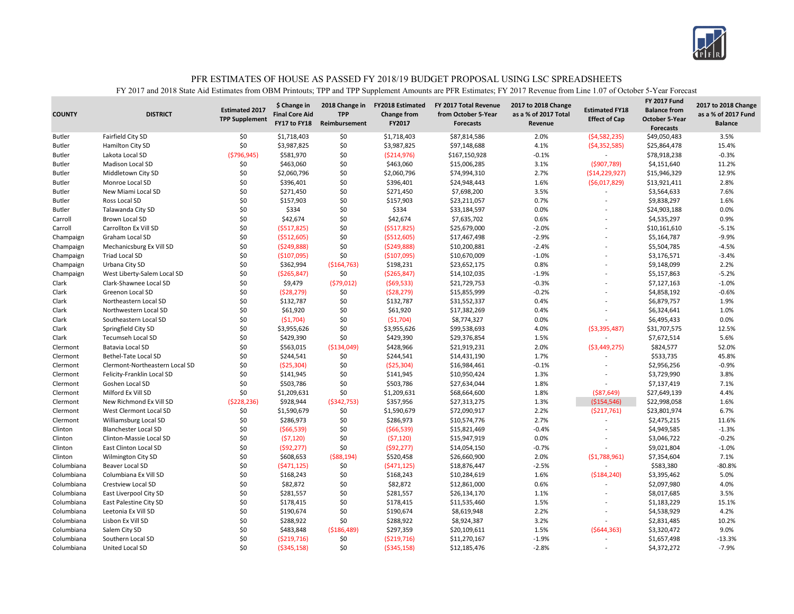

| \$0<br>2.0%<br>3.5%<br>Fairfield City SD<br>\$1,718,403<br>\$0<br>\$1,718,403<br>\$87,814,586<br>(54, 582, 235)<br><b>Butler</b><br>\$49,050,483<br>\$0<br>\$0<br>4.1%<br>Hamilton City SD<br>\$3,987,825<br>\$3,987,825<br>\$97,148,688<br>(54, 352, 585)<br>\$25,864,478<br>15.4%<br><b>Butler</b><br>\$0<br>( \$796, 945)<br>$-0.1%$<br>$-0.3%$<br><b>Butler</b><br>Lakota Local SD<br>\$581,970<br>( \$214, 976)<br>\$167,150,928<br>\$78,918,238<br>\$0<br>\$463,060<br>\$15,006,285<br>3.1%<br>\$4,151,640<br>11.2%<br><b>Butler</b><br><b>Madison Local SD</b><br>\$0<br>\$463,060<br>(5907,789)<br>\$0<br>12.9%<br>\$0<br>\$2,060,796<br>\$2,060,796<br>\$74,994,310<br>2.7%<br>\$15,946,329<br><b>Butler</b><br>Middletown City SD<br>(514, 229, 927)<br>\$0<br>\$0<br>1.6%<br>2.8%<br>Monroe Local SD<br>\$396,401<br>\$396,401<br>\$24,948,443<br>( \$6,017,829)<br>\$13,921,411<br><b>Butler</b><br>\$0<br>\$0<br>\$271,450<br>\$271,450<br>\$7,698,200<br>3.5%<br>7.6%<br><b>Butler</b><br>New Miami Local SD<br>\$3,564,633<br>\$0<br>\$157,903<br>\$0<br>0.7%<br>1.6%<br>\$157,903<br>\$23,211,057<br>\$9,838,297<br><b>Butler</b><br>Ross Local SD<br>\$0<br>\$334<br>\$0<br>\$334<br>0.0%<br>0.0%<br><b>Butler</b><br>Talawanda City SD<br>\$33,184,597<br>\$24,903,188<br>÷<br>\$0<br>\$0<br>0.9%<br>\$42,674<br>\$42,674<br>\$7,635,702<br>0.6%<br>Carroll<br>Brown Local SD<br>\$4,535,297<br>\$0<br>\$0<br>Carroll<br>Carrollton Ex Vill SD<br>(5517, 825)<br>( \$517, 825)<br>\$25,679,000<br>$-2.0%$<br>$-5.1%$<br>\$10,161,610<br>L,<br>\$0<br>\$0<br>$-2.9%$<br>$-9.9%$<br>Graham Local SD<br>( \$512, 605)<br>( \$512, 605)<br>\$17,467,498<br>Champaign<br>\$5,164,787<br>÷.<br>\$0<br>\$0<br>\$10,200,881<br>$-2.4%$<br>$-4.5%$<br>Champaign<br>Mechanicsburg Ex Vill SD<br>(5249,888)<br>(5249,888)<br>\$5,504,785<br>\$0<br>\$0<br>(\$107,095)<br>\$10,670,009<br>$-1.0%$<br>\$3,176,571<br>$-3.4%$<br>Champaign<br>Triad Local SD<br>(5107,095)<br>\$0<br>\$23,652,175<br>0.8%<br>2.2%<br>Urbana City SD<br>\$362,994<br>( \$164, 763)<br>\$198,231<br>\$9,148,099<br>Champaign<br>L,<br>\$0<br>\$0<br>( \$265, 847)<br>( \$265, 847)<br>\$14,102,035<br>$-1.9%$<br>$-5.2%$<br>Champaign<br>West Liberty-Salem Local SD<br>\$5,157,863<br>\$0<br>$-1.0%$<br>\$9,479<br>(579, 012)<br>(569,533)<br>\$21,729,753<br>$-0.3%$<br>\$7,127,163<br>Clark<br>Clark-Shawnee Local SD<br>\$0<br>\$0<br>$-0.2%$<br>$-0.6%$<br>Clark<br>(528, 279)<br>(528, 279)<br>\$15,855,999<br>\$4,858,192<br><b>Greenon Local SD</b><br>÷.<br>\$0<br>\$132,787<br>\$0<br>\$132,787<br>\$31,552,337<br>0.4%<br>\$6,879,757<br>1.9%<br>Clark<br>Northeastern Local SD<br>\$0<br>\$61,920<br>\$0<br>\$61,920<br>\$17,382,269<br>0.4%<br>1.0%<br>Clark<br>Northwestern Local SD<br>\$6,324,641<br>\$0<br>\$0<br>0.0%<br>0.0%<br>Clark<br>(51,704)<br>(51,704)<br>\$8,774,327<br>\$6,495,433<br>Southeastern Local SD<br>\$0<br>\$0<br>\$99,538,693<br>4.0%<br>12.5%<br>Clark<br>Springfield City SD<br>\$3,955,626<br>\$3,955,626<br>( \$3,395,487)<br>\$31,707,575<br>\$0<br>\$0<br>\$429,390<br>\$429,390<br>\$29,376,854<br>1.5%<br>\$7,672,514<br>5.6%<br>Clark<br><b>Tecumseh Local SD</b><br>\$0<br>\$563,015<br>\$428,966<br>2.0%<br>52.0%<br><b>Batavia Local SD</b><br>( \$134,049)<br>\$21,919,231<br>( \$3,449,275)<br>\$824,577<br>Clermont<br>\$0<br>\$0<br>\$244,541<br>1.7%<br>\$533,735<br>45.8%<br>Bethel-Tate Local SD<br>\$244,541<br>\$14,431,190<br>Clermont<br>\$0<br>$-0.9%$<br>\$0<br>( \$25, 304)<br>(\$25,304)<br>\$16,984,461<br>$-0.1%$<br>\$2,956,256<br>Clermont<br>Clermont-Northeastern Local SD<br>\$0<br>\$0<br>3.8%<br>\$141,945<br>\$141,945<br>\$10,950,424<br>1.3%<br>\$3,729,990<br>Clermont<br>Felicity-Franklin Local SD<br>L,<br>\$0<br>\$0<br>1.8%<br>7.1%<br>Goshen Local SD<br>\$503,786<br>\$503,786<br>\$27,634,044<br>\$7,137,419<br>Clermont<br>4.4%<br>\$0<br>\$1,209,631<br>\$0<br>\$1,209,631<br>\$68,664,600<br>1.8%<br>Clermont<br>Milford Ex Vill SD<br>$($ \$87,649)<br>\$27,649,139<br>(5228, 236)<br>\$928,944<br>( \$342, 753)<br>\$357,956<br>1.3%<br>( \$154, 546)<br>\$22,998,058<br>1.6%<br>Clermont<br>New Richmond Ex Vill SD<br>\$27,313,275<br>\$0<br>6.7%<br>West Clermont Local SD<br>\$0<br>\$1,590,679<br>\$1,590,679<br>\$72,090,917<br>2.2%<br>( \$217,761)<br>\$23,801,974<br>Clermont<br>2.7%<br>\$0<br>\$286,973<br>\$0<br>\$286,973<br>\$10,574,776<br>\$2,475,215<br>11.6%<br>Clermont<br>Williamsburg Local SD<br>\$0<br>\$0<br>$-0.4%$<br>(566, 539)<br>(566, 539)<br>\$15,821,469<br>\$4,949,585<br>$-1.3%$<br>Clinton<br><b>Blanchester Local SD</b> |  |
|---------------------------------------------------------------------------------------------------------------------------------------------------------------------------------------------------------------------------------------------------------------------------------------------------------------------------------------------------------------------------------------------------------------------------------------------------------------------------------------------------------------------------------------------------------------------------------------------------------------------------------------------------------------------------------------------------------------------------------------------------------------------------------------------------------------------------------------------------------------------------------------------------------------------------------------------------------------------------------------------------------------------------------------------------------------------------------------------------------------------------------------------------------------------------------------------------------------------------------------------------------------------------------------------------------------------------------------------------------------------------------------------------------------------------------------------------------------------------------------------------------------------------------------------------------------------------------------------------------------------------------------------------------------------------------------------------------------------------------------------------------------------------------------------------------------------------------------------------------------------------------------------------------------------------------------------------------------------------------------------------------------------------------------------------------------------------------------------------------------------------------------------------------------------------------------------------------------------------------------------------------------------------------------------------------------------------------------------------------------------------------------------------------------------------------------------------------------------------------------------------------------------------------------------------------------------------------------------------------------------------------------------------------------------------------------------------------------------------------------------------------------------------------------------------------------------------------------------------------------------------------------------------------------------------------------------------------------------------------------------------------------------------------------------------------------------------------------------------------------------------------------------------------------------------------------------------------------------------------------------------------------------------------------------------------------------------------------------------------------------------------------------------------------------------------------------------------------------------------------------------------------------------------------------------------------------------------------------------------------------------------------------------------------------------------------------------------------------------------------------------------------------------------------------------------------------------------------------------------------------------------------------------------------------------------------------------------------------------------------------------------------------------------------------------------------------------------------------------------------------------------------------------------------------------------------------------------------------------------------------------------------------------------------------------------------------------------------------------------------------------------------------------------------------------------------------------------------------------------------------------------------------------------------------------------------------------------------------------------------------------------------------|--|
|                                                                                                                                                                                                                                                                                                                                                                                                                                                                                                                                                                                                                                                                                                                                                                                                                                                                                                                                                                                                                                                                                                                                                                                                                                                                                                                                                                                                                                                                                                                                                                                                                                                                                                                                                                                                                                                                                                                                                                                                                                                                                                                                                                                                                                                                                                                                                                                                                                                                                                                                                                                                                                                                                                                                                                                                                                                                                                                                                                                                                                                                                                                                                                                                                                                                                                                                                                                                                                                                                                                                                                                                                                                                                                                                                                                                                                                                                                                                                                                                                                                                                                                                                                                                                                                                                                                                                                                                                                                                                                                                                                                                                                             |  |
|                                                                                                                                                                                                                                                                                                                                                                                                                                                                                                                                                                                                                                                                                                                                                                                                                                                                                                                                                                                                                                                                                                                                                                                                                                                                                                                                                                                                                                                                                                                                                                                                                                                                                                                                                                                                                                                                                                                                                                                                                                                                                                                                                                                                                                                                                                                                                                                                                                                                                                                                                                                                                                                                                                                                                                                                                                                                                                                                                                                                                                                                                                                                                                                                                                                                                                                                                                                                                                                                                                                                                                                                                                                                                                                                                                                                                                                                                                                                                                                                                                                                                                                                                                                                                                                                                                                                                                                                                                                                                                                                                                                                                                             |  |
|                                                                                                                                                                                                                                                                                                                                                                                                                                                                                                                                                                                                                                                                                                                                                                                                                                                                                                                                                                                                                                                                                                                                                                                                                                                                                                                                                                                                                                                                                                                                                                                                                                                                                                                                                                                                                                                                                                                                                                                                                                                                                                                                                                                                                                                                                                                                                                                                                                                                                                                                                                                                                                                                                                                                                                                                                                                                                                                                                                                                                                                                                                                                                                                                                                                                                                                                                                                                                                                                                                                                                                                                                                                                                                                                                                                                                                                                                                                                                                                                                                                                                                                                                                                                                                                                                                                                                                                                                                                                                                                                                                                                                                             |  |
|                                                                                                                                                                                                                                                                                                                                                                                                                                                                                                                                                                                                                                                                                                                                                                                                                                                                                                                                                                                                                                                                                                                                                                                                                                                                                                                                                                                                                                                                                                                                                                                                                                                                                                                                                                                                                                                                                                                                                                                                                                                                                                                                                                                                                                                                                                                                                                                                                                                                                                                                                                                                                                                                                                                                                                                                                                                                                                                                                                                                                                                                                                                                                                                                                                                                                                                                                                                                                                                                                                                                                                                                                                                                                                                                                                                                                                                                                                                                                                                                                                                                                                                                                                                                                                                                                                                                                                                                                                                                                                                                                                                                                                             |  |
|                                                                                                                                                                                                                                                                                                                                                                                                                                                                                                                                                                                                                                                                                                                                                                                                                                                                                                                                                                                                                                                                                                                                                                                                                                                                                                                                                                                                                                                                                                                                                                                                                                                                                                                                                                                                                                                                                                                                                                                                                                                                                                                                                                                                                                                                                                                                                                                                                                                                                                                                                                                                                                                                                                                                                                                                                                                                                                                                                                                                                                                                                                                                                                                                                                                                                                                                                                                                                                                                                                                                                                                                                                                                                                                                                                                                                                                                                                                                                                                                                                                                                                                                                                                                                                                                                                                                                                                                                                                                                                                                                                                                                                             |  |
|                                                                                                                                                                                                                                                                                                                                                                                                                                                                                                                                                                                                                                                                                                                                                                                                                                                                                                                                                                                                                                                                                                                                                                                                                                                                                                                                                                                                                                                                                                                                                                                                                                                                                                                                                                                                                                                                                                                                                                                                                                                                                                                                                                                                                                                                                                                                                                                                                                                                                                                                                                                                                                                                                                                                                                                                                                                                                                                                                                                                                                                                                                                                                                                                                                                                                                                                                                                                                                                                                                                                                                                                                                                                                                                                                                                                                                                                                                                                                                                                                                                                                                                                                                                                                                                                                                                                                                                                                                                                                                                                                                                                                                             |  |
|                                                                                                                                                                                                                                                                                                                                                                                                                                                                                                                                                                                                                                                                                                                                                                                                                                                                                                                                                                                                                                                                                                                                                                                                                                                                                                                                                                                                                                                                                                                                                                                                                                                                                                                                                                                                                                                                                                                                                                                                                                                                                                                                                                                                                                                                                                                                                                                                                                                                                                                                                                                                                                                                                                                                                                                                                                                                                                                                                                                                                                                                                                                                                                                                                                                                                                                                                                                                                                                                                                                                                                                                                                                                                                                                                                                                                                                                                                                                                                                                                                                                                                                                                                                                                                                                                                                                                                                                                                                                                                                                                                                                                                             |  |
|                                                                                                                                                                                                                                                                                                                                                                                                                                                                                                                                                                                                                                                                                                                                                                                                                                                                                                                                                                                                                                                                                                                                                                                                                                                                                                                                                                                                                                                                                                                                                                                                                                                                                                                                                                                                                                                                                                                                                                                                                                                                                                                                                                                                                                                                                                                                                                                                                                                                                                                                                                                                                                                                                                                                                                                                                                                                                                                                                                                                                                                                                                                                                                                                                                                                                                                                                                                                                                                                                                                                                                                                                                                                                                                                                                                                                                                                                                                                                                                                                                                                                                                                                                                                                                                                                                                                                                                                                                                                                                                                                                                                                                             |  |
|                                                                                                                                                                                                                                                                                                                                                                                                                                                                                                                                                                                                                                                                                                                                                                                                                                                                                                                                                                                                                                                                                                                                                                                                                                                                                                                                                                                                                                                                                                                                                                                                                                                                                                                                                                                                                                                                                                                                                                                                                                                                                                                                                                                                                                                                                                                                                                                                                                                                                                                                                                                                                                                                                                                                                                                                                                                                                                                                                                                                                                                                                                                                                                                                                                                                                                                                                                                                                                                                                                                                                                                                                                                                                                                                                                                                                                                                                                                                                                                                                                                                                                                                                                                                                                                                                                                                                                                                                                                                                                                                                                                                                                             |  |
|                                                                                                                                                                                                                                                                                                                                                                                                                                                                                                                                                                                                                                                                                                                                                                                                                                                                                                                                                                                                                                                                                                                                                                                                                                                                                                                                                                                                                                                                                                                                                                                                                                                                                                                                                                                                                                                                                                                                                                                                                                                                                                                                                                                                                                                                                                                                                                                                                                                                                                                                                                                                                                                                                                                                                                                                                                                                                                                                                                                                                                                                                                                                                                                                                                                                                                                                                                                                                                                                                                                                                                                                                                                                                                                                                                                                                                                                                                                                                                                                                                                                                                                                                                                                                                                                                                                                                                                                                                                                                                                                                                                                                                             |  |
|                                                                                                                                                                                                                                                                                                                                                                                                                                                                                                                                                                                                                                                                                                                                                                                                                                                                                                                                                                                                                                                                                                                                                                                                                                                                                                                                                                                                                                                                                                                                                                                                                                                                                                                                                                                                                                                                                                                                                                                                                                                                                                                                                                                                                                                                                                                                                                                                                                                                                                                                                                                                                                                                                                                                                                                                                                                                                                                                                                                                                                                                                                                                                                                                                                                                                                                                                                                                                                                                                                                                                                                                                                                                                                                                                                                                                                                                                                                                                                                                                                                                                                                                                                                                                                                                                                                                                                                                                                                                                                                                                                                                                                             |  |
|                                                                                                                                                                                                                                                                                                                                                                                                                                                                                                                                                                                                                                                                                                                                                                                                                                                                                                                                                                                                                                                                                                                                                                                                                                                                                                                                                                                                                                                                                                                                                                                                                                                                                                                                                                                                                                                                                                                                                                                                                                                                                                                                                                                                                                                                                                                                                                                                                                                                                                                                                                                                                                                                                                                                                                                                                                                                                                                                                                                                                                                                                                                                                                                                                                                                                                                                                                                                                                                                                                                                                                                                                                                                                                                                                                                                                                                                                                                                                                                                                                                                                                                                                                                                                                                                                                                                                                                                                                                                                                                                                                                                                                             |  |
|                                                                                                                                                                                                                                                                                                                                                                                                                                                                                                                                                                                                                                                                                                                                                                                                                                                                                                                                                                                                                                                                                                                                                                                                                                                                                                                                                                                                                                                                                                                                                                                                                                                                                                                                                                                                                                                                                                                                                                                                                                                                                                                                                                                                                                                                                                                                                                                                                                                                                                                                                                                                                                                                                                                                                                                                                                                                                                                                                                                                                                                                                                                                                                                                                                                                                                                                                                                                                                                                                                                                                                                                                                                                                                                                                                                                                                                                                                                                                                                                                                                                                                                                                                                                                                                                                                                                                                                                                                                                                                                                                                                                                                             |  |
|                                                                                                                                                                                                                                                                                                                                                                                                                                                                                                                                                                                                                                                                                                                                                                                                                                                                                                                                                                                                                                                                                                                                                                                                                                                                                                                                                                                                                                                                                                                                                                                                                                                                                                                                                                                                                                                                                                                                                                                                                                                                                                                                                                                                                                                                                                                                                                                                                                                                                                                                                                                                                                                                                                                                                                                                                                                                                                                                                                                                                                                                                                                                                                                                                                                                                                                                                                                                                                                                                                                                                                                                                                                                                                                                                                                                                                                                                                                                                                                                                                                                                                                                                                                                                                                                                                                                                                                                                                                                                                                                                                                                                                             |  |
|                                                                                                                                                                                                                                                                                                                                                                                                                                                                                                                                                                                                                                                                                                                                                                                                                                                                                                                                                                                                                                                                                                                                                                                                                                                                                                                                                                                                                                                                                                                                                                                                                                                                                                                                                                                                                                                                                                                                                                                                                                                                                                                                                                                                                                                                                                                                                                                                                                                                                                                                                                                                                                                                                                                                                                                                                                                                                                                                                                                                                                                                                                                                                                                                                                                                                                                                                                                                                                                                                                                                                                                                                                                                                                                                                                                                                                                                                                                                                                                                                                                                                                                                                                                                                                                                                                                                                                                                                                                                                                                                                                                                                                             |  |
|                                                                                                                                                                                                                                                                                                                                                                                                                                                                                                                                                                                                                                                                                                                                                                                                                                                                                                                                                                                                                                                                                                                                                                                                                                                                                                                                                                                                                                                                                                                                                                                                                                                                                                                                                                                                                                                                                                                                                                                                                                                                                                                                                                                                                                                                                                                                                                                                                                                                                                                                                                                                                                                                                                                                                                                                                                                                                                                                                                                                                                                                                                                                                                                                                                                                                                                                                                                                                                                                                                                                                                                                                                                                                                                                                                                                                                                                                                                                                                                                                                                                                                                                                                                                                                                                                                                                                                                                                                                                                                                                                                                                                                             |  |
|                                                                                                                                                                                                                                                                                                                                                                                                                                                                                                                                                                                                                                                                                                                                                                                                                                                                                                                                                                                                                                                                                                                                                                                                                                                                                                                                                                                                                                                                                                                                                                                                                                                                                                                                                                                                                                                                                                                                                                                                                                                                                                                                                                                                                                                                                                                                                                                                                                                                                                                                                                                                                                                                                                                                                                                                                                                                                                                                                                                                                                                                                                                                                                                                                                                                                                                                                                                                                                                                                                                                                                                                                                                                                                                                                                                                                                                                                                                                                                                                                                                                                                                                                                                                                                                                                                                                                                                                                                                                                                                                                                                                                                             |  |
|                                                                                                                                                                                                                                                                                                                                                                                                                                                                                                                                                                                                                                                                                                                                                                                                                                                                                                                                                                                                                                                                                                                                                                                                                                                                                                                                                                                                                                                                                                                                                                                                                                                                                                                                                                                                                                                                                                                                                                                                                                                                                                                                                                                                                                                                                                                                                                                                                                                                                                                                                                                                                                                                                                                                                                                                                                                                                                                                                                                                                                                                                                                                                                                                                                                                                                                                                                                                                                                                                                                                                                                                                                                                                                                                                                                                                                                                                                                                                                                                                                                                                                                                                                                                                                                                                                                                                                                                                                                                                                                                                                                                                                             |  |
|                                                                                                                                                                                                                                                                                                                                                                                                                                                                                                                                                                                                                                                                                                                                                                                                                                                                                                                                                                                                                                                                                                                                                                                                                                                                                                                                                                                                                                                                                                                                                                                                                                                                                                                                                                                                                                                                                                                                                                                                                                                                                                                                                                                                                                                                                                                                                                                                                                                                                                                                                                                                                                                                                                                                                                                                                                                                                                                                                                                                                                                                                                                                                                                                                                                                                                                                                                                                                                                                                                                                                                                                                                                                                                                                                                                                                                                                                                                                                                                                                                                                                                                                                                                                                                                                                                                                                                                                                                                                                                                                                                                                                                             |  |
|                                                                                                                                                                                                                                                                                                                                                                                                                                                                                                                                                                                                                                                                                                                                                                                                                                                                                                                                                                                                                                                                                                                                                                                                                                                                                                                                                                                                                                                                                                                                                                                                                                                                                                                                                                                                                                                                                                                                                                                                                                                                                                                                                                                                                                                                                                                                                                                                                                                                                                                                                                                                                                                                                                                                                                                                                                                                                                                                                                                                                                                                                                                                                                                                                                                                                                                                                                                                                                                                                                                                                                                                                                                                                                                                                                                                                                                                                                                                                                                                                                                                                                                                                                                                                                                                                                                                                                                                                                                                                                                                                                                                                                             |  |
|                                                                                                                                                                                                                                                                                                                                                                                                                                                                                                                                                                                                                                                                                                                                                                                                                                                                                                                                                                                                                                                                                                                                                                                                                                                                                                                                                                                                                                                                                                                                                                                                                                                                                                                                                                                                                                                                                                                                                                                                                                                                                                                                                                                                                                                                                                                                                                                                                                                                                                                                                                                                                                                                                                                                                                                                                                                                                                                                                                                                                                                                                                                                                                                                                                                                                                                                                                                                                                                                                                                                                                                                                                                                                                                                                                                                                                                                                                                                                                                                                                                                                                                                                                                                                                                                                                                                                                                                                                                                                                                                                                                                                                             |  |
|                                                                                                                                                                                                                                                                                                                                                                                                                                                                                                                                                                                                                                                                                                                                                                                                                                                                                                                                                                                                                                                                                                                                                                                                                                                                                                                                                                                                                                                                                                                                                                                                                                                                                                                                                                                                                                                                                                                                                                                                                                                                                                                                                                                                                                                                                                                                                                                                                                                                                                                                                                                                                                                                                                                                                                                                                                                                                                                                                                                                                                                                                                                                                                                                                                                                                                                                                                                                                                                                                                                                                                                                                                                                                                                                                                                                                                                                                                                                                                                                                                                                                                                                                                                                                                                                                                                                                                                                                                                                                                                                                                                                                                             |  |
|                                                                                                                                                                                                                                                                                                                                                                                                                                                                                                                                                                                                                                                                                                                                                                                                                                                                                                                                                                                                                                                                                                                                                                                                                                                                                                                                                                                                                                                                                                                                                                                                                                                                                                                                                                                                                                                                                                                                                                                                                                                                                                                                                                                                                                                                                                                                                                                                                                                                                                                                                                                                                                                                                                                                                                                                                                                                                                                                                                                                                                                                                                                                                                                                                                                                                                                                                                                                                                                                                                                                                                                                                                                                                                                                                                                                                                                                                                                                                                                                                                                                                                                                                                                                                                                                                                                                                                                                                                                                                                                                                                                                                                             |  |
|                                                                                                                                                                                                                                                                                                                                                                                                                                                                                                                                                                                                                                                                                                                                                                                                                                                                                                                                                                                                                                                                                                                                                                                                                                                                                                                                                                                                                                                                                                                                                                                                                                                                                                                                                                                                                                                                                                                                                                                                                                                                                                                                                                                                                                                                                                                                                                                                                                                                                                                                                                                                                                                                                                                                                                                                                                                                                                                                                                                                                                                                                                                                                                                                                                                                                                                                                                                                                                                                                                                                                                                                                                                                                                                                                                                                                                                                                                                                                                                                                                                                                                                                                                                                                                                                                                                                                                                                                                                                                                                                                                                                                                             |  |
|                                                                                                                                                                                                                                                                                                                                                                                                                                                                                                                                                                                                                                                                                                                                                                                                                                                                                                                                                                                                                                                                                                                                                                                                                                                                                                                                                                                                                                                                                                                                                                                                                                                                                                                                                                                                                                                                                                                                                                                                                                                                                                                                                                                                                                                                                                                                                                                                                                                                                                                                                                                                                                                                                                                                                                                                                                                                                                                                                                                                                                                                                                                                                                                                                                                                                                                                                                                                                                                                                                                                                                                                                                                                                                                                                                                                                                                                                                                                                                                                                                                                                                                                                                                                                                                                                                                                                                                                                                                                                                                                                                                                                                             |  |
|                                                                                                                                                                                                                                                                                                                                                                                                                                                                                                                                                                                                                                                                                                                                                                                                                                                                                                                                                                                                                                                                                                                                                                                                                                                                                                                                                                                                                                                                                                                                                                                                                                                                                                                                                                                                                                                                                                                                                                                                                                                                                                                                                                                                                                                                                                                                                                                                                                                                                                                                                                                                                                                                                                                                                                                                                                                                                                                                                                                                                                                                                                                                                                                                                                                                                                                                                                                                                                                                                                                                                                                                                                                                                                                                                                                                                                                                                                                                                                                                                                                                                                                                                                                                                                                                                                                                                                                                                                                                                                                                                                                                                                             |  |
|                                                                                                                                                                                                                                                                                                                                                                                                                                                                                                                                                                                                                                                                                                                                                                                                                                                                                                                                                                                                                                                                                                                                                                                                                                                                                                                                                                                                                                                                                                                                                                                                                                                                                                                                                                                                                                                                                                                                                                                                                                                                                                                                                                                                                                                                                                                                                                                                                                                                                                                                                                                                                                                                                                                                                                                                                                                                                                                                                                                                                                                                                                                                                                                                                                                                                                                                                                                                                                                                                                                                                                                                                                                                                                                                                                                                                                                                                                                                                                                                                                                                                                                                                                                                                                                                                                                                                                                                                                                                                                                                                                                                                                             |  |
|                                                                                                                                                                                                                                                                                                                                                                                                                                                                                                                                                                                                                                                                                                                                                                                                                                                                                                                                                                                                                                                                                                                                                                                                                                                                                                                                                                                                                                                                                                                                                                                                                                                                                                                                                                                                                                                                                                                                                                                                                                                                                                                                                                                                                                                                                                                                                                                                                                                                                                                                                                                                                                                                                                                                                                                                                                                                                                                                                                                                                                                                                                                                                                                                                                                                                                                                                                                                                                                                                                                                                                                                                                                                                                                                                                                                                                                                                                                                                                                                                                                                                                                                                                                                                                                                                                                                                                                                                                                                                                                                                                                                                                             |  |
|                                                                                                                                                                                                                                                                                                                                                                                                                                                                                                                                                                                                                                                                                                                                                                                                                                                                                                                                                                                                                                                                                                                                                                                                                                                                                                                                                                                                                                                                                                                                                                                                                                                                                                                                                                                                                                                                                                                                                                                                                                                                                                                                                                                                                                                                                                                                                                                                                                                                                                                                                                                                                                                                                                                                                                                                                                                                                                                                                                                                                                                                                                                                                                                                                                                                                                                                                                                                                                                                                                                                                                                                                                                                                                                                                                                                                                                                                                                                                                                                                                                                                                                                                                                                                                                                                                                                                                                                                                                                                                                                                                                                                                             |  |
|                                                                                                                                                                                                                                                                                                                                                                                                                                                                                                                                                                                                                                                                                                                                                                                                                                                                                                                                                                                                                                                                                                                                                                                                                                                                                                                                                                                                                                                                                                                                                                                                                                                                                                                                                                                                                                                                                                                                                                                                                                                                                                                                                                                                                                                                                                                                                                                                                                                                                                                                                                                                                                                                                                                                                                                                                                                                                                                                                                                                                                                                                                                                                                                                                                                                                                                                                                                                                                                                                                                                                                                                                                                                                                                                                                                                                                                                                                                                                                                                                                                                                                                                                                                                                                                                                                                                                                                                                                                                                                                                                                                                                                             |  |
|                                                                                                                                                                                                                                                                                                                                                                                                                                                                                                                                                                                                                                                                                                                                                                                                                                                                                                                                                                                                                                                                                                                                                                                                                                                                                                                                                                                                                                                                                                                                                                                                                                                                                                                                                                                                                                                                                                                                                                                                                                                                                                                                                                                                                                                                                                                                                                                                                                                                                                                                                                                                                                                                                                                                                                                                                                                                                                                                                                                                                                                                                                                                                                                                                                                                                                                                                                                                                                                                                                                                                                                                                                                                                                                                                                                                                                                                                                                                                                                                                                                                                                                                                                                                                                                                                                                                                                                                                                                                                                                                                                                                                                             |  |
|                                                                                                                                                                                                                                                                                                                                                                                                                                                                                                                                                                                                                                                                                                                                                                                                                                                                                                                                                                                                                                                                                                                                                                                                                                                                                                                                                                                                                                                                                                                                                                                                                                                                                                                                                                                                                                                                                                                                                                                                                                                                                                                                                                                                                                                                                                                                                                                                                                                                                                                                                                                                                                                                                                                                                                                                                                                                                                                                                                                                                                                                                                                                                                                                                                                                                                                                                                                                                                                                                                                                                                                                                                                                                                                                                                                                                                                                                                                                                                                                                                                                                                                                                                                                                                                                                                                                                                                                                                                                                                                                                                                                                                             |  |
|                                                                                                                                                                                                                                                                                                                                                                                                                                                                                                                                                                                                                                                                                                                                                                                                                                                                                                                                                                                                                                                                                                                                                                                                                                                                                                                                                                                                                                                                                                                                                                                                                                                                                                                                                                                                                                                                                                                                                                                                                                                                                                                                                                                                                                                                                                                                                                                                                                                                                                                                                                                                                                                                                                                                                                                                                                                                                                                                                                                                                                                                                                                                                                                                                                                                                                                                                                                                                                                                                                                                                                                                                                                                                                                                                                                                                                                                                                                                                                                                                                                                                                                                                                                                                                                                                                                                                                                                                                                                                                                                                                                                                                             |  |
| \$0<br>\$0<br>(57, 120)<br>0.0%<br>$-0.2%$<br>Clinton-Massie Local SD<br>(57, 120)<br>\$15,947,919<br>\$3,046,722<br>Clinton<br>÷                                                                                                                                                                                                                                                                                                                                                                                                                                                                                                                                                                                                                                                                                                                                                                                                                                                                                                                                                                                                                                                                                                                                                                                                                                                                                                                                                                                                                                                                                                                                                                                                                                                                                                                                                                                                                                                                                                                                                                                                                                                                                                                                                                                                                                                                                                                                                                                                                                                                                                                                                                                                                                                                                                                                                                                                                                                                                                                                                                                                                                                                                                                                                                                                                                                                                                                                                                                                                                                                                                                                                                                                                                                                                                                                                                                                                                                                                                                                                                                                                                                                                                                                                                                                                                                                                                                                                                                                                                                                                                           |  |
| \$0<br>\$0<br>(592, 277)<br>(592, 277)<br>$-0.7%$<br>\$9,021,804<br>$-1.0%$<br>Clinton<br>East Clinton Local SD<br>\$14,054,150                                                                                                                                                                                                                                                                                                                                                                                                                                                                                                                                                                                                                                                                                                                                                                                                                                                                                                                                                                                                                                                                                                                                                                                                                                                                                                                                                                                                                                                                                                                                                                                                                                                                                                                                                                                                                                                                                                                                                                                                                                                                                                                                                                                                                                                                                                                                                                                                                                                                                                                                                                                                                                                                                                                                                                                                                                                                                                                                                                                                                                                                                                                                                                                                                                                                                                                                                                                                                                                                                                                                                                                                                                                                                                                                                                                                                                                                                                                                                                                                                                                                                                                                                                                                                                                                                                                                                                                                                                                                                                             |  |
| \$0<br>\$608,653<br>( \$88, 194)<br>\$520,458<br>\$26,660,900<br>2.0%<br>\$7,354,604<br>7.1%<br>Clinton<br><b>Wilmington City SD</b><br>(51,788,961)                                                                                                                                                                                                                                                                                                                                                                                                                                                                                                                                                                                                                                                                                                                                                                                                                                                                                                                                                                                                                                                                                                                                                                                                                                                                                                                                                                                                                                                                                                                                                                                                                                                                                                                                                                                                                                                                                                                                                                                                                                                                                                                                                                                                                                                                                                                                                                                                                                                                                                                                                                                                                                                                                                                                                                                                                                                                                                                                                                                                                                                                                                                                                                                                                                                                                                                                                                                                                                                                                                                                                                                                                                                                                                                                                                                                                                                                                                                                                                                                                                                                                                                                                                                                                                                                                                                                                                                                                                                                                        |  |
| \$0<br>\$0<br>$-2.5%$<br>\$583,380<br>$-80.8%$<br>Columbiana<br>(5471, 125)<br>(5471, 125)<br>\$18,876,447<br>Beaver Local SD                                                                                                                                                                                                                                                                                                                                                                                                                                                                                                                                                                                                                                                                                                                                                                                                                                                                                                                                                                                                                                                                                                                                                                                                                                                                                                                                                                                                                                                                                                                                                                                                                                                                                                                                                                                                                                                                                                                                                                                                                                                                                                                                                                                                                                                                                                                                                                                                                                                                                                                                                                                                                                                                                                                                                                                                                                                                                                                                                                                                                                                                                                                                                                                                                                                                                                                                                                                                                                                                                                                                                                                                                                                                                                                                                                                                                                                                                                                                                                                                                                                                                                                                                                                                                                                                                                                                                                                                                                                                                                               |  |
| \$0<br>\$0<br>\$168,243<br>1.6%<br>5.0%<br>Columbiana<br>Columbiana Ex Vill SD<br>\$168,243<br>\$10,284,619<br>( \$184, 240)<br>\$3,395,462                                                                                                                                                                                                                                                                                                                                                                                                                                                                                                                                                                                                                                                                                                                                                                                                                                                                                                                                                                                                                                                                                                                                                                                                                                                                                                                                                                                                                                                                                                                                                                                                                                                                                                                                                                                                                                                                                                                                                                                                                                                                                                                                                                                                                                                                                                                                                                                                                                                                                                                                                                                                                                                                                                                                                                                                                                                                                                                                                                                                                                                                                                                                                                                                                                                                                                                                                                                                                                                                                                                                                                                                                                                                                                                                                                                                                                                                                                                                                                                                                                                                                                                                                                                                                                                                                                                                                                                                                                                                                                 |  |
| \$0<br>\$0<br>\$82,872<br>4.0%<br>Columbiana<br>\$82,872<br>\$12,861,000<br>0.6%<br>\$2,097,980<br><b>Crestview Local SD</b>                                                                                                                                                                                                                                                                                                                                                                                                                                                                                                                                                                                                                                                                                                                                                                                                                                                                                                                                                                                                                                                                                                                                                                                                                                                                                                                                                                                                                                                                                                                                                                                                                                                                                                                                                                                                                                                                                                                                                                                                                                                                                                                                                                                                                                                                                                                                                                                                                                                                                                                                                                                                                                                                                                                                                                                                                                                                                                                                                                                                                                                                                                                                                                                                                                                                                                                                                                                                                                                                                                                                                                                                                                                                                                                                                                                                                                                                                                                                                                                                                                                                                                                                                                                                                                                                                                                                                                                                                                                                                                                |  |
| \$0<br>\$281,557<br>\$0<br>\$281,557<br>3.5%<br>Columbiana<br>\$26,134,170<br>1.1%<br>\$8,017,685<br>East Liverpool City SD                                                                                                                                                                                                                                                                                                                                                                                                                                                                                                                                                                                                                                                                                                                                                                                                                                                                                                                                                                                                                                                                                                                                                                                                                                                                                                                                                                                                                                                                                                                                                                                                                                                                                                                                                                                                                                                                                                                                                                                                                                                                                                                                                                                                                                                                                                                                                                                                                                                                                                                                                                                                                                                                                                                                                                                                                                                                                                                                                                                                                                                                                                                                                                                                                                                                                                                                                                                                                                                                                                                                                                                                                                                                                                                                                                                                                                                                                                                                                                                                                                                                                                                                                                                                                                                                                                                                                                                                                                                                                                                 |  |
| \$0<br>Columbiana<br>\$0<br>\$178,415<br>\$178,415<br>1.5%<br>15.1%<br>East Palestine City SD<br>\$11,535,460<br>\$1,183,229                                                                                                                                                                                                                                                                                                                                                                                                                                                                                                                                                                                                                                                                                                                                                                                                                                                                                                                                                                                                                                                                                                                                                                                                                                                                                                                                                                                                                                                                                                                                                                                                                                                                                                                                                                                                                                                                                                                                                                                                                                                                                                                                                                                                                                                                                                                                                                                                                                                                                                                                                                                                                                                                                                                                                                                                                                                                                                                                                                                                                                                                                                                                                                                                                                                                                                                                                                                                                                                                                                                                                                                                                                                                                                                                                                                                                                                                                                                                                                                                                                                                                                                                                                                                                                                                                                                                                                                                                                                                                                                |  |
| \$0<br>\$0<br>\$190,674<br>2.2%<br>4.2%<br>Columbiana<br>\$190,674<br>\$8,619,948<br>\$4,538,929<br>Leetonia Ex Vill SD                                                                                                                                                                                                                                                                                                                                                                                                                                                                                                                                                                                                                                                                                                                                                                                                                                                                                                                                                                                                                                                                                                                                                                                                                                                                                                                                                                                                                                                                                                                                                                                                                                                                                                                                                                                                                                                                                                                                                                                                                                                                                                                                                                                                                                                                                                                                                                                                                                                                                                                                                                                                                                                                                                                                                                                                                                                                                                                                                                                                                                                                                                                                                                                                                                                                                                                                                                                                                                                                                                                                                                                                                                                                                                                                                                                                                                                                                                                                                                                                                                                                                                                                                                                                                                                                                                                                                                                                                                                                                                                     |  |
| \$0<br>\$288,922<br>\$0<br>\$288,922<br>10.2%<br>Columbiana<br>Lisbon Ex Vill SD<br>\$8,924,387<br>3.2%<br>\$2,831,485                                                                                                                                                                                                                                                                                                                                                                                                                                                                                                                                                                                                                                                                                                                                                                                                                                                                                                                                                                                                                                                                                                                                                                                                                                                                                                                                                                                                                                                                                                                                                                                                                                                                                                                                                                                                                                                                                                                                                                                                                                                                                                                                                                                                                                                                                                                                                                                                                                                                                                                                                                                                                                                                                                                                                                                                                                                                                                                                                                                                                                                                                                                                                                                                                                                                                                                                                                                                                                                                                                                                                                                                                                                                                                                                                                                                                                                                                                                                                                                                                                                                                                                                                                                                                                                                                                                                                                                                                                                                                                                      |  |
| \$0<br>\$483,848<br>( \$186,489)<br>\$297,359<br>1.5%<br>9.0%<br>Columbiana<br>Salem City SD<br>\$20,109,611<br>(5644, 363)<br>\$3,320,472                                                                                                                                                                                                                                                                                                                                                                                                                                                                                                                                                                                                                                                                                                                                                                                                                                                                                                                                                                                                                                                                                                                                                                                                                                                                                                                                                                                                                                                                                                                                                                                                                                                                                                                                                                                                                                                                                                                                                                                                                                                                                                                                                                                                                                                                                                                                                                                                                                                                                                                                                                                                                                                                                                                                                                                                                                                                                                                                                                                                                                                                                                                                                                                                                                                                                                                                                                                                                                                                                                                                                                                                                                                                                                                                                                                                                                                                                                                                                                                                                                                                                                                                                                                                                                                                                                                                                                                                                                                                                                  |  |
| \$0<br>\$0<br>Columbiana<br>( \$219, 716)<br>( \$219, 716)<br>\$11,270,167<br>$-1.9%$<br>$-13.3%$<br>Southern Local SD<br>\$1,657,498                                                                                                                                                                                                                                                                                                                                                                                                                                                                                                                                                                                                                                                                                                                                                                                                                                                                                                                                                                                                                                                                                                                                                                                                                                                                                                                                                                                                                                                                                                                                                                                                                                                                                                                                                                                                                                                                                                                                                                                                                                                                                                                                                                                                                                                                                                                                                                                                                                                                                                                                                                                                                                                                                                                                                                                                                                                                                                                                                                                                                                                                                                                                                                                                                                                                                                                                                                                                                                                                                                                                                                                                                                                                                                                                                                                                                                                                                                                                                                                                                                                                                                                                                                                                                                                                                                                                                                                                                                                                                                       |  |
| \$0<br>\$0<br>$-2.8%$<br>$-7.9%$<br>Columbiana<br>( \$345, 158)<br>( \$345, 158)<br>\$12,185,476<br>\$4,372,272<br>United Local SD<br>$\overline{\phantom{a}}$                                                                                                                                                                                                                                                                                                                                                                                                                                                                                                                                                                                                                                                                                                                                                                                                                                                                                                                                                                                                                                                                                                                                                                                                                                                                                                                                                                                                                                                                                                                                                                                                                                                                                                                                                                                                                                                                                                                                                                                                                                                                                                                                                                                                                                                                                                                                                                                                                                                                                                                                                                                                                                                                                                                                                                                                                                                                                                                                                                                                                                                                                                                                                                                                                                                                                                                                                                                                                                                                                                                                                                                                                                                                                                                                                                                                                                                                                                                                                                                                                                                                                                                                                                                                                                                                                                                                                                                                                                                                              |  |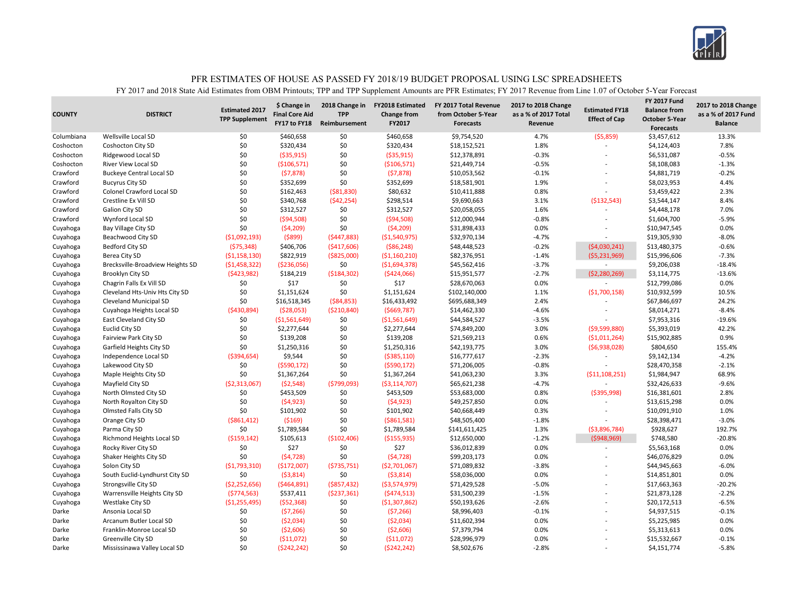

| 4.7%<br>Wellsville Local SD<br>\$0<br>\$460,658<br>\$0<br>\$460,658<br>\$9,754,520<br>(55,859)<br>\$3,457,612<br>Columbiana<br>\$0<br>\$0<br>1.8%<br>\$320,434<br>\$320,434<br>\$18,152,521<br>\$4,124,403<br>Coshocton<br><b>Coshocton City SD</b><br>$\overline{a}$<br>\$0<br>\$0<br>( \$35, 915)<br>$-0.3%$<br>Coshocton<br>Ridgewood Local SD<br>( \$35, 915)<br>\$12,378,891<br>\$6,531,087<br>$\overline{a}$ | 13.3%<br>7.8%<br>$-0.5%$<br>$-1.3%$<br>$-0.2%$<br>4.4%<br>2.3%<br>8.4% |
|--------------------------------------------------------------------------------------------------------------------------------------------------------------------------------------------------------------------------------------------------------------------------------------------------------------------------------------------------------------------------------------------------------------------|------------------------------------------------------------------------|
|                                                                                                                                                                                                                                                                                                                                                                                                                    |                                                                        |
|                                                                                                                                                                                                                                                                                                                                                                                                                    |                                                                        |
|                                                                                                                                                                                                                                                                                                                                                                                                                    |                                                                        |
| \$0<br>\$0<br>( \$106, 571)<br>( \$106, 571)<br>\$21,449,714<br>$-0.5%$<br>Coshocton<br><b>River View Local SD</b><br>\$8,108,083                                                                                                                                                                                                                                                                                  |                                                                        |
| \$0<br>\$0<br>Crawford<br>(57, 878)<br>(57, 878)<br>\$10,053,562<br>$-0.1%$<br>\$4,881,719<br><b>Buckeye Central Local SD</b><br>÷.                                                                                                                                                                                                                                                                                |                                                                        |
| \$0<br>\$0<br>Crawford<br>\$352,699<br>\$352,699<br>\$18,581,901<br>1.9%<br>\$8,023,953<br><b>Bucyrus City SD</b>                                                                                                                                                                                                                                                                                                  |                                                                        |
| \$0<br>\$162,463<br>( \$81, 830)<br>\$80,632<br>\$10,411,888<br>0.8%<br>\$3,459,422<br>Crawford<br>Colonel Crawford Local SD                                                                                                                                                                                                                                                                                       |                                                                        |
| \$0<br>(542, 254)<br>\$298,514<br>Crawford<br>Crestline Ex Vill SD<br>\$340,768<br>\$9,690,663<br>3.1%<br>( \$132, 543)<br>\$3,544,147                                                                                                                                                                                                                                                                             |                                                                        |
| \$0<br>\$312,527<br>\$0<br>\$312,527<br>1.6%<br>Crawford<br><b>Galion City SD</b><br>\$20,058,055<br>\$4,448,178<br>$\overline{a}$                                                                                                                                                                                                                                                                                 | 7.0%                                                                   |
| \$0<br>\$0<br>( \$94, 508)<br>( \$94,508)<br>\$12,000,944<br>$-0.8%$<br>Crawford<br>Wynford Local SD<br>\$1,604,700                                                                                                                                                                                                                                                                                                | $-5.9%$                                                                |
| \$0<br>\$0<br>(54, 209)<br>(54,209)<br>\$31,898,433<br>0.0%<br>\$10,947,545<br>Cuyahoga<br><b>Bay Village City SD</b><br>L,                                                                                                                                                                                                                                                                                        | 0.0%                                                                   |
| (5899)<br>$-4.7%$<br>( \$1,092,193)<br>(5447,883)<br>( \$1,540,975)<br>\$32,970,134<br>\$19,305,930<br>Cuyahoga<br>Beachwood City SD<br>$\overline{a}$                                                                                                                                                                                                                                                             | $-8.0%$                                                                |
| \$406,706<br>( \$86, 248)<br>\$48,448,523<br>$-0.2%$<br>Bedford City SD<br>(575, 348)<br>( \$417,606)<br>(54,030,241)<br>\$13,480,375<br>Cuyahoga                                                                                                                                                                                                                                                                  | $-0.6%$                                                                |
| ( \$1,158,130)<br>\$822,919<br>( \$825,000)<br>\$82,376,951<br>$-1.4%$<br>(55, 231, 969)<br>\$15,996,606<br>Berea City SD<br>( \$1,160,210)<br>Cuyahoga                                                                                                                                                                                                                                                            | $-7.3%$                                                                |
| \$0<br>\$45,562,416<br>$-3.7%$<br>(51, 458, 322)<br>( \$236,056)<br>( \$1,694,378)<br>\$9,206,038<br>Cuyahoga<br>Brecksville-Broadview Heights SD<br>$\sim$                                                                                                                                                                                                                                                        | $-18.4%$                                                               |
| (5423,982)<br>\$15,951,577<br>$-2.7%$<br>Brooklyn City SD<br>\$184,219<br>( \$184, 302)<br>(5424,066)<br>(52, 280, 269)<br>\$3,114,775<br>Cuyahoga                                                                                                                                                                                                                                                                 | $-13.6%$                                                               |
| \$0<br>\$17<br>\$0<br>\$17<br>0.0%<br>\$28,670,063<br>\$12,799,086<br>Cuyahoga<br>Chagrin Falls Ex Vill SD                                                                                                                                                                                                                                                                                                         | 0.0%                                                                   |
| \$0<br>\$0<br>Cleveland Hts-Univ Hts City SD<br>\$1,151,624<br>\$1,151,624<br>\$102,140,000<br>1.1%<br>( \$1,700,158)<br>\$10,932,599<br>Cuyahoga                                                                                                                                                                                                                                                                  | 10.5%                                                                  |
| \$0<br>( \$84, 853)<br>\$695,688,349<br>2.4%<br>Cleveland Municipal SD<br>\$16,518,345<br>\$16,433,492<br>\$67,846,697<br>Cuyahoga                                                                                                                                                                                                                                                                                 | 24.2%                                                                  |
| $-4.6%$<br>(5430,894)<br>(528,053)<br>( \$210, 840)<br>( \$669, 787)<br>\$14,462,330<br>Cuyahoga Heights Local SD<br>\$8,014,271<br>Cuyahoga                                                                                                                                                                                                                                                                       | $-8.4%$                                                                |
| $-3.5%$<br>\$0<br>( \$1,561,649)<br>\$0<br>\$44,584,527<br>\$7,953,316<br>Cuyahoga<br>East Cleveland City SD<br>( \$1,561,649)<br>$\overline{\phantom{a}}$                                                                                                                                                                                                                                                         | $-19.6%$                                                               |
| \$0<br>\$0<br>3.0%<br><b>Euclid City SD</b><br>\$2,277,644<br>\$2,277,644<br>\$74,849,200<br>(59,599,880)<br>\$5,393,019<br>Cuyahoga                                                                                                                                                                                                                                                                               | 42.2%                                                                  |
| \$0<br>\$0<br>\$139,208<br>\$139,208<br>\$21,569,213<br>0.6%<br>\$15,902,885<br>Fairview Park City SD<br>(51,011,264)<br>Cuyahoga                                                                                                                                                                                                                                                                                  | 0.9%                                                                   |
| \$0<br>\$1,250,316<br>\$0<br>3.0%<br>\$1,250,316<br>\$42,193,775<br>(56,938,028)<br>\$804,650<br>Cuyahoga<br>Garfield Heights City SD                                                                                                                                                                                                                                                                              | 155.4%                                                                 |
| \$0<br>\$9,544<br>\$16,777,617<br>$-2.3%$<br>Independence Local SD<br>(5394, 654)<br>( \$385,110)<br>\$9,142,134<br>Cuyahoga                                                                                                                                                                                                                                                                                       | $-4.2%$                                                                |
| \$0<br>\$0<br>(5590, 172)<br>\$71,206,005<br>$-0.8%$<br>\$28,470,358<br>Lakewood City SD<br>(5590, 172)<br>Cuyahoga                                                                                                                                                                                                                                                                                                | $-2.1%$                                                                |
| \$0<br>\$0<br>\$1,367,264<br>\$1,367,264<br>\$41,063,230<br>3.3%<br>\$1,984,947<br>Cuyahoga<br>Maple Heights City SD<br>( \$11,108,251)                                                                                                                                                                                                                                                                            | 68.9%                                                                  |
| (52,548)<br>(5799,093)<br>$-4.7%$<br>Mayfield City SD<br>( \$2,313,067)<br>( \$3,114,707)<br>\$65,621,238<br>\$32,426,633<br>Cuyahoga                                                                                                                                                                                                                                                                              | $-9.6%$                                                                |
| \$0<br>\$453,509<br>\$0<br>\$453,509<br>\$53,683,000<br>0.8%<br>( \$395, 998)<br>North Olmsted City SD<br>\$16,381,601<br>Cuyahoga                                                                                                                                                                                                                                                                                 | 2.8%                                                                   |
| \$0<br>\$0<br>(54, 923)<br>(54, 923)<br>\$49,257,850<br>0.0%<br>Cuyahoga<br>North Royalton City SD<br>\$13,615,298                                                                                                                                                                                                                                                                                                 | 0.0%                                                                   |
| \$0<br>\$0<br>\$40,668,449<br>Olmsted Falls City SD<br>\$101,902<br>\$101,902<br>0.3%<br>\$10,091,910<br>Cuyahoga                                                                                                                                                                                                                                                                                                  | 1.0%                                                                   |
| \$0<br>(5169)<br>( \$861, 581)<br>\$48,505,400<br>$-1.8%$<br>\$28,398,471<br>Orange City SD<br>( \$861, 412)<br>Cuyahoga                                                                                                                                                                                                                                                                                           | $-3.0%$                                                                |
| \$0<br>\$0<br>\$1,789,584<br>\$1,789,584<br>\$141,611,425<br>1.3%<br>(53,896,784)<br>\$928,627<br>Cuyahoga<br>Parma City SD                                                                                                                                                                                                                                                                                        | 192.7%                                                                 |
| ( \$159, 142)<br>\$105,613<br>$-1.2%$<br>\$748,580<br>( \$102,406)<br>( \$155, 935)<br>\$12,650,000<br>( \$948, 969)<br>Cuyahoga<br>Richmond Heights Local SD                                                                                                                                                                                                                                                      | $-20.8%$                                                               |
| \$27<br>\$0<br>\$0<br>\$27<br>\$36,012,839<br>0.0%<br>Rocky River City SD<br>\$5,563,168<br>Cuyahoga                                                                                                                                                                                                                                                                                                               | 0.0%                                                                   |
| \$0<br>\$0<br>(54, 728)<br>(54, 728)<br>\$99,203,173<br>0.0%<br>\$46,076,829<br>Cuyahoga<br>Shaker Heights City SD<br>÷.                                                                                                                                                                                                                                                                                           | 0.0%                                                                   |
| $-3.8%$<br>Solon City SD<br>( \$1,793,310)<br>(\$172,007)<br>( \$735, 751)<br>\$71,089,832<br>\$44,945,663<br>Cuyahoga<br>( \$2,701,067)<br>÷                                                                                                                                                                                                                                                                      | $-6.0%$                                                                |
| \$0<br>\$0<br>0.0%<br>South Euclid-Lyndhurst City SD<br>(53,814)<br>( \$3,814)<br>\$58,036,000<br>\$14,851,801<br>Cuyahoga                                                                                                                                                                                                                                                                                         | 0.0%                                                                   |
| (52, 252, 656)<br>( \$464, 891)<br>\$71,429,528<br>$-5.0%$<br>\$17,663,363<br>Cuyahoga<br>Strongsville City SD<br>$($ \$857,432)<br>( \$3,574,979)<br>L,                                                                                                                                                                                                                                                           | $-20.2%$                                                               |
| \$31,500,239<br>$-1.5%$<br>Warrensville Heights City SD<br>(5774, 563)<br>\$537,411<br>( \$237, 361)<br>(5474,513)<br>\$21,873,128<br>Cuyahoga                                                                                                                                                                                                                                                                     | $-2.2%$                                                                |
| \$0<br>\$50,193,626<br>$-2.6%$<br>Westlake City SD<br>( \$1,255,495)<br>(552, 368)<br>( \$1,307,862)<br>\$20,172,513<br>Cuyahoga                                                                                                                                                                                                                                                                                   | $-6.5%$                                                                |
| \$0<br>\$0<br>(57, 266)<br>(57,266)<br>\$8,996,403<br>$-0.1%$<br>\$4,937,515<br>Darke<br>Ansonia Local SD                                                                                                                                                                                                                                                                                                          | $-0.1%$                                                                |
| \$0<br>\$0<br>0.0%<br>Darke<br>(52,034)<br>(52,034)<br>\$11,602,394<br>\$5,225,985<br>Arcanum Butler Local SD<br>÷.                                                                                                                                                                                                                                                                                                | 0.0%                                                                   |
| \$0<br>\$0<br>\$7,379,794<br>0.0%<br>Darke<br>Franklin-Monroe Local SD<br>( \$2,606)<br>( \$2,606)<br>\$5,313,613                                                                                                                                                                                                                                                                                                  | 0.0%                                                                   |
| \$0<br>\$0<br>Darke<br>\$28,996,979<br>0.0%<br>Greenville City SD<br>( \$11,072)<br>(511,072)<br>\$15,532,667                                                                                                                                                                                                                                                                                                      | $-0.1%$                                                                |
| \$0<br>(5242, 242)<br>\$0<br>$-2.8%$<br>Darke<br>(5242, 242)<br>\$8,502,676<br>\$4,151,774<br>Mississinawa Valley Local SD<br>J.                                                                                                                                                                                                                                                                                   | $-5.8%$                                                                |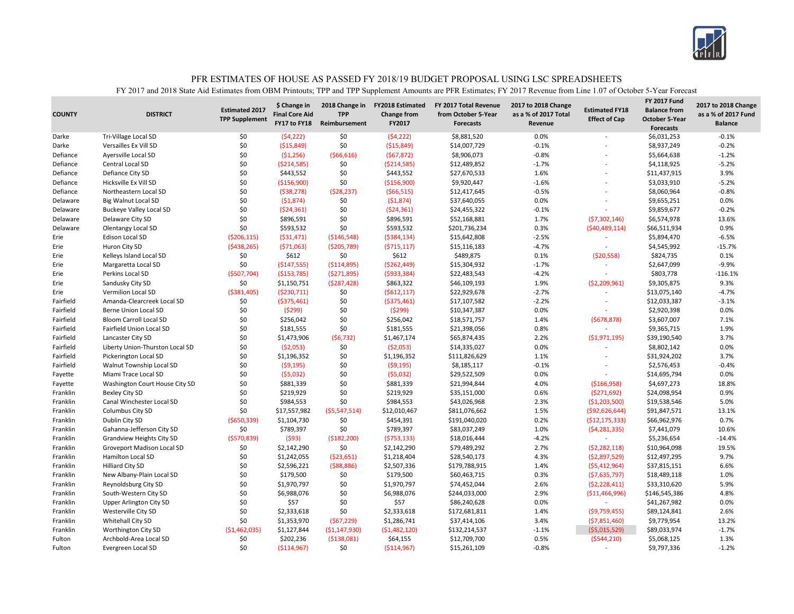

| \$ Change in<br>2018 Change in<br><b>FY2018 Estimated</b><br>FY 2017 Total Revenue<br>2017 to 2018 Change<br><b>Estimated 2017</b><br><b>Final Core Aid</b><br><b>COUNTY</b><br><b>DISTRICT</b><br><b>TPP</b><br><b>Change from</b><br>from October 5-Year<br>as a % of 2017 Total<br><b>TPP Supplement</b> | <b>FY 2017 Fund</b><br>2017 to 2018 Change<br><b>Estimated FY18</b><br><b>Balance from</b><br>as a % of 2017 Fund<br><b>Effect of Cap</b><br><b>October 5-Year</b> |
|-------------------------------------------------------------------------------------------------------------------------------------------------------------------------------------------------------------------------------------------------------------------------------------------------------------|--------------------------------------------------------------------------------------------------------------------------------------------------------------------|
| FY17 to FY18<br>FY2017<br>Reimbursement<br><b>Forecasts</b><br>Revenue                                                                                                                                                                                                                                      | <b>Balance</b><br><b>Forecasts</b>                                                                                                                                 |
| 0.0%<br>Tri-Village Local SD<br>\$0<br>(54, 222)<br>\$0<br>(54, 222)<br>\$8,881,520<br>Darke                                                                                                                                                                                                                | \$6,031,253<br>$-0.1%$                                                                                                                                             |
| \$0<br>( \$15, 849)<br>\$0<br>( \$15, 849)<br>\$14,007,729<br>$-0.1%$<br>Darke<br>Versailles Ex Vill SD                                                                                                                                                                                                     | \$8,937,249<br>$-0.2%$                                                                                                                                             |
| \$0<br>(51,256)<br>( \$66, 616)<br>\$8,906,073<br>$-0.8%$<br>Defiance<br>Ayersville Local SD<br>(567, 872)                                                                                                                                                                                                  | $-1.2%$<br>\$5,664,638                                                                                                                                             |
| \$0<br>\$0<br>( \$214, 585)<br>( \$214, 585)<br>\$12,489,852<br>$-1.7%$<br>Defiance<br>Central Local SD                                                                                                                                                                                                     | $-5.2%$<br>\$4,118,925                                                                                                                                             |
| \$0<br>\$0<br>\$443,552<br>1.6%<br>Defiance<br>Defiance City SD<br>\$443,552<br>\$27,670,533                                                                                                                                                                                                                | 3.9%<br>\$11,437,915                                                                                                                                               |
| \$0<br>( \$156, 900)<br>\$0<br>(\$156,900)<br>\$9,920,447<br>$-1.6%$<br>Defiance<br>Hicksville Ex Vill SD                                                                                                                                                                                                   | $-5.2%$<br>\$3,033,910                                                                                                                                             |
| \$0<br>(538, 278)<br>(528, 237)<br>( \$66, 515)<br>\$12,417,645<br>$-0.5%$<br>Defiance<br>Northeastern Local SD                                                                                                                                                                                             | \$8,060,964<br>$-0.8%$                                                                                                                                             |
| \$0<br>(51, 874)<br>\$0<br>(51, 874)<br>0.0%<br>Delaware<br><b>Big Walnut Local SD</b><br>\$37,640,055                                                                                                                                                                                                      | 0.0%<br>\$9,655,251                                                                                                                                                |
| \$0<br>\$0<br>(524, 361)<br>(524, 361)<br>\$24,455,322<br>$-0.1%$<br>Delaware<br><b>Buckeye Valley Local SD</b>                                                                                                                                                                                             | \$9,859,677<br>$-0.2%$                                                                                                                                             |
| \$0<br>\$0<br>Delaware City SD<br>\$896,591<br>\$896,591<br>\$52,168,881<br>1.7%<br>Delaware                                                                                                                                                                                                                | 13.6%<br>(57,302,146)<br>\$6,574,978                                                                                                                               |
| \$0<br>\$0<br>\$593,532<br>\$593,532<br>\$201,736,234<br>0.3%<br>Delaware<br>Olentangy Local SD                                                                                                                                                                                                             | 0.9%<br>(540, 489, 114)<br>\$66,511,934                                                                                                                            |
| ( \$31,471)<br>( \$146, 548)<br>( \$384, 134)<br>\$15,642,808<br>$-2.5%$<br>Erie<br>Edison Local SD<br>( \$206, 115)                                                                                                                                                                                        | \$5,894,470<br>$-6.5%$                                                                                                                                             |
| $-4.7%$<br>Erie<br>Huron City SD<br>(5438, 265)<br>(571,063)<br>( \$205,789)<br>(5715, 117)<br>\$15,116,183                                                                                                                                                                                                 | $-15.7%$<br>\$4,545,992<br>÷                                                                                                                                       |
| \$0<br>\$612<br>\$0<br>\$612<br>\$489,875<br>0.1%<br>Erie<br>Kelleys Island Local SD                                                                                                                                                                                                                        | \$824,735<br>0.1%<br>(520, 558)                                                                                                                                    |
| \$0<br>Erie<br>( \$147, 555)<br>( \$114, 895)<br>( \$262, 449)<br>\$15,304,932<br>$-1.7%$<br>Margaretta Local SD                                                                                                                                                                                            | $-9.9%$<br>\$2,647,099<br>$\sim$                                                                                                                                   |
| $-4.2%$<br>Erie<br>Perkins Local SD<br>(\$507,704)<br>( \$153, 785)<br>(5271,895)<br>( \$933, 384)<br>\$22,483,543                                                                                                                                                                                          | \$803,778<br>$-116.1%$                                                                                                                                             |
| Erie<br>\$0<br>\$1,150,751<br>(5287, 428)<br>\$863,322<br>\$46,109,193<br>1.9%<br>Sandusky City SD                                                                                                                                                                                                          | \$9,305,875<br>9.3%<br>( \$2,209,961)                                                                                                                              |
| \$0<br>$-2.7%$<br>Vermilion Local SD<br>( \$381,405)<br>(5230, 711)<br>( \$612, 117)<br>\$22,929,678<br>Erie                                                                                                                                                                                                | \$13,075,140<br>$-4.7%$                                                                                                                                            |
| \$0<br>\$17,107,582<br>$-2.2%$<br>Fairfield<br>Amanda-Clearcreek Local SD<br>\$0<br>( \$375,461)<br>( \$375,461)                                                                                                                                                                                            | $-3.1%$<br>\$12,033,387<br>$\overline{\phantom{a}}$                                                                                                                |
| \$0<br>Fairfield<br>\$0<br>(5299)<br>(5299)<br>\$10,347,387<br>0.0%<br>Berne Union Local SD                                                                                                                                                                                                                 | 0.0%<br>\$2,920,398                                                                                                                                                |
| \$0<br>\$0<br>Fairfield<br>\$256,042<br>\$256,042<br>\$18,571,757<br>1.4%<br><b>Bloom Carroll Local SD</b>                                                                                                                                                                                                  | 7.1%<br>(5678, 878)<br>\$3,607,007                                                                                                                                 |
| \$0<br>\$0<br>\$181,555<br>0.8%<br>Fairfield<br>Fairfield Union Local SD<br>\$181,555<br>\$21,398,056                                                                                                                                                                                                       | 1.9%<br>\$9,365,715                                                                                                                                                |
| \$0<br>Fairfield<br>\$1,473,906<br>(56, 732)<br>\$1,467,174<br>\$65,874,435<br>2.2%<br>Lancaster City SD                                                                                                                                                                                                    | ( \$1,971,195)<br>\$39,190,540<br>3.7%                                                                                                                             |
| \$0<br>\$0<br>( \$2,053)<br>0.0%<br>Fairfield<br>Liberty Union-Thurston Local SD<br>( \$2,053)<br>\$14,335,027                                                                                                                                                                                              | 0.0%<br>\$8,802,142                                                                                                                                                |
| \$0<br>Fairfield<br>\$0<br>\$111,826,629<br>1.1%<br>Pickerington Local SD<br>\$1,196,352<br>\$1,196,352                                                                                                                                                                                                     | 3.7%<br>\$31,924,202                                                                                                                                               |
| \$0<br>\$0<br>$-0.1%$<br>Fairfield<br>(59, 195)<br>(59, 195)<br>\$8,185,117<br>Walnut Township Local SD                                                                                                                                                                                                     | \$2,576,453<br>$-0.4%$                                                                                                                                             |
| \$0<br>\$0<br>(55,032)<br>\$29,522,509<br>0.0%<br>Miami Trace Local SD<br>(55,032)<br>Fayette                                                                                                                                                                                                               | 0.0%<br>\$14,695,794<br>$\overline{a}$                                                                                                                             |
| \$0<br>\$0<br>\$881,339<br>\$881,339<br>\$21,994,844<br>4.0%<br>Washington Court House City SD<br>Fayette                                                                                                                                                                                                   | \$4,697,273<br>18.8%<br>( \$166, 958)                                                                                                                              |
| \$0<br>\$0<br>\$219,929<br>Franklin<br><b>Bexley City SD</b><br>\$219,929<br>\$35,151,000<br>0.6%                                                                                                                                                                                                           | 0.9%<br>( \$271, 692)<br>\$24,098,954                                                                                                                              |
| \$0<br>\$984,553<br>\$0<br>\$984,553<br>\$43,026,968<br>2.3%<br>Franklin<br>Canal Winchester Local SD                                                                                                                                                                                                       | 5.0%<br>( \$1,203,500)<br>\$19,538,546                                                                                                                             |
| \$0<br>\$17,557,982<br>( \$5,547,514)<br>\$12,010,467<br>\$811,076,662<br>1.5%<br>Franklin<br>Columbus City SD                                                                                                                                                                                              | \$91,847,571<br>13.1%<br>( \$92, 626, 644)                                                                                                                         |
| \$0<br>0.2%<br>Franklin<br>Dublin City SD<br>( \$650, 339)<br>\$1,104,730<br>\$454,391<br>\$191,040,020                                                                                                                                                                                                     | 0.7%<br>( \$12, 175, 333)<br>\$66,962,976                                                                                                                          |
| \$0<br>\$789,397<br>\$0<br>\$789,397<br>\$83,037,249<br>1.0%<br>Franklin<br>Gahanna-Jefferson City SD                                                                                                                                                                                                       | 10.6%<br>(54, 281, 335)<br>\$7,441,079                                                                                                                             |
| Franklin<br>( \$570, 839)<br>(593)<br>( \$182, 200)<br>(5753, 133)<br>\$18,016,444<br>$-4.2%$<br>Grandview Heights City SD                                                                                                                                                                                  | \$5,236,654<br>$-14.4%$<br>$\overline{\phantom{a}}$                                                                                                                |
| \$0<br>\$0<br>2.7%<br>Franklin<br>\$2,142,290<br>\$2,142,290<br>\$79,489,292<br>Groveport Madison Local SD                                                                                                                                                                                                  | 19.5%<br>(52, 282, 118)<br>\$10,964,098                                                                                                                            |
| \$0<br>\$1,242,055<br>\$1,218,404<br>\$28,540,173<br>4.3%<br>Franklin<br>Hamilton Local SD<br>(523, 651)                                                                                                                                                                                                    | 9.7%<br>(52,897,529)<br>\$12,497,295                                                                                                                               |
| Franklin<br><b>Hilliard City SD</b><br>\$0<br>\$2,596,221<br>(588, 886)<br>\$2,507,336<br>\$179,788,915<br>1.4%                                                                                                                                                                                             | (55, 412, 964)<br>6.6%<br>\$37,815,151                                                                                                                             |
| \$0<br>\$179,500<br>\$0<br>0.3%<br>Franklin<br>New Albany-Plain Local SD<br>\$179,500<br>\$60,463,715                                                                                                                                                                                                       | 1.0%<br>(57,635,797)<br>\$18,489,118                                                                                                                               |
| Franklin<br>\$0<br>\$1,970,797<br>\$0<br>\$1,970,797<br>\$74,452,044<br>2.6%<br>Reynoldsburg City SD                                                                                                                                                                                                        | 5.9%<br>(52, 228, 411)<br>\$33,310,620                                                                                                                             |
| \$0<br>\$0<br>2.9%<br>Franklin<br>South-Western City SD<br>\$6,988,076<br>\$6,988,076<br>\$244,033,000                                                                                                                                                                                                      | \$146,545,386<br>4.8%<br>( \$11,466,996)                                                                                                                           |
| \$0<br>\$57<br>\$0<br>\$57<br>\$86,240,628<br>0.0%<br>Franklin<br>Upper Arlington City SD                                                                                                                                                                                                                   | \$41,267,982<br>0.0%<br>÷.                                                                                                                                         |
| Westerville City SD<br>\$0<br>\$2,333,618<br>\$0<br>\$2,333,618<br>\$172,681,811<br>1.4%<br>Franklin                                                                                                                                                                                                        | \$89,124,841<br>2.6%<br>(59,759,455)                                                                                                                               |
| Franklin<br>Whitehall City SD<br>\$0<br>\$1,353,970<br>(567, 229)<br>\$1,286,741<br>\$37,414,106<br>3.4%                                                                                                                                                                                                    | ( \$7,851,460)<br>\$9,779,954<br>13.2%                                                                                                                             |
| (\$1,462,035)<br>\$1,127,844<br>( \$1,147,930)<br>Franklin<br>Worthington City SD<br>( \$1,482,120)<br>\$132,214,537<br>$-1.1%$                                                                                                                                                                             | $-1.7%$<br>( \$5,015,529)<br>\$89,033,974                                                                                                                          |
| \$202,236<br>\$0<br>( \$138,081)<br>\$64,155<br>\$12,709,700<br>0.5%<br>Fulton<br>Archbold-Area Local SD                                                                                                                                                                                                    | (5544, 210)<br>\$5,068,125<br>1.3%                                                                                                                                 |
| \$0<br>\$0<br>$-0.8%$<br>( \$114, 967)<br>( \$114, 967)<br>\$15,261,109<br>Fulton<br>Evergreen Local SD                                                                                                                                                                                                     | \$9,797,336<br>$-1.2%$<br>$\sim$                                                                                                                                   |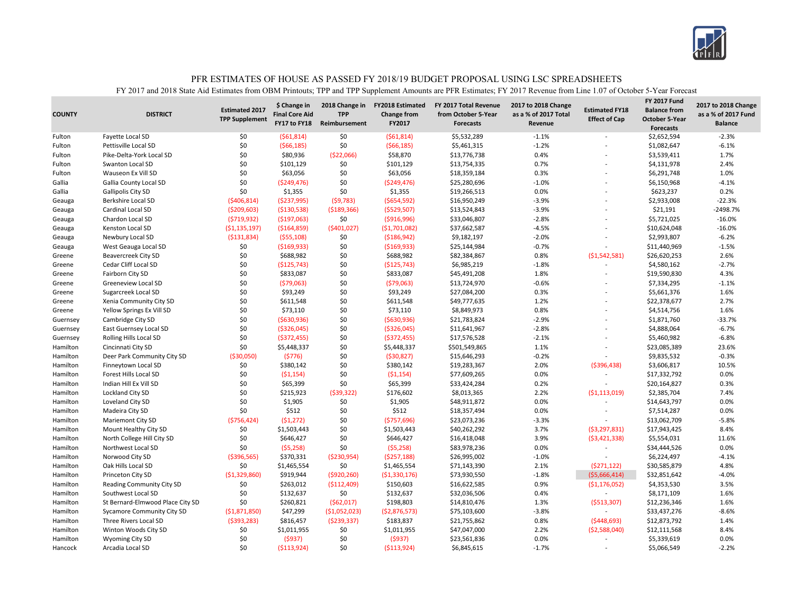

| <b>COUNTY</b>        | <b>DISTRICT</b>                                     | <b>Estimated 2017</b><br><b>TPP Supplement</b> | \$ Change in<br><b>Final Core Aid</b><br>FY17 to FY18 | 2018 Change in<br><b>TPP</b><br>Reimbursement | <b>FY2018 Estimated</b><br><b>Change from</b><br>FY2017 | FY 2017 Total Revenue<br>from October 5-Year<br><b>Forecasts</b> | 2017 to 2018 Change<br>as a % of 2017 Total<br>Revenue | <b>Estimated FY18</b><br><b>Effect of Cap</b> | <b>FY 2017 Fund</b><br><b>Balance from</b><br><b>October 5-Year</b><br><b>Forecasts</b> | 2017 to 2018 Change<br>as a % of 2017 Fund<br><b>Balance</b> |
|----------------------|-----------------------------------------------------|------------------------------------------------|-------------------------------------------------------|-----------------------------------------------|---------------------------------------------------------|------------------------------------------------------------------|--------------------------------------------------------|-----------------------------------------------|-----------------------------------------------------------------------------------------|--------------------------------------------------------------|
| Fulton               | Fayette Local SD                                    | \$0                                            | (561, 814)                                            | \$0                                           | (561, 814)                                              | \$5,532,289                                                      | $-1.1%$                                                |                                               | \$2,652,594                                                                             | $-2.3%$                                                      |
| Fulton               | Pettisville Local SD                                | \$0                                            | (566, 185)                                            | \$0                                           | (566, 185)                                              | \$5,461,315                                                      | $-1.2%$                                                | ÷.                                            | \$1,082,647                                                                             | $-6.1%$                                                      |
| Fulton               | Pike-Delta-York Local SD                            | \$0                                            | \$80,936                                              | ( \$22,066)                                   | \$58,870                                                | \$13,776,738                                                     | 0.4%                                                   |                                               | \$3,539,411                                                                             | 1.7%                                                         |
| Fulton               | Swanton Local SD                                    | \$0                                            | \$101,129                                             | \$0                                           | \$101,129                                               | \$13,754,335                                                     | 0.7%                                                   |                                               | \$4,131,978                                                                             | 2.4%                                                         |
| Fulton               | Wauseon Ex Vill SD                                  | \$0                                            | \$63,056                                              | \$0                                           | \$63,056                                                | \$18,359,184                                                     | 0.3%                                                   |                                               | \$6,291,748                                                                             | 1.0%                                                         |
| Gallia               | Gallia County Local SD                              | \$0                                            | ( \$249, 476)                                         | \$0                                           | ( \$249, 476)                                           | \$25,280,696                                                     | $-1.0%$                                                |                                               | \$6,150,968                                                                             | $-4.1%$                                                      |
| Gallia               | Gallipolis City SD                                  | \$0                                            | \$1,355                                               | \$0                                           | \$1,355                                                 | \$19,266,513                                                     | 0.0%                                                   |                                               | \$623,237                                                                               | 0.2%                                                         |
| Geauga               | <b>Berkshire Local SD</b>                           | ( \$406, 814)                                  | ( \$237, 995)                                         | (59, 783)                                     | ( \$654, 592)                                           | \$16,950,249                                                     | $-3.9%$                                                |                                               | \$2,933,008                                                                             | $-22.3%$                                                     |
| Geauga               | Cardinal Local SD                                   | ( \$209,603)                                   | ( \$130, 538)                                         | ( \$189, 366)                                 | ( \$529, 507)                                           | \$13,524,843                                                     | $-3.9%$                                                | L,                                            | \$21,191                                                                                | $-2498.7%$                                                   |
| Geauga               | Chardon Local SD                                    | (5719, 932)                                    | ( \$197,063)                                          | \$0                                           | ( \$916, 996)                                           | \$33,046,807                                                     | $-2.8%$                                                |                                               | \$5,721,025                                                                             | $-16.0%$                                                     |
| Geauga               | Kenston Local SD                                    | (51, 135, 197)                                 | (5164, 859)                                           | (5401, 027)                                   | (51,701,082)                                            | \$37,662,587                                                     | $-4.5%$                                                | L,                                            | \$10,624,048                                                                            | $-16.0%$                                                     |
| Geauga               | Newbury Local SD                                    | ( \$131, 834)                                  | (555, 108)                                            | \$0                                           | ( \$186, 942)                                           | \$9,182,197                                                      | $-2.0%$                                                |                                               | \$2,993,807                                                                             | $-6.2%$                                                      |
| Geauga               | West Geauga Local SD                                | \$0                                            | ( \$169, 933)                                         | \$0                                           | ( \$169, 933)                                           | \$25,144,984                                                     | $-0.7%$                                                |                                               | \$11,440,969                                                                            | $-1.5%$                                                      |
| Greene               | <b>Beavercreek City SD</b>                          | \$0                                            | \$688,982                                             | \$0                                           | \$688,982                                               | \$82,384,867                                                     | 0.8%                                                   | (51,542,581)                                  | \$26,620,253                                                                            | 2.6%                                                         |
| Greene               | Cedar Cliff Local SD                                | \$0                                            | (\$125,743)                                           | \$0                                           | (\$125,743)                                             | \$6,985,219                                                      | $-1.8%$                                                | $\overline{a}$                                | \$4,580,162                                                                             | $-2.7%$                                                      |
| Greene               | Fairborn City SD                                    | \$0                                            | \$833,087                                             | \$0                                           | \$833,087                                               | \$45,491,208                                                     | 1.8%                                                   |                                               | \$19,590,830                                                                            | 4.3%                                                         |
| Greene               | Greeneview Local SD                                 | \$0                                            | (579,063)                                             | \$0                                           | (579,063)                                               | \$13,724,970                                                     | $-0.6%$                                                | L,                                            | \$7,334,295                                                                             | $-1.1%$                                                      |
| Greene               | Sugarcreek Local SD                                 | \$0                                            | \$93,249                                              | \$0                                           | \$93,249                                                | \$27,084,200                                                     | 0.3%                                                   | ÷.                                            | \$5,661,376                                                                             | 1.6%                                                         |
| Greene               | Xenia Community City SD                             | \$0                                            | \$611,548                                             | \$0                                           | \$611,548                                               | \$49,777,635                                                     | 1.2%                                                   |                                               | \$22,378,677                                                                            | 2.7%                                                         |
| Greene               | Yellow Springs Ex Vill SD                           | \$0                                            | \$73,110                                              | \$0                                           | \$73,110                                                | \$8,849,973                                                      | 0.8%                                                   |                                               | \$4,514,756                                                                             | 1.6%                                                         |
| Guernsey             | Cambridge City SD                                   | \$0                                            | ( \$630, 936)                                         | \$0                                           | (5630, 936)                                             | \$21,783,824                                                     | $-2.9%$                                                | L,                                            | \$1,871,760                                                                             | $-33.7%$                                                     |
| Guernsey             | East Guernsey Local SD                              | \$0                                            | ( \$326,045)                                          | \$0                                           | ( \$326,045)                                            | \$11,641,967                                                     | $-2.8%$                                                |                                               | \$4,888,064                                                                             | $-6.7%$                                                      |
| Guernsey             | Rolling Hills Local SD                              | \$0                                            | ( \$372,455)                                          | \$0                                           | ( \$372,455)                                            | \$17,576,528                                                     | $-2.1%$                                                |                                               | \$5,460,982                                                                             | $-6.8%$                                                      |
| Hamilton             | Cincinnati City SD                                  | \$0                                            | \$5,448,337                                           | \$0                                           | \$5,448,337                                             | \$501,549,865                                                    | 1.1%                                                   | ÷.                                            | \$23,085,389                                                                            | 23.6%                                                        |
| Hamilton             | Deer Park Community City SD                         | ( \$30,050)                                    | (5776)                                                | \$0                                           | ( \$30, 827)                                            | \$15,646,293                                                     | $-0.2%$                                                |                                               | \$9,835,532                                                                             | $-0.3%$                                                      |
| Hamilton             | Finneytown Local SD                                 | \$0                                            | \$380,142                                             | \$0                                           | \$380,142                                               | \$19,283,367                                                     | 2.0%                                                   | ( \$396, 438)                                 | \$3,606,817                                                                             | 10.5%                                                        |
| Hamilton             | Forest Hills Local SD                               | \$0                                            | (51, 154)                                             | \$0                                           | (51, 154)                                               | \$77,609,265                                                     | 0.0%                                                   |                                               | \$17,332,792                                                                            | 0.0%                                                         |
| Hamilton             | Indian Hill Ex Vill SD                              | \$0                                            | \$65,399                                              | \$0                                           | \$65,399                                                | \$33,424,284                                                     | 0.2%                                                   |                                               | \$20,164,827                                                                            | 0.3%                                                         |
| Hamilton             | Lockland City SD                                    | \$0                                            | \$215,923                                             | (539, 322)                                    | \$176,602                                               | \$8,013,365                                                      | 2.2%                                                   | (51, 113, 019)                                | \$2,385,704                                                                             | 7.4%                                                         |
| Hamilton             | Loveland City SD                                    | \$0                                            | \$1,905                                               | \$0                                           | \$1,905                                                 | \$48,911,872                                                     | 0.0%                                                   |                                               | \$14,643,797                                                                            | 0.0%                                                         |
| Hamilton             | Madeira City SD                                     | \$0                                            | \$512                                                 | \$0                                           | \$512                                                   | \$18,357,494                                                     | 0.0%                                                   |                                               | \$7,514,287                                                                             | 0.0%                                                         |
| Hamilton             | Mariemont City SD                                   | ( \$756, 424)                                  | (51, 272)                                             | \$0                                           | ( \$757, 696)                                           | \$23,073,236                                                     | $-3.3%$                                                |                                               | \$13,062,709                                                                            | $-5.8%$                                                      |
| Hamilton             | Mount Healthy City SD                               | \$0                                            | \$1,503,443                                           | \$0                                           | \$1,503,443                                             | \$40,262,292                                                     | 3.7%                                                   | (53, 297, 831)                                | \$17,943,425                                                                            | 8.4%                                                         |
| Hamilton             | North College Hill City SD                          | \$0                                            | \$646,427                                             | \$0                                           | \$646,427                                               | \$16,418,048                                                     | 3.9%                                                   | ( \$3,421,338)                                | \$5,554,031                                                                             | 11.6%                                                        |
| Hamilton             | Northwest Local SD                                  | \$0                                            | (55, 258)                                             | \$0                                           | (55, 258)                                               | \$83,978,236                                                     | 0.0%                                                   |                                               | \$34,444,526                                                                            | 0.0%                                                         |
| Hamilton             | Norwood City SD                                     | ( \$396, 565)                                  | \$370,331                                             | ( \$230, 954)                                 | (5257, 188)                                             | \$26,995,002                                                     | $-1.0%$                                                | $\overline{a}$                                | \$6,224,497                                                                             | $-4.1%$                                                      |
| Hamilton             | Oak Hills Local SD                                  | \$0                                            | \$1,465,554                                           | \$0                                           | \$1,465,554                                             | \$71,143,390                                                     | 2.1%                                                   | (5271, 122)                                   | \$30,585,879                                                                            | 4.8%                                                         |
| Hamilton             | Princeton City SD                                   | ( \$1,329,860)                                 | \$919,944                                             | ( \$920, 260)                                 | ( \$1,330,176)                                          | \$73,930,550                                                     | $-1.8%$                                                | ( \$5,666,414)                                | \$32,851,642                                                                            | $-4.0%$                                                      |
| Hamilton             | Reading Community City SD                           | \$0                                            | \$263,012                                             | ( \$112,409)                                  | \$150,603                                               | \$16,622,585                                                     | 0.9%                                                   | (51, 176, 052)                                | \$4,353,530                                                                             | 3.5%                                                         |
| Hamilton             | Southwest Local SD                                  | \$0                                            | \$132,637                                             | \$0                                           | \$132,637                                               | \$32,036,506                                                     | 0.4%                                                   | $\overline{a}$                                | \$8,171,109                                                                             | 1.6%                                                         |
|                      |                                                     | \$0                                            | \$260,821                                             |                                               |                                                         | \$14,810,476                                                     |                                                        |                                               |                                                                                         | 1.6%                                                         |
| Hamilton             | St Bernard-Elmwood Place City SD                    |                                                | \$47,299                                              | (562,017)                                     | \$198,803                                               |                                                                  | 1.3%<br>$-3.8%$                                        | ( \$513, 307)<br>$\overline{\phantom{a}}$     | \$12,236,346                                                                            | $-8.6%$                                                      |
| Hamilton<br>Hamilton | Sycamore Community City SD<br>Three Rivers Local SD | ( \$1,871,850)<br>(5393, 283)                  | \$816,457                                             | ( \$1,052,023)<br>(5239, 337)                 | (52,876,573)<br>\$183,837                               | \$75,103,600<br>\$21,755,862                                     | 0.8%                                                   | (5448, 693)                                   | \$33,437,276<br>\$12,873,792                                                            | 1.4%                                                         |
| Hamilton             |                                                     | \$0                                            |                                                       | \$0                                           |                                                         |                                                                  | 2.2%                                                   |                                               |                                                                                         | 8.4%                                                         |
| Hamilton             | Winton Woods City SD                                | \$0                                            | \$1,011,955<br>(5937)                                 | \$0                                           | \$1,011,955<br>(5937)                                   | \$47,047,000<br>\$23,561,836                                     | 0.0%                                                   | (52,588,040)                                  | \$12,111,568<br>\$5,339,619                                                             | 0.0%                                                         |
|                      | <b>Wyoming City SD</b>                              | \$0                                            |                                                       | \$0                                           |                                                         | \$6.845.615                                                      | $-1.7%$                                                | $\overline{a}$                                |                                                                                         | $-2.2%$                                                      |
| Hancock              | Arcadia Local SD                                    |                                                | (5113, 924)                                           |                                               | (5113, 924)                                             |                                                                  |                                                        |                                               | \$5,066,549                                                                             |                                                              |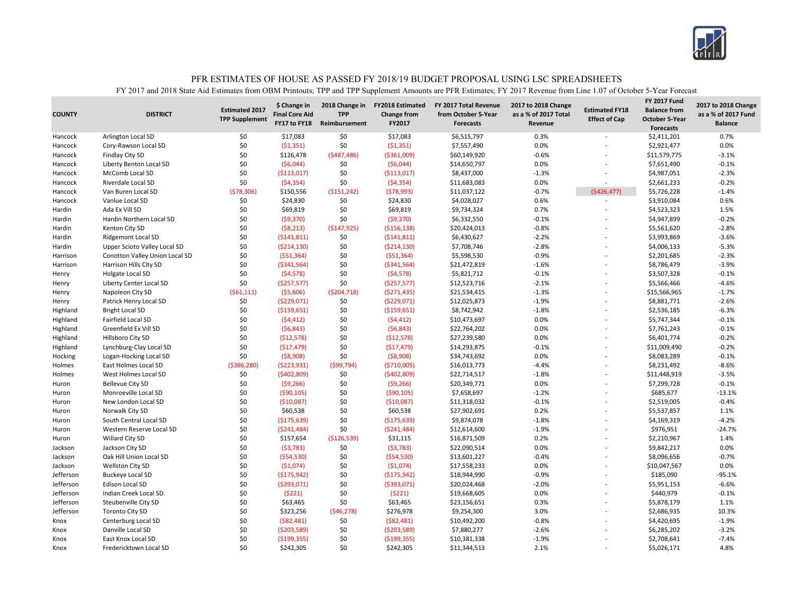

| <b>Forecasts</b><br>Arlington Local SD<br>\$0<br>\$17,083<br>\$0<br>\$17,083<br>0.3%<br>0.7%<br>Hancock<br>\$6,515,797<br>\$2,411,201<br>\$0<br>\$0<br>(51, 351)<br>0.0%<br>0.0%<br>Cory-Rawson Local SD<br>(51, 351)<br>\$7,557,490<br>\$2,921,477<br>Hancock<br>\$0<br>(5487, 486)<br>$-0.6%$<br>$-3.1%$<br>Findlay City SD<br>\$126,478<br>( \$361,009)<br>\$60,149,920<br>\$11,579,775<br>Hancock<br>\$0<br>(56,044)<br>\$0<br>(56,044)<br>\$14,650,797<br>0.0%<br>$-0.1%$<br>Hancock<br>Liberty Benton Local SD<br>\$7,651,490<br>\$0<br>\$0<br>$-2.3%$<br><b>McComb Local SD</b><br>( \$113,017)<br>\$8,437,000<br>$-1.3%$<br>\$4,987,051<br>Hancock<br>( \$113,017)<br>\$0<br>\$0<br>0.0%<br>$-0.2%$<br>Riverdale Local SD<br>(54, 354)<br>(54, 354)<br>\$11,683,083<br>\$2,661,233<br>Hancock<br>\$150,556<br>(578,993)<br>$-0.7%$<br>(5426, 477)<br>$-1.4%$<br>Hancock<br>Van Buren Local SD<br>(578, 306)<br>( \$151, 242)<br>\$11,037,122<br>\$5,726,228<br>\$0<br>\$0<br>\$24,830<br>\$24,830<br>\$4,028,027<br>0.6%<br>\$3,910,084<br>0.6%<br>Hancock<br>Vanlue Local SD<br>\$0<br>Ada Ex Vill SD<br>\$0<br>\$69,819<br>\$69,819<br>0.7%<br>1.5%<br>Hardin<br>\$9,734,324<br>\$4,523,323<br>Hardin Northern Local SD<br>\$0<br>(59, 370)<br>\$0<br>(59, 370)<br>\$6,332,550<br>$-0.1%$<br>\$4,947,899<br>$-0.2%$<br>Hardin<br>\$0<br>$-2.8%$<br>Kenton City SD<br>(58, 213)<br>( \$147, 925)<br>( \$156, 138)<br>\$20,424,013<br>$-0.8%$<br>\$5,561,620<br>Hardin<br>\$0<br>( \$141, 811)<br>\$0<br>$-2.2%$<br>$-3.6%$<br>Hardin<br>Ridgemont Local SD<br>(5141, 811)<br>\$6,430,627<br>\$3,993,869<br>\$0<br>( \$214, 130)<br>\$0<br>\$7,708,746<br>$-2.8%$<br>$-5.3%$<br>Hardin<br>Upper Scioto Valley Local SD<br>( \$214, 130)<br>\$4,006,133<br>\$0<br>\$0<br>(551, 364)<br>( \$51,364)<br>\$5,598,530<br>$-0.9%$<br>\$2,201,685<br>$-2.3%$<br>Harrison<br>Conotton Valley Union Local SD<br>\$0<br>\$0<br>$-1.6%$<br>$-3.9%$<br>Harrison Hills City SD<br>( \$341, 564)<br>( \$341, 564)<br>\$21,472,819<br>\$8,786,479<br>Harrison<br>\$0<br>\$0<br>(54, 578)<br>(54, 578)<br>\$5,821,712<br>$-0.1%$<br>$-0.1%$<br>Holgate Local SD<br>\$3,507,328<br>Henry<br>\$0<br>\$0<br>$-4.6%$<br>( \$257, 577)<br>(\$257,577)<br>\$12,523,716<br>$-2.1%$<br>\$5,566,466<br>Henry<br>Liberty Center Local SD<br>( \$204, 718)<br>$-1.3%$<br>$-1.7%$<br>Napoleon City SD<br>(561, 111)<br>( \$5,606)<br>(5271, 435)<br>\$21,534,415<br>\$15,566,965<br>Henry<br>$-2.6%$<br>\$0<br>(5229,071)<br>\$0<br>( \$229,071)<br>\$12,025,873<br>$-1.9%$<br>\$8,881,771<br>Patrick Henry Local SD<br>Henry<br>\$0<br>\$0<br>\$8,742,942<br>$-6.3%$<br>( \$159,651)<br>( \$159,651)<br>$-1.8%$<br>\$2,536,185<br>Highland<br><b>Bright Local SD</b><br>\$0<br>\$0<br>\$10,473,697<br>0.0%<br>$-0.1%$<br>Highland<br>Fairfield Local SD<br>(54, 412)<br>(54, 412)<br>\$5,747,344<br>\$0<br>Greenfield Ex Vill SD<br>\$0<br>(56, 843)<br>(56, 843)<br>0.0%<br>$-0.1%$<br>Highland<br>\$22,764,202<br>\$7,761,243<br>\$0<br>\$0<br>\$27,239,580<br>Highland<br>Hillsboro City SD<br>(512, 578)<br>(\$12,578)<br>0.0%<br>\$6,401,774<br>$-0.2%$<br>\$0<br>\$0<br>(517, 479)<br>( \$17,479)<br>\$14,293,875<br>$-0.1%$<br>$-0.2%$<br>Highland<br>Lynchburg-Clay Local SD<br>\$11,009,490<br>\$0<br>\$0<br>(58,908)<br>(58,908)<br>\$34,743,692<br>0.0%<br>\$8,083,289<br>$-0.1%$<br>Hocking<br>Logan-Hocking Local SD<br>(599, 794)<br>$-4.4%$<br>$-8.6%$<br>East Holmes Local SD<br>( \$386, 280)<br>( \$223, 931)<br>( \$710,005)<br>\$16,013,773<br>\$8,231,492<br>Holmes<br>\$0<br>( \$402, 809]<br>\$0<br>\$22,714,517<br>$-1.8%$<br>\$11,448,919<br>$-3.5%$<br>West Holmes Local SD<br>(5402,809)<br>Holmes<br>\$0<br>(59, 266)<br>\$0<br>(59, 266)<br>\$20,349,771<br>0.0%<br>\$7,299,728<br>$-0.1%$<br>Huron<br><b>Bellevue City SD</b><br>\$0<br>\$0<br>\$7,658,697<br>\$685,677<br>$-13.1%$<br>( \$90, 105)<br>( \$90, 105)<br>$-1.2%$<br>Huron<br>Monroeville Local SD<br>\$0<br>\$0<br>$-0.1%$<br>$-0.4%$<br>New London Local SD<br>( \$10,087)<br>( \$10,087)<br>\$11,318,032<br>\$2,519,005<br>Huron<br>\$0<br>\$0<br>\$60,538<br>\$60,538<br>\$27,902,691<br>0.2%<br>\$5,537,857<br>1.1%<br>Huron<br>Norwalk City SD<br>\$0<br>\$0<br>$-4.2%$<br>( \$175, 639)<br>( \$175, 639)<br>\$9,874,078<br>$-1.8%$<br>\$4,169,319<br>Huron<br>South Central Local SD<br>\$0<br>\$0<br>$-1.9%$<br>\$976,951<br>$-24.7%$<br>Western Reserve Local SD<br>(\$241,484)<br>(5241, 484)<br>\$12,614,600<br>Huron<br>\$0<br>0.2%<br>\$157,654<br>( \$126, 539)<br>\$31,115<br>\$16,871,509<br>\$2,210,967<br>1.4%<br>Willard City SD<br>Huron<br>\$0<br>\$0<br>0.0%<br>0.0%<br>Jackson<br>Jackson City SD<br>(53, 783)<br>(53, 783)<br>\$22,090,514<br>\$9,842,217<br>\$0<br>(554, 530)<br>\$0<br>( \$54, 530)<br>\$13,601,227<br>$-0.4%$<br>\$8,096,656<br>$-0.7%$<br>Jackson<br>Oak Hill Union Local SD<br>\$0<br>\$0<br>0.0%<br>(51,074)<br>(51,074)<br>\$17,558,233<br>0.0%<br>\$10,047,567<br>Jackson<br><b>Wellston City SD</b><br>L,<br>\$0<br>\$0<br>$-95.1%$<br>Jefferson<br>Buckeye Local SD<br>( \$175, 942)<br>( \$175, 942)<br>\$18,944,990<br>$-0.9%$<br>\$185,090<br>\$0<br>\$0<br>( \$393,071)<br>( \$393,071)<br>\$20,024,468<br>$-6.6%$<br>Jefferson<br><b>Edison Local SD</b><br>$-2.0%$<br>\$5,951,153<br>L,<br>\$0<br>\$0<br>0.0%<br>Indian Creek Local SD<br>(5221)<br>(5221)<br>\$19,668,605<br>\$440,979<br>$-0.1%$<br>Jefferson<br>\$0<br>\$63,465<br>\$0<br>1.1%<br>Jefferson<br>Steubenville City SD<br>\$63,465<br>\$23,156,651<br>0.3%<br>\$5,878,179<br>\$0<br>\$323,256<br>(546, 278)<br>\$276,978<br>3.0%<br>\$2,686,935<br>10.3%<br>Jefferson<br><b>Toronto City SD</b><br>\$9,254,300<br>\$0<br>\$0<br>$-1.9%$<br>(582, 481)<br>( \$82,481)<br>\$10,492,200<br>$-0.8%$<br>\$4,420,695<br>Centerburg Local SD<br>Knox<br>L,<br>\$0<br>\$0<br>$-2.6%$<br>Danville Local SD<br>(\$203,589)<br>(\$203,589)<br>\$7,880,277<br>\$6,285,202<br>$-3.2%$<br>Knox<br>\$0<br>\$0<br>( \$199, 355)<br>( \$199, 355)<br>\$10,381,338<br>$-1.9%$<br>\$2,708,641<br>$-7.4%$<br><b>East Knox Local SD</b><br>Knox | <b>COUNTY</b> | <b>DISTRICT</b> | <b>Estimated 2017</b><br><b>TPP Supplement</b> | \$ Change in<br><b>Final Core Aid</b><br>FY17 to FY18 | 2018 Change in<br><b>TPP</b><br>Reimbursement | <b>FY2018 Estimated</b><br><b>Change from</b><br>FY2017 | FY 2017 Total Revenue<br>from October 5-Year<br><b>Forecasts</b> | 2017 to 2018 Change<br>as a % of 2017 Total<br>Revenue | <b>Estimated FY18</b><br><b>Effect of Cap</b> | <b>FY 2017 Fund</b><br><b>Balance from</b><br><b>October 5-Year</b> | 2017 to 2018 Change<br>as a % of 2017 Fund<br><b>Balance</b> |
|----------------------------------------------------------------------------------------------------------------------------------------------------------------------------------------------------------------------------------------------------------------------------------------------------------------------------------------------------------------------------------------------------------------------------------------------------------------------------------------------------------------------------------------------------------------------------------------------------------------------------------------------------------------------------------------------------------------------------------------------------------------------------------------------------------------------------------------------------------------------------------------------------------------------------------------------------------------------------------------------------------------------------------------------------------------------------------------------------------------------------------------------------------------------------------------------------------------------------------------------------------------------------------------------------------------------------------------------------------------------------------------------------------------------------------------------------------------------------------------------------------------------------------------------------------------------------------------------------------------------------------------------------------------------------------------------------------------------------------------------------------------------------------------------------------------------------------------------------------------------------------------------------------------------------------------------------------------------------------------------------------------------------------------------------------------------------------------------------------------------------------------------------------------------------------------------------------------------------------------------------------------------------------------------------------------------------------------------------------------------------------------------------------------------------------------------------------------------------------------------------------------------------------------------------------------------------------------------------------------------------------------------------------------------------------------------------------------------------------------------------------------------------------------------------------------------------------------------------------------------------------------------------------------------------------------------------------------------------------------------------------------------------------------------------------------------------------------------------------------------------------------------------------------------------------------------------------------------------------------------------------------------------------------------------------------------------------------------------------------------------------------------------------------------------------------------------------------------------------------------------------------------------------------------------------------------------------------------------------------------------------------------------------------------------------------------------------------------------------------------------------------------------------------------------------------------------------------------------------------------------------------------------------------------------------------------------------------------------------------------------------------------------------------------------------------------------------------------------------------------------------------------------------------------------------------------------------------------------------------------------------------------------------------------------------------------------------------------------------------------------------------------------------------------------------------------------------------------------------------------------------------------------------------------------------------------------------------------------------------------------------------------------------------------------------------------------------------------------------------------------------------------------------------------------------------------------------------------------------------------------------------------------------------------------------------------------------------------------------------------------------------------------------------------------------------------------------------------------------------------------------------------------------------------------------------------------------------------------------------------------------------------------------------------------------------------------------------------------------------------------------------------------------------------------------------------------------------------------------------------------------------------------------------------------------------------------------------------------------------------------------------------------------------------------------------------------------------------------------------------------------------------------------------------------------------------------------------------------------------------------------------------------------------------------------------------------------------------------------------------------------------------------------------------------------------------------------------------------------------------------|---------------|-----------------|------------------------------------------------|-------------------------------------------------------|-----------------------------------------------|---------------------------------------------------------|------------------------------------------------------------------|--------------------------------------------------------|-----------------------------------------------|---------------------------------------------------------------------|--------------------------------------------------------------|
|                                                                                                                                                                                                                                                                                                                                                                                                                                                                                                                                                                                                                                                                                                                                                                                                                                                                                                                                                                                                                                                                                                                                                                                                                                                                                                                                                                                                                                                                                                                                                                                                                                                                                                                                                                                                                                                                                                                                                                                                                                                                                                                                                                                                                                                                                                                                                                                                                                                                                                                                                                                                                                                                                                                                                                                                                                                                                                                                                                                                                                                                                                                                                                                                                                                                                                                                                                                                                                                                                                                                                                                                                                                                                                                                                                                                                                                                                                                                                                                                                                                                                                                                                                                                                                                                                                                                                                                                                                                                                                                                                                                                                                                                                                                                                                                                                                                                                                                                                                                                                                                                                                                                                                                                                                                                                                                                                                                                                                                                                                                                                                                                                                                                                                                                                                                                                                                                                                                                                                                                                                                                                                                            |               |                 |                                                |                                                       |                                               |                                                         |                                                                  |                                                        |                                               |                                                                     |                                                              |
|                                                                                                                                                                                                                                                                                                                                                                                                                                                                                                                                                                                                                                                                                                                                                                                                                                                                                                                                                                                                                                                                                                                                                                                                                                                                                                                                                                                                                                                                                                                                                                                                                                                                                                                                                                                                                                                                                                                                                                                                                                                                                                                                                                                                                                                                                                                                                                                                                                                                                                                                                                                                                                                                                                                                                                                                                                                                                                                                                                                                                                                                                                                                                                                                                                                                                                                                                                                                                                                                                                                                                                                                                                                                                                                                                                                                                                                                                                                                                                                                                                                                                                                                                                                                                                                                                                                                                                                                                                                                                                                                                                                                                                                                                                                                                                                                                                                                                                                                                                                                                                                                                                                                                                                                                                                                                                                                                                                                                                                                                                                                                                                                                                                                                                                                                                                                                                                                                                                                                                                                                                                                                                                            |               |                 |                                                |                                                       |                                               |                                                         |                                                                  |                                                        |                                               |                                                                     |                                                              |
|                                                                                                                                                                                                                                                                                                                                                                                                                                                                                                                                                                                                                                                                                                                                                                                                                                                                                                                                                                                                                                                                                                                                                                                                                                                                                                                                                                                                                                                                                                                                                                                                                                                                                                                                                                                                                                                                                                                                                                                                                                                                                                                                                                                                                                                                                                                                                                                                                                                                                                                                                                                                                                                                                                                                                                                                                                                                                                                                                                                                                                                                                                                                                                                                                                                                                                                                                                                                                                                                                                                                                                                                                                                                                                                                                                                                                                                                                                                                                                                                                                                                                                                                                                                                                                                                                                                                                                                                                                                                                                                                                                                                                                                                                                                                                                                                                                                                                                                                                                                                                                                                                                                                                                                                                                                                                                                                                                                                                                                                                                                                                                                                                                                                                                                                                                                                                                                                                                                                                                                                                                                                                                                            |               |                 |                                                |                                                       |                                               |                                                         |                                                                  |                                                        |                                               |                                                                     |                                                              |
|                                                                                                                                                                                                                                                                                                                                                                                                                                                                                                                                                                                                                                                                                                                                                                                                                                                                                                                                                                                                                                                                                                                                                                                                                                                                                                                                                                                                                                                                                                                                                                                                                                                                                                                                                                                                                                                                                                                                                                                                                                                                                                                                                                                                                                                                                                                                                                                                                                                                                                                                                                                                                                                                                                                                                                                                                                                                                                                                                                                                                                                                                                                                                                                                                                                                                                                                                                                                                                                                                                                                                                                                                                                                                                                                                                                                                                                                                                                                                                                                                                                                                                                                                                                                                                                                                                                                                                                                                                                                                                                                                                                                                                                                                                                                                                                                                                                                                                                                                                                                                                                                                                                                                                                                                                                                                                                                                                                                                                                                                                                                                                                                                                                                                                                                                                                                                                                                                                                                                                                                                                                                                                                            |               |                 |                                                |                                                       |                                               |                                                         |                                                                  |                                                        |                                               |                                                                     |                                                              |
|                                                                                                                                                                                                                                                                                                                                                                                                                                                                                                                                                                                                                                                                                                                                                                                                                                                                                                                                                                                                                                                                                                                                                                                                                                                                                                                                                                                                                                                                                                                                                                                                                                                                                                                                                                                                                                                                                                                                                                                                                                                                                                                                                                                                                                                                                                                                                                                                                                                                                                                                                                                                                                                                                                                                                                                                                                                                                                                                                                                                                                                                                                                                                                                                                                                                                                                                                                                                                                                                                                                                                                                                                                                                                                                                                                                                                                                                                                                                                                                                                                                                                                                                                                                                                                                                                                                                                                                                                                                                                                                                                                                                                                                                                                                                                                                                                                                                                                                                                                                                                                                                                                                                                                                                                                                                                                                                                                                                                                                                                                                                                                                                                                                                                                                                                                                                                                                                                                                                                                                                                                                                                                                            |               |                 |                                                |                                                       |                                               |                                                         |                                                                  |                                                        |                                               |                                                                     |                                                              |
|                                                                                                                                                                                                                                                                                                                                                                                                                                                                                                                                                                                                                                                                                                                                                                                                                                                                                                                                                                                                                                                                                                                                                                                                                                                                                                                                                                                                                                                                                                                                                                                                                                                                                                                                                                                                                                                                                                                                                                                                                                                                                                                                                                                                                                                                                                                                                                                                                                                                                                                                                                                                                                                                                                                                                                                                                                                                                                                                                                                                                                                                                                                                                                                                                                                                                                                                                                                                                                                                                                                                                                                                                                                                                                                                                                                                                                                                                                                                                                                                                                                                                                                                                                                                                                                                                                                                                                                                                                                                                                                                                                                                                                                                                                                                                                                                                                                                                                                                                                                                                                                                                                                                                                                                                                                                                                                                                                                                                                                                                                                                                                                                                                                                                                                                                                                                                                                                                                                                                                                                                                                                                                                            |               |                 |                                                |                                                       |                                               |                                                         |                                                                  |                                                        |                                               |                                                                     |                                                              |
|                                                                                                                                                                                                                                                                                                                                                                                                                                                                                                                                                                                                                                                                                                                                                                                                                                                                                                                                                                                                                                                                                                                                                                                                                                                                                                                                                                                                                                                                                                                                                                                                                                                                                                                                                                                                                                                                                                                                                                                                                                                                                                                                                                                                                                                                                                                                                                                                                                                                                                                                                                                                                                                                                                                                                                                                                                                                                                                                                                                                                                                                                                                                                                                                                                                                                                                                                                                                                                                                                                                                                                                                                                                                                                                                                                                                                                                                                                                                                                                                                                                                                                                                                                                                                                                                                                                                                                                                                                                                                                                                                                                                                                                                                                                                                                                                                                                                                                                                                                                                                                                                                                                                                                                                                                                                                                                                                                                                                                                                                                                                                                                                                                                                                                                                                                                                                                                                                                                                                                                                                                                                                                                            |               |                 |                                                |                                                       |                                               |                                                         |                                                                  |                                                        |                                               |                                                                     |                                                              |
|                                                                                                                                                                                                                                                                                                                                                                                                                                                                                                                                                                                                                                                                                                                                                                                                                                                                                                                                                                                                                                                                                                                                                                                                                                                                                                                                                                                                                                                                                                                                                                                                                                                                                                                                                                                                                                                                                                                                                                                                                                                                                                                                                                                                                                                                                                                                                                                                                                                                                                                                                                                                                                                                                                                                                                                                                                                                                                                                                                                                                                                                                                                                                                                                                                                                                                                                                                                                                                                                                                                                                                                                                                                                                                                                                                                                                                                                                                                                                                                                                                                                                                                                                                                                                                                                                                                                                                                                                                                                                                                                                                                                                                                                                                                                                                                                                                                                                                                                                                                                                                                                                                                                                                                                                                                                                                                                                                                                                                                                                                                                                                                                                                                                                                                                                                                                                                                                                                                                                                                                                                                                                                                            |               |                 |                                                |                                                       |                                               |                                                         |                                                                  |                                                        |                                               |                                                                     |                                                              |
|                                                                                                                                                                                                                                                                                                                                                                                                                                                                                                                                                                                                                                                                                                                                                                                                                                                                                                                                                                                                                                                                                                                                                                                                                                                                                                                                                                                                                                                                                                                                                                                                                                                                                                                                                                                                                                                                                                                                                                                                                                                                                                                                                                                                                                                                                                                                                                                                                                                                                                                                                                                                                                                                                                                                                                                                                                                                                                                                                                                                                                                                                                                                                                                                                                                                                                                                                                                                                                                                                                                                                                                                                                                                                                                                                                                                                                                                                                                                                                                                                                                                                                                                                                                                                                                                                                                                                                                                                                                                                                                                                                                                                                                                                                                                                                                                                                                                                                                                                                                                                                                                                                                                                                                                                                                                                                                                                                                                                                                                                                                                                                                                                                                                                                                                                                                                                                                                                                                                                                                                                                                                                                                            |               |                 |                                                |                                                       |                                               |                                                         |                                                                  |                                                        |                                               |                                                                     |                                                              |
|                                                                                                                                                                                                                                                                                                                                                                                                                                                                                                                                                                                                                                                                                                                                                                                                                                                                                                                                                                                                                                                                                                                                                                                                                                                                                                                                                                                                                                                                                                                                                                                                                                                                                                                                                                                                                                                                                                                                                                                                                                                                                                                                                                                                                                                                                                                                                                                                                                                                                                                                                                                                                                                                                                                                                                                                                                                                                                                                                                                                                                                                                                                                                                                                                                                                                                                                                                                                                                                                                                                                                                                                                                                                                                                                                                                                                                                                                                                                                                                                                                                                                                                                                                                                                                                                                                                                                                                                                                                                                                                                                                                                                                                                                                                                                                                                                                                                                                                                                                                                                                                                                                                                                                                                                                                                                                                                                                                                                                                                                                                                                                                                                                                                                                                                                                                                                                                                                                                                                                                                                                                                                                                            |               |                 |                                                |                                                       |                                               |                                                         |                                                                  |                                                        |                                               |                                                                     |                                                              |
|                                                                                                                                                                                                                                                                                                                                                                                                                                                                                                                                                                                                                                                                                                                                                                                                                                                                                                                                                                                                                                                                                                                                                                                                                                                                                                                                                                                                                                                                                                                                                                                                                                                                                                                                                                                                                                                                                                                                                                                                                                                                                                                                                                                                                                                                                                                                                                                                                                                                                                                                                                                                                                                                                                                                                                                                                                                                                                                                                                                                                                                                                                                                                                                                                                                                                                                                                                                                                                                                                                                                                                                                                                                                                                                                                                                                                                                                                                                                                                                                                                                                                                                                                                                                                                                                                                                                                                                                                                                                                                                                                                                                                                                                                                                                                                                                                                                                                                                                                                                                                                                                                                                                                                                                                                                                                                                                                                                                                                                                                                                                                                                                                                                                                                                                                                                                                                                                                                                                                                                                                                                                                                                            |               |                 |                                                |                                                       |                                               |                                                         |                                                                  |                                                        |                                               |                                                                     |                                                              |
|                                                                                                                                                                                                                                                                                                                                                                                                                                                                                                                                                                                                                                                                                                                                                                                                                                                                                                                                                                                                                                                                                                                                                                                                                                                                                                                                                                                                                                                                                                                                                                                                                                                                                                                                                                                                                                                                                                                                                                                                                                                                                                                                                                                                                                                                                                                                                                                                                                                                                                                                                                                                                                                                                                                                                                                                                                                                                                                                                                                                                                                                                                                                                                                                                                                                                                                                                                                                                                                                                                                                                                                                                                                                                                                                                                                                                                                                                                                                                                                                                                                                                                                                                                                                                                                                                                                                                                                                                                                                                                                                                                                                                                                                                                                                                                                                                                                                                                                                                                                                                                                                                                                                                                                                                                                                                                                                                                                                                                                                                                                                                                                                                                                                                                                                                                                                                                                                                                                                                                                                                                                                                                                            |               |                 |                                                |                                                       |                                               |                                                         |                                                                  |                                                        |                                               |                                                                     |                                                              |
|                                                                                                                                                                                                                                                                                                                                                                                                                                                                                                                                                                                                                                                                                                                                                                                                                                                                                                                                                                                                                                                                                                                                                                                                                                                                                                                                                                                                                                                                                                                                                                                                                                                                                                                                                                                                                                                                                                                                                                                                                                                                                                                                                                                                                                                                                                                                                                                                                                                                                                                                                                                                                                                                                                                                                                                                                                                                                                                                                                                                                                                                                                                                                                                                                                                                                                                                                                                                                                                                                                                                                                                                                                                                                                                                                                                                                                                                                                                                                                                                                                                                                                                                                                                                                                                                                                                                                                                                                                                                                                                                                                                                                                                                                                                                                                                                                                                                                                                                                                                                                                                                                                                                                                                                                                                                                                                                                                                                                                                                                                                                                                                                                                                                                                                                                                                                                                                                                                                                                                                                                                                                                                                            |               |                 |                                                |                                                       |                                               |                                                         |                                                                  |                                                        |                                               |                                                                     |                                                              |
|                                                                                                                                                                                                                                                                                                                                                                                                                                                                                                                                                                                                                                                                                                                                                                                                                                                                                                                                                                                                                                                                                                                                                                                                                                                                                                                                                                                                                                                                                                                                                                                                                                                                                                                                                                                                                                                                                                                                                                                                                                                                                                                                                                                                                                                                                                                                                                                                                                                                                                                                                                                                                                                                                                                                                                                                                                                                                                                                                                                                                                                                                                                                                                                                                                                                                                                                                                                                                                                                                                                                                                                                                                                                                                                                                                                                                                                                                                                                                                                                                                                                                                                                                                                                                                                                                                                                                                                                                                                                                                                                                                                                                                                                                                                                                                                                                                                                                                                                                                                                                                                                                                                                                                                                                                                                                                                                                                                                                                                                                                                                                                                                                                                                                                                                                                                                                                                                                                                                                                                                                                                                                                                            |               |                 |                                                |                                                       |                                               |                                                         |                                                                  |                                                        |                                               |                                                                     |                                                              |
|                                                                                                                                                                                                                                                                                                                                                                                                                                                                                                                                                                                                                                                                                                                                                                                                                                                                                                                                                                                                                                                                                                                                                                                                                                                                                                                                                                                                                                                                                                                                                                                                                                                                                                                                                                                                                                                                                                                                                                                                                                                                                                                                                                                                                                                                                                                                                                                                                                                                                                                                                                                                                                                                                                                                                                                                                                                                                                                                                                                                                                                                                                                                                                                                                                                                                                                                                                                                                                                                                                                                                                                                                                                                                                                                                                                                                                                                                                                                                                                                                                                                                                                                                                                                                                                                                                                                                                                                                                                                                                                                                                                                                                                                                                                                                                                                                                                                                                                                                                                                                                                                                                                                                                                                                                                                                                                                                                                                                                                                                                                                                                                                                                                                                                                                                                                                                                                                                                                                                                                                                                                                                                                            |               |                 |                                                |                                                       |                                               |                                                         |                                                                  |                                                        |                                               |                                                                     |                                                              |
|                                                                                                                                                                                                                                                                                                                                                                                                                                                                                                                                                                                                                                                                                                                                                                                                                                                                                                                                                                                                                                                                                                                                                                                                                                                                                                                                                                                                                                                                                                                                                                                                                                                                                                                                                                                                                                                                                                                                                                                                                                                                                                                                                                                                                                                                                                                                                                                                                                                                                                                                                                                                                                                                                                                                                                                                                                                                                                                                                                                                                                                                                                                                                                                                                                                                                                                                                                                                                                                                                                                                                                                                                                                                                                                                                                                                                                                                                                                                                                                                                                                                                                                                                                                                                                                                                                                                                                                                                                                                                                                                                                                                                                                                                                                                                                                                                                                                                                                                                                                                                                                                                                                                                                                                                                                                                                                                                                                                                                                                                                                                                                                                                                                                                                                                                                                                                                                                                                                                                                                                                                                                                                                            |               |                 |                                                |                                                       |                                               |                                                         |                                                                  |                                                        |                                               |                                                                     |                                                              |
|                                                                                                                                                                                                                                                                                                                                                                                                                                                                                                                                                                                                                                                                                                                                                                                                                                                                                                                                                                                                                                                                                                                                                                                                                                                                                                                                                                                                                                                                                                                                                                                                                                                                                                                                                                                                                                                                                                                                                                                                                                                                                                                                                                                                                                                                                                                                                                                                                                                                                                                                                                                                                                                                                                                                                                                                                                                                                                                                                                                                                                                                                                                                                                                                                                                                                                                                                                                                                                                                                                                                                                                                                                                                                                                                                                                                                                                                                                                                                                                                                                                                                                                                                                                                                                                                                                                                                                                                                                                                                                                                                                                                                                                                                                                                                                                                                                                                                                                                                                                                                                                                                                                                                                                                                                                                                                                                                                                                                                                                                                                                                                                                                                                                                                                                                                                                                                                                                                                                                                                                                                                                                                                            |               |                 |                                                |                                                       |                                               |                                                         |                                                                  |                                                        |                                               |                                                                     |                                                              |
|                                                                                                                                                                                                                                                                                                                                                                                                                                                                                                                                                                                                                                                                                                                                                                                                                                                                                                                                                                                                                                                                                                                                                                                                                                                                                                                                                                                                                                                                                                                                                                                                                                                                                                                                                                                                                                                                                                                                                                                                                                                                                                                                                                                                                                                                                                                                                                                                                                                                                                                                                                                                                                                                                                                                                                                                                                                                                                                                                                                                                                                                                                                                                                                                                                                                                                                                                                                                                                                                                                                                                                                                                                                                                                                                                                                                                                                                                                                                                                                                                                                                                                                                                                                                                                                                                                                                                                                                                                                                                                                                                                                                                                                                                                                                                                                                                                                                                                                                                                                                                                                                                                                                                                                                                                                                                                                                                                                                                                                                                                                                                                                                                                                                                                                                                                                                                                                                                                                                                                                                                                                                                                                            |               |                 |                                                |                                                       |                                               |                                                         |                                                                  |                                                        |                                               |                                                                     |                                                              |
|                                                                                                                                                                                                                                                                                                                                                                                                                                                                                                                                                                                                                                                                                                                                                                                                                                                                                                                                                                                                                                                                                                                                                                                                                                                                                                                                                                                                                                                                                                                                                                                                                                                                                                                                                                                                                                                                                                                                                                                                                                                                                                                                                                                                                                                                                                                                                                                                                                                                                                                                                                                                                                                                                                                                                                                                                                                                                                                                                                                                                                                                                                                                                                                                                                                                                                                                                                                                                                                                                                                                                                                                                                                                                                                                                                                                                                                                                                                                                                                                                                                                                                                                                                                                                                                                                                                                                                                                                                                                                                                                                                                                                                                                                                                                                                                                                                                                                                                                                                                                                                                                                                                                                                                                                                                                                                                                                                                                                                                                                                                                                                                                                                                                                                                                                                                                                                                                                                                                                                                                                                                                                                                            |               |                 |                                                |                                                       |                                               |                                                         |                                                                  |                                                        |                                               |                                                                     |                                                              |
|                                                                                                                                                                                                                                                                                                                                                                                                                                                                                                                                                                                                                                                                                                                                                                                                                                                                                                                                                                                                                                                                                                                                                                                                                                                                                                                                                                                                                                                                                                                                                                                                                                                                                                                                                                                                                                                                                                                                                                                                                                                                                                                                                                                                                                                                                                                                                                                                                                                                                                                                                                                                                                                                                                                                                                                                                                                                                                                                                                                                                                                                                                                                                                                                                                                                                                                                                                                                                                                                                                                                                                                                                                                                                                                                                                                                                                                                                                                                                                                                                                                                                                                                                                                                                                                                                                                                                                                                                                                                                                                                                                                                                                                                                                                                                                                                                                                                                                                                                                                                                                                                                                                                                                                                                                                                                                                                                                                                                                                                                                                                                                                                                                                                                                                                                                                                                                                                                                                                                                                                                                                                                                                            |               |                 |                                                |                                                       |                                               |                                                         |                                                                  |                                                        |                                               |                                                                     |                                                              |
|                                                                                                                                                                                                                                                                                                                                                                                                                                                                                                                                                                                                                                                                                                                                                                                                                                                                                                                                                                                                                                                                                                                                                                                                                                                                                                                                                                                                                                                                                                                                                                                                                                                                                                                                                                                                                                                                                                                                                                                                                                                                                                                                                                                                                                                                                                                                                                                                                                                                                                                                                                                                                                                                                                                                                                                                                                                                                                                                                                                                                                                                                                                                                                                                                                                                                                                                                                                                                                                                                                                                                                                                                                                                                                                                                                                                                                                                                                                                                                                                                                                                                                                                                                                                                                                                                                                                                                                                                                                                                                                                                                                                                                                                                                                                                                                                                                                                                                                                                                                                                                                                                                                                                                                                                                                                                                                                                                                                                                                                                                                                                                                                                                                                                                                                                                                                                                                                                                                                                                                                                                                                                                                            |               |                 |                                                |                                                       |                                               |                                                         |                                                                  |                                                        |                                               |                                                                     |                                                              |
|                                                                                                                                                                                                                                                                                                                                                                                                                                                                                                                                                                                                                                                                                                                                                                                                                                                                                                                                                                                                                                                                                                                                                                                                                                                                                                                                                                                                                                                                                                                                                                                                                                                                                                                                                                                                                                                                                                                                                                                                                                                                                                                                                                                                                                                                                                                                                                                                                                                                                                                                                                                                                                                                                                                                                                                                                                                                                                                                                                                                                                                                                                                                                                                                                                                                                                                                                                                                                                                                                                                                                                                                                                                                                                                                                                                                                                                                                                                                                                                                                                                                                                                                                                                                                                                                                                                                                                                                                                                                                                                                                                                                                                                                                                                                                                                                                                                                                                                                                                                                                                                                                                                                                                                                                                                                                                                                                                                                                                                                                                                                                                                                                                                                                                                                                                                                                                                                                                                                                                                                                                                                                                                            |               |                 |                                                |                                                       |                                               |                                                         |                                                                  |                                                        |                                               |                                                                     |                                                              |
|                                                                                                                                                                                                                                                                                                                                                                                                                                                                                                                                                                                                                                                                                                                                                                                                                                                                                                                                                                                                                                                                                                                                                                                                                                                                                                                                                                                                                                                                                                                                                                                                                                                                                                                                                                                                                                                                                                                                                                                                                                                                                                                                                                                                                                                                                                                                                                                                                                                                                                                                                                                                                                                                                                                                                                                                                                                                                                                                                                                                                                                                                                                                                                                                                                                                                                                                                                                                                                                                                                                                                                                                                                                                                                                                                                                                                                                                                                                                                                                                                                                                                                                                                                                                                                                                                                                                                                                                                                                                                                                                                                                                                                                                                                                                                                                                                                                                                                                                                                                                                                                                                                                                                                                                                                                                                                                                                                                                                                                                                                                                                                                                                                                                                                                                                                                                                                                                                                                                                                                                                                                                                                                            |               |                 |                                                |                                                       |                                               |                                                         |                                                                  |                                                        |                                               |                                                                     |                                                              |
|                                                                                                                                                                                                                                                                                                                                                                                                                                                                                                                                                                                                                                                                                                                                                                                                                                                                                                                                                                                                                                                                                                                                                                                                                                                                                                                                                                                                                                                                                                                                                                                                                                                                                                                                                                                                                                                                                                                                                                                                                                                                                                                                                                                                                                                                                                                                                                                                                                                                                                                                                                                                                                                                                                                                                                                                                                                                                                                                                                                                                                                                                                                                                                                                                                                                                                                                                                                                                                                                                                                                                                                                                                                                                                                                                                                                                                                                                                                                                                                                                                                                                                                                                                                                                                                                                                                                                                                                                                                                                                                                                                                                                                                                                                                                                                                                                                                                                                                                                                                                                                                                                                                                                                                                                                                                                                                                                                                                                                                                                                                                                                                                                                                                                                                                                                                                                                                                                                                                                                                                                                                                                                                            |               |                 |                                                |                                                       |                                               |                                                         |                                                                  |                                                        |                                               |                                                                     |                                                              |
|                                                                                                                                                                                                                                                                                                                                                                                                                                                                                                                                                                                                                                                                                                                                                                                                                                                                                                                                                                                                                                                                                                                                                                                                                                                                                                                                                                                                                                                                                                                                                                                                                                                                                                                                                                                                                                                                                                                                                                                                                                                                                                                                                                                                                                                                                                                                                                                                                                                                                                                                                                                                                                                                                                                                                                                                                                                                                                                                                                                                                                                                                                                                                                                                                                                                                                                                                                                                                                                                                                                                                                                                                                                                                                                                                                                                                                                                                                                                                                                                                                                                                                                                                                                                                                                                                                                                                                                                                                                                                                                                                                                                                                                                                                                                                                                                                                                                                                                                                                                                                                                                                                                                                                                                                                                                                                                                                                                                                                                                                                                                                                                                                                                                                                                                                                                                                                                                                                                                                                                                                                                                                                                            |               |                 |                                                |                                                       |                                               |                                                         |                                                                  |                                                        |                                               |                                                                     |                                                              |
|                                                                                                                                                                                                                                                                                                                                                                                                                                                                                                                                                                                                                                                                                                                                                                                                                                                                                                                                                                                                                                                                                                                                                                                                                                                                                                                                                                                                                                                                                                                                                                                                                                                                                                                                                                                                                                                                                                                                                                                                                                                                                                                                                                                                                                                                                                                                                                                                                                                                                                                                                                                                                                                                                                                                                                                                                                                                                                                                                                                                                                                                                                                                                                                                                                                                                                                                                                                                                                                                                                                                                                                                                                                                                                                                                                                                                                                                                                                                                                                                                                                                                                                                                                                                                                                                                                                                                                                                                                                                                                                                                                                                                                                                                                                                                                                                                                                                                                                                                                                                                                                                                                                                                                                                                                                                                                                                                                                                                                                                                                                                                                                                                                                                                                                                                                                                                                                                                                                                                                                                                                                                                                                            |               |                 |                                                |                                                       |                                               |                                                         |                                                                  |                                                        |                                               |                                                                     |                                                              |
|                                                                                                                                                                                                                                                                                                                                                                                                                                                                                                                                                                                                                                                                                                                                                                                                                                                                                                                                                                                                                                                                                                                                                                                                                                                                                                                                                                                                                                                                                                                                                                                                                                                                                                                                                                                                                                                                                                                                                                                                                                                                                                                                                                                                                                                                                                                                                                                                                                                                                                                                                                                                                                                                                                                                                                                                                                                                                                                                                                                                                                                                                                                                                                                                                                                                                                                                                                                                                                                                                                                                                                                                                                                                                                                                                                                                                                                                                                                                                                                                                                                                                                                                                                                                                                                                                                                                                                                                                                                                                                                                                                                                                                                                                                                                                                                                                                                                                                                                                                                                                                                                                                                                                                                                                                                                                                                                                                                                                                                                                                                                                                                                                                                                                                                                                                                                                                                                                                                                                                                                                                                                                                                            |               |                 |                                                |                                                       |                                               |                                                         |                                                                  |                                                        |                                               |                                                                     |                                                              |
|                                                                                                                                                                                                                                                                                                                                                                                                                                                                                                                                                                                                                                                                                                                                                                                                                                                                                                                                                                                                                                                                                                                                                                                                                                                                                                                                                                                                                                                                                                                                                                                                                                                                                                                                                                                                                                                                                                                                                                                                                                                                                                                                                                                                                                                                                                                                                                                                                                                                                                                                                                                                                                                                                                                                                                                                                                                                                                                                                                                                                                                                                                                                                                                                                                                                                                                                                                                                                                                                                                                                                                                                                                                                                                                                                                                                                                                                                                                                                                                                                                                                                                                                                                                                                                                                                                                                                                                                                                                                                                                                                                                                                                                                                                                                                                                                                                                                                                                                                                                                                                                                                                                                                                                                                                                                                                                                                                                                                                                                                                                                                                                                                                                                                                                                                                                                                                                                                                                                                                                                                                                                                                                            |               |                 |                                                |                                                       |                                               |                                                         |                                                                  |                                                        |                                               |                                                                     |                                                              |
|                                                                                                                                                                                                                                                                                                                                                                                                                                                                                                                                                                                                                                                                                                                                                                                                                                                                                                                                                                                                                                                                                                                                                                                                                                                                                                                                                                                                                                                                                                                                                                                                                                                                                                                                                                                                                                                                                                                                                                                                                                                                                                                                                                                                                                                                                                                                                                                                                                                                                                                                                                                                                                                                                                                                                                                                                                                                                                                                                                                                                                                                                                                                                                                                                                                                                                                                                                                                                                                                                                                                                                                                                                                                                                                                                                                                                                                                                                                                                                                                                                                                                                                                                                                                                                                                                                                                                                                                                                                                                                                                                                                                                                                                                                                                                                                                                                                                                                                                                                                                                                                                                                                                                                                                                                                                                                                                                                                                                                                                                                                                                                                                                                                                                                                                                                                                                                                                                                                                                                                                                                                                                                                            |               |                 |                                                |                                                       |                                               |                                                         |                                                                  |                                                        |                                               |                                                                     |                                                              |
|                                                                                                                                                                                                                                                                                                                                                                                                                                                                                                                                                                                                                                                                                                                                                                                                                                                                                                                                                                                                                                                                                                                                                                                                                                                                                                                                                                                                                                                                                                                                                                                                                                                                                                                                                                                                                                                                                                                                                                                                                                                                                                                                                                                                                                                                                                                                                                                                                                                                                                                                                                                                                                                                                                                                                                                                                                                                                                                                                                                                                                                                                                                                                                                                                                                                                                                                                                                                                                                                                                                                                                                                                                                                                                                                                                                                                                                                                                                                                                                                                                                                                                                                                                                                                                                                                                                                                                                                                                                                                                                                                                                                                                                                                                                                                                                                                                                                                                                                                                                                                                                                                                                                                                                                                                                                                                                                                                                                                                                                                                                                                                                                                                                                                                                                                                                                                                                                                                                                                                                                                                                                                                                            |               |                 |                                                |                                                       |                                               |                                                         |                                                                  |                                                        |                                               |                                                                     |                                                              |
|                                                                                                                                                                                                                                                                                                                                                                                                                                                                                                                                                                                                                                                                                                                                                                                                                                                                                                                                                                                                                                                                                                                                                                                                                                                                                                                                                                                                                                                                                                                                                                                                                                                                                                                                                                                                                                                                                                                                                                                                                                                                                                                                                                                                                                                                                                                                                                                                                                                                                                                                                                                                                                                                                                                                                                                                                                                                                                                                                                                                                                                                                                                                                                                                                                                                                                                                                                                                                                                                                                                                                                                                                                                                                                                                                                                                                                                                                                                                                                                                                                                                                                                                                                                                                                                                                                                                                                                                                                                                                                                                                                                                                                                                                                                                                                                                                                                                                                                                                                                                                                                                                                                                                                                                                                                                                                                                                                                                                                                                                                                                                                                                                                                                                                                                                                                                                                                                                                                                                                                                                                                                                                                            |               |                 |                                                |                                                       |                                               |                                                         |                                                                  |                                                        |                                               |                                                                     |                                                              |
|                                                                                                                                                                                                                                                                                                                                                                                                                                                                                                                                                                                                                                                                                                                                                                                                                                                                                                                                                                                                                                                                                                                                                                                                                                                                                                                                                                                                                                                                                                                                                                                                                                                                                                                                                                                                                                                                                                                                                                                                                                                                                                                                                                                                                                                                                                                                                                                                                                                                                                                                                                                                                                                                                                                                                                                                                                                                                                                                                                                                                                                                                                                                                                                                                                                                                                                                                                                                                                                                                                                                                                                                                                                                                                                                                                                                                                                                                                                                                                                                                                                                                                                                                                                                                                                                                                                                                                                                                                                                                                                                                                                                                                                                                                                                                                                                                                                                                                                                                                                                                                                                                                                                                                                                                                                                                                                                                                                                                                                                                                                                                                                                                                                                                                                                                                                                                                                                                                                                                                                                                                                                                                                            |               |                 |                                                |                                                       |                                               |                                                         |                                                                  |                                                        |                                               |                                                                     |                                                              |
|                                                                                                                                                                                                                                                                                                                                                                                                                                                                                                                                                                                                                                                                                                                                                                                                                                                                                                                                                                                                                                                                                                                                                                                                                                                                                                                                                                                                                                                                                                                                                                                                                                                                                                                                                                                                                                                                                                                                                                                                                                                                                                                                                                                                                                                                                                                                                                                                                                                                                                                                                                                                                                                                                                                                                                                                                                                                                                                                                                                                                                                                                                                                                                                                                                                                                                                                                                                                                                                                                                                                                                                                                                                                                                                                                                                                                                                                                                                                                                                                                                                                                                                                                                                                                                                                                                                                                                                                                                                                                                                                                                                                                                                                                                                                                                                                                                                                                                                                                                                                                                                                                                                                                                                                                                                                                                                                                                                                                                                                                                                                                                                                                                                                                                                                                                                                                                                                                                                                                                                                                                                                                                                            |               |                 |                                                |                                                       |                                               |                                                         |                                                                  |                                                        |                                               |                                                                     |                                                              |
|                                                                                                                                                                                                                                                                                                                                                                                                                                                                                                                                                                                                                                                                                                                                                                                                                                                                                                                                                                                                                                                                                                                                                                                                                                                                                                                                                                                                                                                                                                                                                                                                                                                                                                                                                                                                                                                                                                                                                                                                                                                                                                                                                                                                                                                                                                                                                                                                                                                                                                                                                                                                                                                                                                                                                                                                                                                                                                                                                                                                                                                                                                                                                                                                                                                                                                                                                                                                                                                                                                                                                                                                                                                                                                                                                                                                                                                                                                                                                                                                                                                                                                                                                                                                                                                                                                                                                                                                                                                                                                                                                                                                                                                                                                                                                                                                                                                                                                                                                                                                                                                                                                                                                                                                                                                                                                                                                                                                                                                                                                                                                                                                                                                                                                                                                                                                                                                                                                                                                                                                                                                                                                                            |               |                 |                                                |                                                       |                                               |                                                         |                                                                  |                                                        |                                               |                                                                     |                                                              |
|                                                                                                                                                                                                                                                                                                                                                                                                                                                                                                                                                                                                                                                                                                                                                                                                                                                                                                                                                                                                                                                                                                                                                                                                                                                                                                                                                                                                                                                                                                                                                                                                                                                                                                                                                                                                                                                                                                                                                                                                                                                                                                                                                                                                                                                                                                                                                                                                                                                                                                                                                                                                                                                                                                                                                                                                                                                                                                                                                                                                                                                                                                                                                                                                                                                                                                                                                                                                                                                                                                                                                                                                                                                                                                                                                                                                                                                                                                                                                                                                                                                                                                                                                                                                                                                                                                                                                                                                                                                                                                                                                                                                                                                                                                                                                                                                                                                                                                                                                                                                                                                                                                                                                                                                                                                                                                                                                                                                                                                                                                                                                                                                                                                                                                                                                                                                                                                                                                                                                                                                                                                                                                                            |               |                 |                                                |                                                       |                                               |                                                         |                                                                  |                                                        |                                               |                                                                     |                                                              |
|                                                                                                                                                                                                                                                                                                                                                                                                                                                                                                                                                                                                                                                                                                                                                                                                                                                                                                                                                                                                                                                                                                                                                                                                                                                                                                                                                                                                                                                                                                                                                                                                                                                                                                                                                                                                                                                                                                                                                                                                                                                                                                                                                                                                                                                                                                                                                                                                                                                                                                                                                                                                                                                                                                                                                                                                                                                                                                                                                                                                                                                                                                                                                                                                                                                                                                                                                                                                                                                                                                                                                                                                                                                                                                                                                                                                                                                                                                                                                                                                                                                                                                                                                                                                                                                                                                                                                                                                                                                                                                                                                                                                                                                                                                                                                                                                                                                                                                                                                                                                                                                                                                                                                                                                                                                                                                                                                                                                                                                                                                                                                                                                                                                                                                                                                                                                                                                                                                                                                                                                                                                                                                                            |               |                 |                                                |                                                       |                                               |                                                         |                                                                  |                                                        |                                               |                                                                     |                                                              |
|                                                                                                                                                                                                                                                                                                                                                                                                                                                                                                                                                                                                                                                                                                                                                                                                                                                                                                                                                                                                                                                                                                                                                                                                                                                                                                                                                                                                                                                                                                                                                                                                                                                                                                                                                                                                                                                                                                                                                                                                                                                                                                                                                                                                                                                                                                                                                                                                                                                                                                                                                                                                                                                                                                                                                                                                                                                                                                                                                                                                                                                                                                                                                                                                                                                                                                                                                                                                                                                                                                                                                                                                                                                                                                                                                                                                                                                                                                                                                                                                                                                                                                                                                                                                                                                                                                                                                                                                                                                                                                                                                                                                                                                                                                                                                                                                                                                                                                                                                                                                                                                                                                                                                                                                                                                                                                                                                                                                                                                                                                                                                                                                                                                                                                                                                                                                                                                                                                                                                                                                                                                                                                                            |               |                 |                                                |                                                       |                                               |                                                         |                                                                  |                                                        |                                               |                                                                     |                                                              |
|                                                                                                                                                                                                                                                                                                                                                                                                                                                                                                                                                                                                                                                                                                                                                                                                                                                                                                                                                                                                                                                                                                                                                                                                                                                                                                                                                                                                                                                                                                                                                                                                                                                                                                                                                                                                                                                                                                                                                                                                                                                                                                                                                                                                                                                                                                                                                                                                                                                                                                                                                                                                                                                                                                                                                                                                                                                                                                                                                                                                                                                                                                                                                                                                                                                                                                                                                                                                                                                                                                                                                                                                                                                                                                                                                                                                                                                                                                                                                                                                                                                                                                                                                                                                                                                                                                                                                                                                                                                                                                                                                                                                                                                                                                                                                                                                                                                                                                                                                                                                                                                                                                                                                                                                                                                                                                                                                                                                                                                                                                                                                                                                                                                                                                                                                                                                                                                                                                                                                                                                                                                                                                                            |               |                 |                                                |                                                       |                                               |                                                         |                                                                  |                                                        |                                               |                                                                     |                                                              |
|                                                                                                                                                                                                                                                                                                                                                                                                                                                                                                                                                                                                                                                                                                                                                                                                                                                                                                                                                                                                                                                                                                                                                                                                                                                                                                                                                                                                                                                                                                                                                                                                                                                                                                                                                                                                                                                                                                                                                                                                                                                                                                                                                                                                                                                                                                                                                                                                                                                                                                                                                                                                                                                                                                                                                                                                                                                                                                                                                                                                                                                                                                                                                                                                                                                                                                                                                                                                                                                                                                                                                                                                                                                                                                                                                                                                                                                                                                                                                                                                                                                                                                                                                                                                                                                                                                                                                                                                                                                                                                                                                                                                                                                                                                                                                                                                                                                                                                                                                                                                                                                                                                                                                                                                                                                                                                                                                                                                                                                                                                                                                                                                                                                                                                                                                                                                                                                                                                                                                                                                                                                                                                                            |               |                 |                                                |                                                       |                                               |                                                         |                                                                  |                                                        |                                               |                                                                     |                                                              |
|                                                                                                                                                                                                                                                                                                                                                                                                                                                                                                                                                                                                                                                                                                                                                                                                                                                                                                                                                                                                                                                                                                                                                                                                                                                                                                                                                                                                                                                                                                                                                                                                                                                                                                                                                                                                                                                                                                                                                                                                                                                                                                                                                                                                                                                                                                                                                                                                                                                                                                                                                                                                                                                                                                                                                                                                                                                                                                                                                                                                                                                                                                                                                                                                                                                                                                                                                                                                                                                                                                                                                                                                                                                                                                                                                                                                                                                                                                                                                                                                                                                                                                                                                                                                                                                                                                                                                                                                                                                                                                                                                                                                                                                                                                                                                                                                                                                                                                                                                                                                                                                                                                                                                                                                                                                                                                                                                                                                                                                                                                                                                                                                                                                                                                                                                                                                                                                                                                                                                                                                                                                                                                                            |               |                 |                                                |                                                       |                                               |                                                         |                                                                  |                                                        |                                               |                                                                     |                                                              |
|                                                                                                                                                                                                                                                                                                                                                                                                                                                                                                                                                                                                                                                                                                                                                                                                                                                                                                                                                                                                                                                                                                                                                                                                                                                                                                                                                                                                                                                                                                                                                                                                                                                                                                                                                                                                                                                                                                                                                                                                                                                                                                                                                                                                                                                                                                                                                                                                                                                                                                                                                                                                                                                                                                                                                                                                                                                                                                                                                                                                                                                                                                                                                                                                                                                                                                                                                                                                                                                                                                                                                                                                                                                                                                                                                                                                                                                                                                                                                                                                                                                                                                                                                                                                                                                                                                                                                                                                                                                                                                                                                                                                                                                                                                                                                                                                                                                                                                                                                                                                                                                                                                                                                                                                                                                                                                                                                                                                                                                                                                                                                                                                                                                                                                                                                                                                                                                                                                                                                                                                                                                                                                                            |               |                 |                                                |                                                       |                                               |                                                         |                                                                  |                                                        |                                               |                                                                     |                                                              |
|                                                                                                                                                                                                                                                                                                                                                                                                                                                                                                                                                                                                                                                                                                                                                                                                                                                                                                                                                                                                                                                                                                                                                                                                                                                                                                                                                                                                                                                                                                                                                                                                                                                                                                                                                                                                                                                                                                                                                                                                                                                                                                                                                                                                                                                                                                                                                                                                                                                                                                                                                                                                                                                                                                                                                                                                                                                                                                                                                                                                                                                                                                                                                                                                                                                                                                                                                                                                                                                                                                                                                                                                                                                                                                                                                                                                                                                                                                                                                                                                                                                                                                                                                                                                                                                                                                                                                                                                                                                                                                                                                                                                                                                                                                                                                                                                                                                                                                                                                                                                                                                                                                                                                                                                                                                                                                                                                                                                                                                                                                                                                                                                                                                                                                                                                                                                                                                                                                                                                                                                                                                                                                                            |               |                 |                                                |                                                       |                                               |                                                         |                                                                  |                                                        |                                               |                                                                     |                                                              |
|                                                                                                                                                                                                                                                                                                                                                                                                                                                                                                                                                                                                                                                                                                                                                                                                                                                                                                                                                                                                                                                                                                                                                                                                                                                                                                                                                                                                                                                                                                                                                                                                                                                                                                                                                                                                                                                                                                                                                                                                                                                                                                                                                                                                                                                                                                                                                                                                                                                                                                                                                                                                                                                                                                                                                                                                                                                                                                                                                                                                                                                                                                                                                                                                                                                                                                                                                                                                                                                                                                                                                                                                                                                                                                                                                                                                                                                                                                                                                                                                                                                                                                                                                                                                                                                                                                                                                                                                                                                                                                                                                                                                                                                                                                                                                                                                                                                                                                                                                                                                                                                                                                                                                                                                                                                                                                                                                                                                                                                                                                                                                                                                                                                                                                                                                                                                                                                                                                                                                                                                                                                                                                                            |               |                 |                                                |                                                       |                                               |                                                         |                                                                  |                                                        |                                               |                                                                     |                                                              |
|                                                                                                                                                                                                                                                                                                                                                                                                                                                                                                                                                                                                                                                                                                                                                                                                                                                                                                                                                                                                                                                                                                                                                                                                                                                                                                                                                                                                                                                                                                                                                                                                                                                                                                                                                                                                                                                                                                                                                                                                                                                                                                                                                                                                                                                                                                                                                                                                                                                                                                                                                                                                                                                                                                                                                                                                                                                                                                                                                                                                                                                                                                                                                                                                                                                                                                                                                                                                                                                                                                                                                                                                                                                                                                                                                                                                                                                                                                                                                                                                                                                                                                                                                                                                                                                                                                                                                                                                                                                                                                                                                                                                                                                                                                                                                                                                                                                                                                                                                                                                                                                                                                                                                                                                                                                                                                                                                                                                                                                                                                                                                                                                                                                                                                                                                                                                                                                                                                                                                                                                                                                                                                                            |               |                 |                                                |                                                       |                                               |                                                         |                                                                  |                                                        |                                               |                                                                     |                                                              |
|                                                                                                                                                                                                                                                                                                                                                                                                                                                                                                                                                                                                                                                                                                                                                                                                                                                                                                                                                                                                                                                                                                                                                                                                                                                                                                                                                                                                                                                                                                                                                                                                                                                                                                                                                                                                                                                                                                                                                                                                                                                                                                                                                                                                                                                                                                                                                                                                                                                                                                                                                                                                                                                                                                                                                                                                                                                                                                                                                                                                                                                                                                                                                                                                                                                                                                                                                                                                                                                                                                                                                                                                                                                                                                                                                                                                                                                                                                                                                                                                                                                                                                                                                                                                                                                                                                                                                                                                                                                                                                                                                                                                                                                                                                                                                                                                                                                                                                                                                                                                                                                                                                                                                                                                                                                                                                                                                                                                                                                                                                                                                                                                                                                                                                                                                                                                                                                                                                                                                                                                                                                                                                                            |               |                 |                                                |                                                       |                                               |                                                         |                                                                  |                                                        |                                               |                                                                     |                                                              |
|                                                                                                                                                                                                                                                                                                                                                                                                                                                                                                                                                                                                                                                                                                                                                                                                                                                                                                                                                                                                                                                                                                                                                                                                                                                                                                                                                                                                                                                                                                                                                                                                                                                                                                                                                                                                                                                                                                                                                                                                                                                                                                                                                                                                                                                                                                                                                                                                                                                                                                                                                                                                                                                                                                                                                                                                                                                                                                                                                                                                                                                                                                                                                                                                                                                                                                                                                                                                                                                                                                                                                                                                                                                                                                                                                                                                                                                                                                                                                                                                                                                                                                                                                                                                                                                                                                                                                                                                                                                                                                                                                                                                                                                                                                                                                                                                                                                                                                                                                                                                                                                                                                                                                                                                                                                                                                                                                                                                                                                                                                                                                                                                                                                                                                                                                                                                                                                                                                                                                                                                                                                                                                                            |               |                 |                                                |                                                       |                                               |                                                         |                                                                  |                                                        |                                               |                                                                     |                                                              |
| \$0<br>\$242,305<br>\$0<br>\$242,305<br>4.8%<br>\$11,344,513<br>2.1%<br>\$5,026,171<br>Knox<br>Fredericktown Local SD<br>$\overline{a}$                                                                                                                                                                                                                                                                                                                                                                                                                                                                                                                                                                                                                                                                                                                                                                                                                                                                                                                                                                                                                                                                                                                                                                                                                                                                                                                                                                                                                                                                                                                                                                                                                                                                                                                                                                                                                                                                                                                                                                                                                                                                                                                                                                                                                                                                                                                                                                                                                                                                                                                                                                                                                                                                                                                                                                                                                                                                                                                                                                                                                                                                                                                                                                                                                                                                                                                                                                                                                                                                                                                                                                                                                                                                                                                                                                                                                                                                                                                                                                                                                                                                                                                                                                                                                                                                                                                                                                                                                                                                                                                                                                                                                                                                                                                                                                                                                                                                                                                                                                                                                                                                                                                                                                                                                                                                                                                                                                                                                                                                                                                                                                                                                                                                                                                                                                                                                                                                                                                                                                                    |               |                 |                                                |                                                       |                                               |                                                         |                                                                  |                                                        |                                               |                                                                     |                                                              |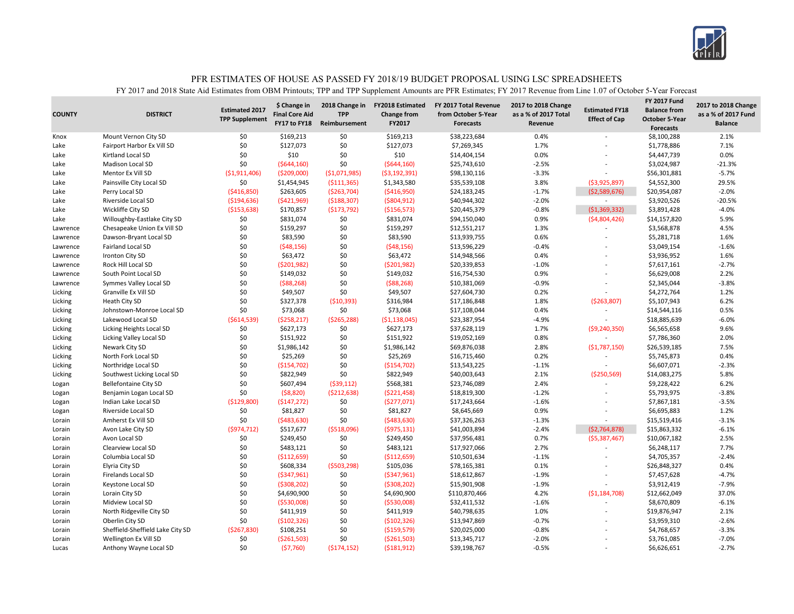

| 0.4%<br>Mount Vernon City SD<br>\$0<br>\$169,213<br>\$0<br>\$169,213<br>\$38,223,684<br>2.1%<br>\$8,100,288<br>Knox<br>\$0<br>\$127,073<br>\$0<br>\$127,073<br>\$7,269,345<br>1.7%<br>7.1%<br>\$1,778,886<br>Lake<br>Fairport Harbor Ex Vill SD<br>\$0<br>0.0%<br>\$0<br>\$10<br>\$10<br>0.0%<br>Kirtland Local SD<br>\$14,404,154<br>\$4,447,739<br>Lake<br>\$0<br>\$0<br>\$25,743,610<br>$-2.5%$<br>\$3,024,987<br>$-21.3%$<br><b>Madison Local SD</b><br>(5644, 160)<br>(5644, 160)<br>Lake<br>Mentor Ex Vill SD<br>(51,911,406)<br>( \$209,000]<br>( \$1,071,985)<br>\$98,130,116<br>$-3.3%$<br>$-5.7%$<br>Lake<br>(53, 192, 391)<br>\$56,301,881<br>L,<br>\$0<br>3.8%<br>29.5%<br>Painsville City Local SD<br>\$1,454,945<br>( \$111, 365)<br>\$1,343,580<br>\$35,539,108<br>( \$3,925,897)<br>\$4,552,300<br>Lake<br>( \$416, 850)<br>\$263,605<br>( \$263, 704)<br>( \$416, 950)<br>\$24,183,245<br>$-1.7%$<br>\$20,954,087<br>$-2.0%$<br>Lake<br>Perry Local SD<br>(52,589,676)<br>$-2.0%$<br>$-20.5%$<br>( \$194, 636)<br>( \$421, 969)<br>( \$188, 307)<br>( \$804, 912)<br>\$40,944,302<br>\$3,920,526<br>Lake<br>Riverside Local SD<br>$\sim$<br>\$20,445,379<br>$-0.8%$<br>( \$1,369,332)<br>$-4.0%$<br>Wickliffe City SD<br>( \$153, 638)<br>\$170,857<br>( \$173, 792)<br>( \$156, 573)<br>\$3,891,428<br>Lake<br>\$0<br>\$831,074<br>\$0<br>\$831,074<br>\$94,150,040<br>0.9%<br>5.9%<br>Willoughby-Eastlake City SD<br>( \$4,804,426)<br>\$14,157,820<br>Lake<br>\$0<br>\$0<br>4.5%<br>\$159,297<br>\$159,297<br>\$12,551,217<br>1.3%<br>\$3,568,878<br>Chesapeake Union Ex Vill SD<br>Lawrence<br>\$0<br>\$0<br>\$83,590<br>0.6%<br>1.6%<br>\$83,590<br>\$13,939,755<br>\$5,281,718<br>Lawrence<br>Dawson-Bryant Local SD<br>$\overline{a}$<br>\$0<br>\$0<br>(548, 156)<br>(548, 156)<br>\$13,596,229<br>$-0.4%$<br>$-1.6%$<br>Fairland Local SD<br>\$3,049,154<br>Lawrence<br>\$0<br>\$0<br>\$63,472<br>\$63,472<br>\$14,948,566<br>0.4%<br>\$3,936,952<br>1.6%<br>Ironton City SD<br>Lawrence<br>\$0<br>\$0<br>\$20,339,853<br>$-2.7%$<br>Rock Hill Local SD<br>( \$201, 982)<br>( \$201, 982)<br>$-1.0%$<br>\$7,617,161<br>Lawrence<br>L,<br>\$0<br>\$0<br>\$149,032<br>\$16,754,530<br>0.9%<br>2.2%<br>South Point Local SD<br>\$149,032<br>\$6,629,008<br>Lawrence<br>\$0<br>\$0<br>$-3.8%$<br>(588, 268)<br>( \$88, 268)<br>\$10,381,069<br>$-0.9%$<br>\$2,345,044<br>Lawrence<br>Symmes Valley Local SD<br>\$0<br>\$0<br>\$49,507<br>0.2%<br>1.2%<br>Granville Ex Vill SD<br>\$49,507<br>\$27,604,730<br>\$4,272,764<br>Licking<br>$\overline{a}$<br>\$0<br>\$327,378<br>1.8%<br>\$5,107,943<br>6.2%<br>Licking<br>Heath City SD<br>(510, 393)<br>\$316,984<br>\$17,186,848<br>( \$263, 807)<br>\$0<br>0.4%<br>0.5%<br>\$0<br>\$73,068<br>\$73,068<br>\$17,108,044<br>Licking<br>Johnstown-Monroe Local SD<br>\$14,544,116<br>$-6.0%$<br>Lakewood Local SD<br>(5614, 539)<br>( \$258, 217)<br>( \$265, 288)<br>\$23,387,954<br>$-4.9%$<br>\$18,885,639<br>Licking<br>( \$1,138,045)<br>$\overline{\phantom{a}}$<br>\$0<br>\$627,173<br>\$0<br>1.7%<br>9.6%<br>Licking Heights Local SD<br>\$627,173<br>\$37,628,119<br>\$6,565,658<br>Licking<br>( \$9, 240, 350)<br>\$0<br>2.0%<br>\$151,922<br>\$0<br>\$151,922<br>\$19,052,169<br>0.8%<br>\$7,786,360<br>Licking<br>Licking Valley Local SD<br>\$0<br>\$0<br>2.8%<br>7.5%<br>Newark City SD<br>\$1,986,142<br>\$1,986,142<br>\$69,876,038<br>(\$1,787,150)<br>\$26,539,185<br>Licking<br>\$0<br>\$0<br>\$25,269<br>\$25,269<br>\$16,715,460<br>0.2%<br>0.4%<br>Licking<br>North Fork Local SD<br>\$5,745,873<br>\$0<br>\$0<br>( \$154, 702)<br>\$13,543,225<br>$-1.1%$<br>\$6,607,071<br>$-2.3%$<br>Licking<br>Northridge Local SD<br>( \$154, 702)<br>\$0<br>\$822,949<br>\$0<br>\$822,949<br>\$40,003,643<br>5.8%<br>2.1%<br>( \$250, 569)<br>\$14,083,275<br>Licking<br>Southwest Licking Local SD<br>\$0<br>\$607,494<br>2.4%<br>6.2%<br><b>Bellefontaine City SD</b><br>(539, 112)<br>\$568,381<br>\$23,746,089<br>\$9,228,422<br>Logan<br>\$0<br>(58, 820)<br>( \$212, 638)<br>\$18,819,300<br>$-1.2%$<br>\$5,793,975<br>$-3.8%$<br>Benjamin Logan Local SD<br>( \$221,458)<br>Logan<br>$\overline{\phantom{a}}$<br>\$0<br>$-1.6%$<br>(\$129,800)<br>(5147, 272)<br>(5277,071)<br>\$17,243,664<br>\$7,867,181<br>$-3.5%$<br>Indian Lake Local SD<br>Logan<br>$\overline{a}$<br>\$0<br>\$0<br>\$8,645,669<br>0.9%<br>1.2%<br>Riverside Local SD<br>\$81,827<br>\$81,827<br>\$6,695,883<br>Logan<br>\$0<br>\$0<br>(5483, 630)<br>\$37,326,263<br>$-1.3%$<br>$-3.1%$<br>Amherst Ex Vill SD<br>( \$483, 630)<br>\$15,519,416<br>Lorain<br>$\overline{\phantom{a}}$<br>\$41,003,894<br>$-6.1%$<br>(5974, 712)<br>\$517,677<br>(5518,096)<br>( \$975,131)<br>$-2.4%$<br>(52, 764, 878)<br>\$15,863,332<br>Lorain<br>Avon Lake City SD<br>\$0<br>\$249,450<br>\$0<br>0.7%<br>2.5%<br>Avon Local SD<br>\$249,450<br>\$37,956,481<br>( \$5,387,467)<br>\$10,067,182<br>Lorain<br>\$0<br>7.7%<br>\$0<br>\$483,121<br>\$17,927,066<br>2.7%<br>Lorain<br>Clearview Local SD<br>\$483,121<br>\$6,248,117<br>\$0<br>Columbia Local SD<br>\$0<br>( \$112, 659)<br>( \$112, 659)<br>\$10,501,634<br>$-1.1%$<br>\$4,705,357<br>$-2.4%$<br>Lorain<br>\$0<br>\$608,334<br>0.4%<br>Elyria City SD<br>( \$503, 298)<br>\$105,036<br>\$78,165,381<br>0.1%<br>\$26,848,327<br>Lorain<br>$\overline{a}$<br>\$0<br>\$0<br>\$18,612,867<br>$-1.9%$<br>$-4.7%$<br><b>Firelands Local SD</b><br>( \$347, 961)<br>( \$347, 961)<br>\$7,457,628<br>Lorain<br>\$0<br>$-7.9%$<br>\$0<br>( \$308, 202)<br>\$15,901,908<br>$-1.9%$<br>\$3,912,419<br>Lorain<br>Keystone Local SD<br>(5308, 202)<br>\$0<br>\$0<br>4.2%<br>37.0%<br>Lorain City SD<br>\$4,690,900<br>\$4,690,900<br>\$110,870,466<br>( \$1,184,708)<br>\$12,662,049<br>Lorain<br>\$0<br>(5530,008)<br>\$0<br>\$32,411,532<br>$-1.6%$<br>\$8,670,809<br>$-6.1%$<br>Midview Local SD<br>( \$530,008)<br>Lorain<br>\$0<br>\$0<br>\$411,919<br>\$40,798,635<br>1.0%<br>2.1%<br>North Ridgeville City SD<br>\$411,919<br>\$19,876,947<br>Lorain<br>\$0<br>(5102, 326)<br>\$0<br>$-2.6%$<br>Oberlin City SD<br>( \$102, 326)<br>\$13,947,869<br>$-0.7%$<br>\$3,959,310<br>Lorain<br>$\overline{\phantom{a}}$<br>\$0<br>( \$267, 830)<br>$-0.8%$<br>$-3.3%$<br>Sheffield-Sheffield Lake City SD<br>\$108,251<br>( \$159, 579)<br>\$20,025,000<br>\$4,768,657<br>Lorain<br>\$0<br>\$0<br>( \$261, 503)<br>( \$261, 503)<br>\$13,345,717<br>$-2.0%$<br>\$3,761,085<br>$-7.0%$<br>Lorain<br>Wellington Ex Vill SD | <b>COUNTY</b> | <b>DISTRICT</b> | <b>Estimated 2017</b><br><b>TPP Supplement</b> | \$ Change in<br><b>Final Core Aid</b><br>FY17 to FY18 | 2018 Change in<br><b>TPP</b><br>Reimbursement | <b>FY2018 Estimated</b><br><b>Change from</b><br>FY2017 | FY 2017 Total Revenue<br>from October 5-Year<br><b>Forecasts</b> | 2017 to 2018 Change<br>as a % of 2017 Total<br>Revenue | <b>Estimated FY18</b><br><b>Effect of Cap</b> | <b>FY 2017 Fund</b><br><b>Balance from</b><br><b>October 5-Year</b><br><b>Forecasts</b> | 2017 to 2018 Change<br>as a % of 2017 Fund<br><b>Balance</b> |
|-----------------------------------------------------------------------------------------------------------------------------------------------------------------------------------------------------------------------------------------------------------------------------------------------------------------------------------------------------------------------------------------------------------------------------------------------------------------------------------------------------------------------------------------------------------------------------------------------------------------------------------------------------------------------------------------------------------------------------------------------------------------------------------------------------------------------------------------------------------------------------------------------------------------------------------------------------------------------------------------------------------------------------------------------------------------------------------------------------------------------------------------------------------------------------------------------------------------------------------------------------------------------------------------------------------------------------------------------------------------------------------------------------------------------------------------------------------------------------------------------------------------------------------------------------------------------------------------------------------------------------------------------------------------------------------------------------------------------------------------------------------------------------------------------------------------------------------------------------------------------------------------------------------------------------------------------------------------------------------------------------------------------------------------------------------------------------------------------------------------------------------------------------------------------------------------------------------------------------------------------------------------------------------------------------------------------------------------------------------------------------------------------------------------------------------------------------------------------------------------------------------------------------------------------------------------------------------------------------------------------------------------------------------------------------------------------------------------------------------------------------------------------------------------------------------------------------------------------------------------------------------------------------------------------------------------------------------------------------------------------------------------------------------------------------------------------------------------------------------------------------------------------------------------------------------------------------------------------------------------------------------------------------------------------------------------------------------------------------------------------------------------------------------------------------------------------------------------------------------------------------------------------------------------------------------------------------------------------------------------------------------------------------------------------------------------------------------------------------------------------------------------------------------------------------------------------------------------------------------------------------------------------------------------------------------------------------------------------------------------------------------------------------------------------------------------------------------------------------------------------------------------------------------------------------------------------------------------------------------------------------------------------------------------------------------------------------------------------------------------------------------------------------------------------------------------------------------------------------------------------------------------------------------------------------------------------------------------------------------------------------------------------------------------------------------------------------------------------------------------------------------------------------------------------------------------------------------------------------------------------------------------------------------------------------------------------------------------------------------------------------------------------------------------------------------------------------------------------------------------------------------------------------------------------------------------------------------------------------------------------------------------------------------------------------------------------------------------------------------------------------------------------------------------------------------------------------------------------------------------------------------------------------------------------------------------------------------------------------------------------------------------------------------------------------------------------------------------------------------------------------------------------------------------------------------------------------------------------------------------------------------------------------------------------------------------------------------------------------------------------------------------------------------------------------------------------------------------------------------------------------------------------------------------------------------------------------------------------------------------------------------------------------------------------------------------------------------------------------------------------------------------------------------------------------------------------------------------------------------------------------------------------|---------------|-----------------|------------------------------------------------|-------------------------------------------------------|-----------------------------------------------|---------------------------------------------------------|------------------------------------------------------------------|--------------------------------------------------------|-----------------------------------------------|-----------------------------------------------------------------------------------------|--------------------------------------------------------------|
|                                                                                                                                                                                                                                                                                                                                                                                                                                                                                                                                                                                                                                                                                                                                                                                                                                                                                                                                                                                                                                                                                                                                                                                                                                                                                                                                                                                                                                                                                                                                                                                                                                                                                                                                                                                                                                                                                                                                                                                                                                                                                                                                                                                                                                                                                                                                                                                                                                                                                                                                                                                                                                                                                                                                                                                                                                                                                                                                                                                                                                                                                                                                                                                                                                                                                                                                                                                                                                                                                                                                                                                                                                                                                                                                                                                                                                                                                                                                                                                                                                                                                                                                                                                                                                                                                                                                                                                                                                                                                                                                                                                                                                                                                                                                                                                                                                                                                                                                                                                                                                                                                                                                                                                                                                                                                                                                                                                                                                                                                                                                                                                                                                                                                                                                                                                                                                                                                                                                                                                                                                                                                                                                                                                                                                                                                                                                                                                                                                                                                                                       |               |                 |                                                |                                                       |                                               |                                                         |                                                                  |                                                        |                                               |                                                                                         |                                                              |
|                                                                                                                                                                                                                                                                                                                                                                                                                                                                                                                                                                                                                                                                                                                                                                                                                                                                                                                                                                                                                                                                                                                                                                                                                                                                                                                                                                                                                                                                                                                                                                                                                                                                                                                                                                                                                                                                                                                                                                                                                                                                                                                                                                                                                                                                                                                                                                                                                                                                                                                                                                                                                                                                                                                                                                                                                                                                                                                                                                                                                                                                                                                                                                                                                                                                                                                                                                                                                                                                                                                                                                                                                                                                                                                                                                                                                                                                                                                                                                                                                                                                                                                                                                                                                                                                                                                                                                                                                                                                                                                                                                                                                                                                                                                                                                                                                                                                                                                                                                                                                                                                                                                                                                                                                                                                                                                                                                                                                                                                                                                                                                                                                                                                                                                                                                                                                                                                                                                                                                                                                                                                                                                                                                                                                                                                                                                                                                                                                                                                                                                       |               |                 |                                                |                                                       |                                               |                                                         |                                                                  |                                                        |                                               |                                                                                         |                                                              |
|                                                                                                                                                                                                                                                                                                                                                                                                                                                                                                                                                                                                                                                                                                                                                                                                                                                                                                                                                                                                                                                                                                                                                                                                                                                                                                                                                                                                                                                                                                                                                                                                                                                                                                                                                                                                                                                                                                                                                                                                                                                                                                                                                                                                                                                                                                                                                                                                                                                                                                                                                                                                                                                                                                                                                                                                                                                                                                                                                                                                                                                                                                                                                                                                                                                                                                                                                                                                                                                                                                                                                                                                                                                                                                                                                                                                                                                                                                                                                                                                                                                                                                                                                                                                                                                                                                                                                                                                                                                                                                                                                                                                                                                                                                                                                                                                                                                                                                                                                                                                                                                                                                                                                                                                                                                                                                                                                                                                                                                                                                                                                                                                                                                                                                                                                                                                                                                                                                                                                                                                                                                                                                                                                                                                                                                                                                                                                                                                                                                                                                                       |               |                 |                                                |                                                       |                                               |                                                         |                                                                  |                                                        |                                               |                                                                                         |                                                              |
|                                                                                                                                                                                                                                                                                                                                                                                                                                                                                                                                                                                                                                                                                                                                                                                                                                                                                                                                                                                                                                                                                                                                                                                                                                                                                                                                                                                                                                                                                                                                                                                                                                                                                                                                                                                                                                                                                                                                                                                                                                                                                                                                                                                                                                                                                                                                                                                                                                                                                                                                                                                                                                                                                                                                                                                                                                                                                                                                                                                                                                                                                                                                                                                                                                                                                                                                                                                                                                                                                                                                                                                                                                                                                                                                                                                                                                                                                                                                                                                                                                                                                                                                                                                                                                                                                                                                                                                                                                                                                                                                                                                                                                                                                                                                                                                                                                                                                                                                                                                                                                                                                                                                                                                                                                                                                                                                                                                                                                                                                                                                                                                                                                                                                                                                                                                                                                                                                                                                                                                                                                                                                                                                                                                                                                                                                                                                                                                                                                                                                                                       |               |                 |                                                |                                                       |                                               |                                                         |                                                                  |                                                        |                                               |                                                                                         |                                                              |
|                                                                                                                                                                                                                                                                                                                                                                                                                                                                                                                                                                                                                                                                                                                                                                                                                                                                                                                                                                                                                                                                                                                                                                                                                                                                                                                                                                                                                                                                                                                                                                                                                                                                                                                                                                                                                                                                                                                                                                                                                                                                                                                                                                                                                                                                                                                                                                                                                                                                                                                                                                                                                                                                                                                                                                                                                                                                                                                                                                                                                                                                                                                                                                                                                                                                                                                                                                                                                                                                                                                                                                                                                                                                                                                                                                                                                                                                                                                                                                                                                                                                                                                                                                                                                                                                                                                                                                                                                                                                                                                                                                                                                                                                                                                                                                                                                                                                                                                                                                                                                                                                                                                                                                                                                                                                                                                                                                                                                                                                                                                                                                                                                                                                                                                                                                                                                                                                                                                                                                                                                                                                                                                                                                                                                                                                                                                                                                                                                                                                                                                       |               |                 |                                                |                                                       |                                               |                                                         |                                                                  |                                                        |                                               |                                                                                         |                                                              |
|                                                                                                                                                                                                                                                                                                                                                                                                                                                                                                                                                                                                                                                                                                                                                                                                                                                                                                                                                                                                                                                                                                                                                                                                                                                                                                                                                                                                                                                                                                                                                                                                                                                                                                                                                                                                                                                                                                                                                                                                                                                                                                                                                                                                                                                                                                                                                                                                                                                                                                                                                                                                                                                                                                                                                                                                                                                                                                                                                                                                                                                                                                                                                                                                                                                                                                                                                                                                                                                                                                                                                                                                                                                                                                                                                                                                                                                                                                                                                                                                                                                                                                                                                                                                                                                                                                                                                                                                                                                                                                                                                                                                                                                                                                                                                                                                                                                                                                                                                                                                                                                                                                                                                                                                                                                                                                                                                                                                                                                                                                                                                                                                                                                                                                                                                                                                                                                                                                                                                                                                                                                                                                                                                                                                                                                                                                                                                                                                                                                                                                                       |               |                 |                                                |                                                       |                                               |                                                         |                                                                  |                                                        |                                               |                                                                                         |                                                              |
|                                                                                                                                                                                                                                                                                                                                                                                                                                                                                                                                                                                                                                                                                                                                                                                                                                                                                                                                                                                                                                                                                                                                                                                                                                                                                                                                                                                                                                                                                                                                                                                                                                                                                                                                                                                                                                                                                                                                                                                                                                                                                                                                                                                                                                                                                                                                                                                                                                                                                                                                                                                                                                                                                                                                                                                                                                                                                                                                                                                                                                                                                                                                                                                                                                                                                                                                                                                                                                                                                                                                                                                                                                                                                                                                                                                                                                                                                                                                                                                                                                                                                                                                                                                                                                                                                                                                                                                                                                                                                                                                                                                                                                                                                                                                                                                                                                                                                                                                                                                                                                                                                                                                                                                                                                                                                                                                                                                                                                                                                                                                                                                                                                                                                                                                                                                                                                                                                                                                                                                                                                                                                                                                                                                                                                                                                                                                                                                                                                                                                                                       |               |                 |                                                |                                                       |                                               |                                                         |                                                                  |                                                        |                                               |                                                                                         |                                                              |
|                                                                                                                                                                                                                                                                                                                                                                                                                                                                                                                                                                                                                                                                                                                                                                                                                                                                                                                                                                                                                                                                                                                                                                                                                                                                                                                                                                                                                                                                                                                                                                                                                                                                                                                                                                                                                                                                                                                                                                                                                                                                                                                                                                                                                                                                                                                                                                                                                                                                                                                                                                                                                                                                                                                                                                                                                                                                                                                                                                                                                                                                                                                                                                                                                                                                                                                                                                                                                                                                                                                                                                                                                                                                                                                                                                                                                                                                                                                                                                                                                                                                                                                                                                                                                                                                                                                                                                                                                                                                                                                                                                                                                                                                                                                                                                                                                                                                                                                                                                                                                                                                                                                                                                                                                                                                                                                                                                                                                                                                                                                                                                                                                                                                                                                                                                                                                                                                                                                                                                                                                                                                                                                                                                                                                                                                                                                                                                                                                                                                                                                       |               |                 |                                                |                                                       |                                               |                                                         |                                                                  |                                                        |                                               |                                                                                         |                                                              |
|                                                                                                                                                                                                                                                                                                                                                                                                                                                                                                                                                                                                                                                                                                                                                                                                                                                                                                                                                                                                                                                                                                                                                                                                                                                                                                                                                                                                                                                                                                                                                                                                                                                                                                                                                                                                                                                                                                                                                                                                                                                                                                                                                                                                                                                                                                                                                                                                                                                                                                                                                                                                                                                                                                                                                                                                                                                                                                                                                                                                                                                                                                                                                                                                                                                                                                                                                                                                                                                                                                                                                                                                                                                                                                                                                                                                                                                                                                                                                                                                                                                                                                                                                                                                                                                                                                                                                                                                                                                                                                                                                                                                                                                                                                                                                                                                                                                                                                                                                                                                                                                                                                                                                                                                                                                                                                                                                                                                                                                                                                                                                                                                                                                                                                                                                                                                                                                                                                                                                                                                                                                                                                                                                                                                                                                                                                                                                                                                                                                                                                                       |               |                 |                                                |                                                       |                                               |                                                         |                                                                  |                                                        |                                               |                                                                                         |                                                              |
|                                                                                                                                                                                                                                                                                                                                                                                                                                                                                                                                                                                                                                                                                                                                                                                                                                                                                                                                                                                                                                                                                                                                                                                                                                                                                                                                                                                                                                                                                                                                                                                                                                                                                                                                                                                                                                                                                                                                                                                                                                                                                                                                                                                                                                                                                                                                                                                                                                                                                                                                                                                                                                                                                                                                                                                                                                                                                                                                                                                                                                                                                                                                                                                                                                                                                                                                                                                                                                                                                                                                                                                                                                                                                                                                                                                                                                                                                                                                                                                                                                                                                                                                                                                                                                                                                                                                                                                                                                                                                                                                                                                                                                                                                                                                                                                                                                                                                                                                                                                                                                                                                                                                                                                                                                                                                                                                                                                                                                                                                                                                                                                                                                                                                                                                                                                                                                                                                                                                                                                                                                                                                                                                                                                                                                                                                                                                                                                                                                                                                                                       |               |                 |                                                |                                                       |                                               |                                                         |                                                                  |                                                        |                                               |                                                                                         |                                                              |
|                                                                                                                                                                                                                                                                                                                                                                                                                                                                                                                                                                                                                                                                                                                                                                                                                                                                                                                                                                                                                                                                                                                                                                                                                                                                                                                                                                                                                                                                                                                                                                                                                                                                                                                                                                                                                                                                                                                                                                                                                                                                                                                                                                                                                                                                                                                                                                                                                                                                                                                                                                                                                                                                                                                                                                                                                                                                                                                                                                                                                                                                                                                                                                                                                                                                                                                                                                                                                                                                                                                                                                                                                                                                                                                                                                                                                                                                                                                                                                                                                                                                                                                                                                                                                                                                                                                                                                                                                                                                                                                                                                                                                                                                                                                                                                                                                                                                                                                                                                                                                                                                                                                                                                                                                                                                                                                                                                                                                                                                                                                                                                                                                                                                                                                                                                                                                                                                                                                                                                                                                                                                                                                                                                                                                                                                                                                                                                                                                                                                                                                       |               |                 |                                                |                                                       |                                               |                                                         |                                                                  |                                                        |                                               |                                                                                         |                                                              |
|                                                                                                                                                                                                                                                                                                                                                                                                                                                                                                                                                                                                                                                                                                                                                                                                                                                                                                                                                                                                                                                                                                                                                                                                                                                                                                                                                                                                                                                                                                                                                                                                                                                                                                                                                                                                                                                                                                                                                                                                                                                                                                                                                                                                                                                                                                                                                                                                                                                                                                                                                                                                                                                                                                                                                                                                                                                                                                                                                                                                                                                                                                                                                                                                                                                                                                                                                                                                                                                                                                                                                                                                                                                                                                                                                                                                                                                                                                                                                                                                                                                                                                                                                                                                                                                                                                                                                                                                                                                                                                                                                                                                                                                                                                                                                                                                                                                                                                                                                                                                                                                                                                                                                                                                                                                                                                                                                                                                                                                                                                                                                                                                                                                                                                                                                                                                                                                                                                                                                                                                                                                                                                                                                                                                                                                                                                                                                                                                                                                                                                                       |               |                 |                                                |                                                       |                                               |                                                         |                                                                  |                                                        |                                               |                                                                                         |                                                              |
|                                                                                                                                                                                                                                                                                                                                                                                                                                                                                                                                                                                                                                                                                                                                                                                                                                                                                                                                                                                                                                                                                                                                                                                                                                                                                                                                                                                                                                                                                                                                                                                                                                                                                                                                                                                                                                                                                                                                                                                                                                                                                                                                                                                                                                                                                                                                                                                                                                                                                                                                                                                                                                                                                                                                                                                                                                                                                                                                                                                                                                                                                                                                                                                                                                                                                                                                                                                                                                                                                                                                                                                                                                                                                                                                                                                                                                                                                                                                                                                                                                                                                                                                                                                                                                                                                                                                                                                                                                                                                                                                                                                                                                                                                                                                                                                                                                                                                                                                                                                                                                                                                                                                                                                                                                                                                                                                                                                                                                                                                                                                                                                                                                                                                                                                                                                                                                                                                                                                                                                                                                                                                                                                                                                                                                                                                                                                                                                                                                                                                                                       |               |                 |                                                |                                                       |                                               |                                                         |                                                                  |                                                        |                                               |                                                                                         |                                                              |
|                                                                                                                                                                                                                                                                                                                                                                                                                                                                                                                                                                                                                                                                                                                                                                                                                                                                                                                                                                                                                                                                                                                                                                                                                                                                                                                                                                                                                                                                                                                                                                                                                                                                                                                                                                                                                                                                                                                                                                                                                                                                                                                                                                                                                                                                                                                                                                                                                                                                                                                                                                                                                                                                                                                                                                                                                                                                                                                                                                                                                                                                                                                                                                                                                                                                                                                                                                                                                                                                                                                                                                                                                                                                                                                                                                                                                                                                                                                                                                                                                                                                                                                                                                                                                                                                                                                                                                                                                                                                                                                                                                                                                                                                                                                                                                                                                                                                                                                                                                                                                                                                                                                                                                                                                                                                                                                                                                                                                                                                                                                                                                                                                                                                                                                                                                                                                                                                                                                                                                                                                                                                                                                                                                                                                                                                                                                                                                                                                                                                                                                       |               |                 |                                                |                                                       |                                               |                                                         |                                                                  |                                                        |                                               |                                                                                         |                                                              |
|                                                                                                                                                                                                                                                                                                                                                                                                                                                                                                                                                                                                                                                                                                                                                                                                                                                                                                                                                                                                                                                                                                                                                                                                                                                                                                                                                                                                                                                                                                                                                                                                                                                                                                                                                                                                                                                                                                                                                                                                                                                                                                                                                                                                                                                                                                                                                                                                                                                                                                                                                                                                                                                                                                                                                                                                                                                                                                                                                                                                                                                                                                                                                                                                                                                                                                                                                                                                                                                                                                                                                                                                                                                                                                                                                                                                                                                                                                                                                                                                                                                                                                                                                                                                                                                                                                                                                                                                                                                                                                                                                                                                                                                                                                                                                                                                                                                                                                                                                                                                                                                                                                                                                                                                                                                                                                                                                                                                                                                                                                                                                                                                                                                                                                                                                                                                                                                                                                                                                                                                                                                                                                                                                                                                                                                                                                                                                                                                                                                                                                                       |               |                 |                                                |                                                       |                                               |                                                         |                                                                  |                                                        |                                               |                                                                                         |                                                              |
|                                                                                                                                                                                                                                                                                                                                                                                                                                                                                                                                                                                                                                                                                                                                                                                                                                                                                                                                                                                                                                                                                                                                                                                                                                                                                                                                                                                                                                                                                                                                                                                                                                                                                                                                                                                                                                                                                                                                                                                                                                                                                                                                                                                                                                                                                                                                                                                                                                                                                                                                                                                                                                                                                                                                                                                                                                                                                                                                                                                                                                                                                                                                                                                                                                                                                                                                                                                                                                                                                                                                                                                                                                                                                                                                                                                                                                                                                                                                                                                                                                                                                                                                                                                                                                                                                                                                                                                                                                                                                                                                                                                                                                                                                                                                                                                                                                                                                                                                                                                                                                                                                                                                                                                                                                                                                                                                                                                                                                                                                                                                                                                                                                                                                                                                                                                                                                                                                                                                                                                                                                                                                                                                                                                                                                                                                                                                                                                                                                                                                                                       |               |                 |                                                |                                                       |                                               |                                                         |                                                                  |                                                        |                                               |                                                                                         |                                                              |
|                                                                                                                                                                                                                                                                                                                                                                                                                                                                                                                                                                                                                                                                                                                                                                                                                                                                                                                                                                                                                                                                                                                                                                                                                                                                                                                                                                                                                                                                                                                                                                                                                                                                                                                                                                                                                                                                                                                                                                                                                                                                                                                                                                                                                                                                                                                                                                                                                                                                                                                                                                                                                                                                                                                                                                                                                                                                                                                                                                                                                                                                                                                                                                                                                                                                                                                                                                                                                                                                                                                                                                                                                                                                                                                                                                                                                                                                                                                                                                                                                                                                                                                                                                                                                                                                                                                                                                                                                                                                                                                                                                                                                                                                                                                                                                                                                                                                                                                                                                                                                                                                                                                                                                                                                                                                                                                                                                                                                                                                                                                                                                                                                                                                                                                                                                                                                                                                                                                                                                                                                                                                                                                                                                                                                                                                                                                                                                                                                                                                                                                       |               |                 |                                                |                                                       |                                               |                                                         |                                                                  |                                                        |                                               |                                                                                         |                                                              |
|                                                                                                                                                                                                                                                                                                                                                                                                                                                                                                                                                                                                                                                                                                                                                                                                                                                                                                                                                                                                                                                                                                                                                                                                                                                                                                                                                                                                                                                                                                                                                                                                                                                                                                                                                                                                                                                                                                                                                                                                                                                                                                                                                                                                                                                                                                                                                                                                                                                                                                                                                                                                                                                                                                                                                                                                                                                                                                                                                                                                                                                                                                                                                                                                                                                                                                                                                                                                                                                                                                                                                                                                                                                                                                                                                                                                                                                                                                                                                                                                                                                                                                                                                                                                                                                                                                                                                                                                                                                                                                                                                                                                                                                                                                                                                                                                                                                                                                                                                                                                                                                                                                                                                                                                                                                                                                                                                                                                                                                                                                                                                                                                                                                                                                                                                                                                                                                                                                                                                                                                                                                                                                                                                                                                                                                                                                                                                                                                                                                                                                                       |               |                 |                                                |                                                       |                                               |                                                         |                                                                  |                                                        |                                               |                                                                                         |                                                              |
|                                                                                                                                                                                                                                                                                                                                                                                                                                                                                                                                                                                                                                                                                                                                                                                                                                                                                                                                                                                                                                                                                                                                                                                                                                                                                                                                                                                                                                                                                                                                                                                                                                                                                                                                                                                                                                                                                                                                                                                                                                                                                                                                                                                                                                                                                                                                                                                                                                                                                                                                                                                                                                                                                                                                                                                                                                                                                                                                                                                                                                                                                                                                                                                                                                                                                                                                                                                                                                                                                                                                                                                                                                                                                                                                                                                                                                                                                                                                                                                                                                                                                                                                                                                                                                                                                                                                                                                                                                                                                                                                                                                                                                                                                                                                                                                                                                                                                                                                                                                                                                                                                                                                                                                                                                                                                                                                                                                                                                                                                                                                                                                                                                                                                                                                                                                                                                                                                                                                                                                                                                                                                                                                                                                                                                                                                                                                                                                                                                                                                                                       |               |                 |                                                |                                                       |                                               |                                                         |                                                                  |                                                        |                                               |                                                                                         |                                                              |
|                                                                                                                                                                                                                                                                                                                                                                                                                                                                                                                                                                                                                                                                                                                                                                                                                                                                                                                                                                                                                                                                                                                                                                                                                                                                                                                                                                                                                                                                                                                                                                                                                                                                                                                                                                                                                                                                                                                                                                                                                                                                                                                                                                                                                                                                                                                                                                                                                                                                                                                                                                                                                                                                                                                                                                                                                                                                                                                                                                                                                                                                                                                                                                                                                                                                                                                                                                                                                                                                                                                                                                                                                                                                                                                                                                                                                                                                                                                                                                                                                                                                                                                                                                                                                                                                                                                                                                                                                                                                                                                                                                                                                                                                                                                                                                                                                                                                                                                                                                                                                                                                                                                                                                                                                                                                                                                                                                                                                                                                                                                                                                                                                                                                                                                                                                                                                                                                                                                                                                                                                                                                                                                                                                                                                                                                                                                                                                                                                                                                                                                       |               |                 |                                                |                                                       |                                               |                                                         |                                                                  |                                                        |                                               |                                                                                         |                                                              |
|                                                                                                                                                                                                                                                                                                                                                                                                                                                                                                                                                                                                                                                                                                                                                                                                                                                                                                                                                                                                                                                                                                                                                                                                                                                                                                                                                                                                                                                                                                                                                                                                                                                                                                                                                                                                                                                                                                                                                                                                                                                                                                                                                                                                                                                                                                                                                                                                                                                                                                                                                                                                                                                                                                                                                                                                                                                                                                                                                                                                                                                                                                                                                                                                                                                                                                                                                                                                                                                                                                                                                                                                                                                                                                                                                                                                                                                                                                                                                                                                                                                                                                                                                                                                                                                                                                                                                                                                                                                                                                                                                                                                                                                                                                                                                                                                                                                                                                                                                                                                                                                                                                                                                                                                                                                                                                                                                                                                                                                                                                                                                                                                                                                                                                                                                                                                                                                                                                                                                                                                                                                                                                                                                                                                                                                                                                                                                                                                                                                                                                                       |               |                 |                                                |                                                       |                                               |                                                         |                                                                  |                                                        |                                               |                                                                                         |                                                              |
|                                                                                                                                                                                                                                                                                                                                                                                                                                                                                                                                                                                                                                                                                                                                                                                                                                                                                                                                                                                                                                                                                                                                                                                                                                                                                                                                                                                                                                                                                                                                                                                                                                                                                                                                                                                                                                                                                                                                                                                                                                                                                                                                                                                                                                                                                                                                                                                                                                                                                                                                                                                                                                                                                                                                                                                                                                                                                                                                                                                                                                                                                                                                                                                                                                                                                                                                                                                                                                                                                                                                                                                                                                                                                                                                                                                                                                                                                                                                                                                                                                                                                                                                                                                                                                                                                                                                                                                                                                                                                                                                                                                                                                                                                                                                                                                                                                                                                                                                                                                                                                                                                                                                                                                                                                                                                                                                                                                                                                                                                                                                                                                                                                                                                                                                                                                                                                                                                                                                                                                                                                                                                                                                                                                                                                                                                                                                                                                                                                                                                                                       |               |                 |                                                |                                                       |                                               |                                                         |                                                                  |                                                        |                                               |                                                                                         |                                                              |
|                                                                                                                                                                                                                                                                                                                                                                                                                                                                                                                                                                                                                                                                                                                                                                                                                                                                                                                                                                                                                                                                                                                                                                                                                                                                                                                                                                                                                                                                                                                                                                                                                                                                                                                                                                                                                                                                                                                                                                                                                                                                                                                                                                                                                                                                                                                                                                                                                                                                                                                                                                                                                                                                                                                                                                                                                                                                                                                                                                                                                                                                                                                                                                                                                                                                                                                                                                                                                                                                                                                                                                                                                                                                                                                                                                                                                                                                                                                                                                                                                                                                                                                                                                                                                                                                                                                                                                                                                                                                                                                                                                                                                                                                                                                                                                                                                                                                                                                                                                                                                                                                                                                                                                                                                                                                                                                                                                                                                                                                                                                                                                                                                                                                                                                                                                                                                                                                                                                                                                                                                                                                                                                                                                                                                                                                                                                                                                                                                                                                                                                       |               |                 |                                                |                                                       |                                               |                                                         |                                                                  |                                                        |                                               |                                                                                         |                                                              |
|                                                                                                                                                                                                                                                                                                                                                                                                                                                                                                                                                                                                                                                                                                                                                                                                                                                                                                                                                                                                                                                                                                                                                                                                                                                                                                                                                                                                                                                                                                                                                                                                                                                                                                                                                                                                                                                                                                                                                                                                                                                                                                                                                                                                                                                                                                                                                                                                                                                                                                                                                                                                                                                                                                                                                                                                                                                                                                                                                                                                                                                                                                                                                                                                                                                                                                                                                                                                                                                                                                                                                                                                                                                                                                                                                                                                                                                                                                                                                                                                                                                                                                                                                                                                                                                                                                                                                                                                                                                                                                                                                                                                                                                                                                                                                                                                                                                                                                                                                                                                                                                                                                                                                                                                                                                                                                                                                                                                                                                                                                                                                                                                                                                                                                                                                                                                                                                                                                                                                                                                                                                                                                                                                                                                                                                                                                                                                                                                                                                                                                                       |               |                 |                                                |                                                       |                                               |                                                         |                                                                  |                                                        |                                               |                                                                                         |                                                              |
|                                                                                                                                                                                                                                                                                                                                                                                                                                                                                                                                                                                                                                                                                                                                                                                                                                                                                                                                                                                                                                                                                                                                                                                                                                                                                                                                                                                                                                                                                                                                                                                                                                                                                                                                                                                                                                                                                                                                                                                                                                                                                                                                                                                                                                                                                                                                                                                                                                                                                                                                                                                                                                                                                                                                                                                                                                                                                                                                                                                                                                                                                                                                                                                                                                                                                                                                                                                                                                                                                                                                                                                                                                                                                                                                                                                                                                                                                                                                                                                                                                                                                                                                                                                                                                                                                                                                                                                                                                                                                                                                                                                                                                                                                                                                                                                                                                                                                                                                                                                                                                                                                                                                                                                                                                                                                                                                                                                                                                                                                                                                                                                                                                                                                                                                                                                                                                                                                                                                                                                                                                                                                                                                                                                                                                                                                                                                                                                                                                                                                                                       |               |                 |                                                |                                                       |                                               |                                                         |                                                                  |                                                        |                                               |                                                                                         |                                                              |
|                                                                                                                                                                                                                                                                                                                                                                                                                                                                                                                                                                                                                                                                                                                                                                                                                                                                                                                                                                                                                                                                                                                                                                                                                                                                                                                                                                                                                                                                                                                                                                                                                                                                                                                                                                                                                                                                                                                                                                                                                                                                                                                                                                                                                                                                                                                                                                                                                                                                                                                                                                                                                                                                                                                                                                                                                                                                                                                                                                                                                                                                                                                                                                                                                                                                                                                                                                                                                                                                                                                                                                                                                                                                                                                                                                                                                                                                                                                                                                                                                                                                                                                                                                                                                                                                                                                                                                                                                                                                                                                                                                                                                                                                                                                                                                                                                                                                                                                                                                                                                                                                                                                                                                                                                                                                                                                                                                                                                                                                                                                                                                                                                                                                                                                                                                                                                                                                                                                                                                                                                                                                                                                                                                                                                                                                                                                                                                                                                                                                                                                       |               |                 |                                                |                                                       |                                               |                                                         |                                                                  |                                                        |                                               |                                                                                         |                                                              |
|                                                                                                                                                                                                                                                                                                                                                                                                                                                                                                                                                                                                                                                                                                                                                                                                                                                                                                                                                                                                                                                                                                                                                                                                                                                                                                                                                                                                                                                                                                                                                                                                                                                                                                                                                                                                                                                                                                                                                                                                                                                                                                                                                                                                                                                                                                                                                                                                                                                                                                                                                                                                                                                                                                                                                                                                                                                                                                                                                                                                                                                                                                                                                                                                                                                                                                                                                                                                                                                                                                                                                                                                                                                                                                                                                                                                                                                                                                                                                                                                                                                                                                                                                                                                                                                                                                                                                                                                                                                                                                                                                                                                                                                                                                                                                                                                                                                                                                                                                                                                                                                                                                                                                                                                                                                                                                                                                                                                                                                                                                                                                                                                                                                                                                                                                                                                                                                                                                                                                                                                                                                                                                                                                                                                                                                                                                                                                                                                                                                                                                                       |               |                 |                                                |                                                       |                                               |                                                         |                                                                  |                                                        |                                               |                                                                                         |                                                              |
|                                                                                                                                                                                                                                                                                                                                                                                                                                                                                                                                                                                                                                                                                                                                                                                                                                                                                                                                                                                                                                                                                                                                                                                                                                                                                                                                                                                                                                                                                                                                                                                                                                                                                                                                                                                                                                                                                                                                                                                                                                                                                                                                                                                                                                                                                                                                                                                                                                                                                                                                                                                                                                                                                                                                                                                                                                                                                                                                                                                                                                                                                                                                                                                                                                                                                                                                                                                                                                                                                                                                                                                                                                                                                                                                                                                                                                                                                                                                                                                                                                                                                                                                                                                                                                                                                                                                                                                                                                                                                                                                                                                                                                                                                                                                                                                                                                                                                                                                                                                                                                                                                                                                                                                                                                                                                                                                                                                                                                                                                                                                                                                                                                                                                                                                                                                                                                                                                                                                                                                                                                                                                                                                                                                                                                                                                                                                                                                                                                                                                                                       |               |                 |                                                |                                                       |                                               |                                                         |                                                                  |                                                        |                                               |                                                                                         |                                                              |
|                                                                                                                                                                                                                                                                                                                                                                                                                                                                                                                                                                                                                                                                                                                                                                                                                                                                                                                                                                                                                                                                                                                                                                                                                                                                                                                                                                                                                                                                                                                                                                                                                                                                                                                                                                                                                                                                                                                                                                                                                                                                                                                                                                                                                                                                                                                                                                                                                                                                                                                                                                                                                                                                                                                                                                                                                                                                                                                                                                                                                                                                                                                                                                                                                                                                                                                                                                                                                                                                                                                                                                                                                                                                                                                                                                                                                                                                                                                                                                                                                                                                                                                                                                                                                                                                                                                                                                                                                                                                                                                                                                                                                                                                                                                                                                                                                                                                                                                                                                                                                                                                                                                                                                                                                                                                                                                                                                                                                                                                                                                                                                                                                                                                                                                                                                                                                                                                                                                                                                                                                                                                                                                                                                                                                                                                                                                                                                                                                                                                                                                       |               |                 |                                                |                                                       |                                               |                                                         |                                                                  |                                                        |                                               |                                                                                         |                                                              |
|                                                                                                                                                                                                                                                                                                                                                                                                                                                                                                                                                                                                                                                                                                                                                                                                                                                                                                                                                                                                                                                                                                                                                                                                                                                                                                                                                                                                                                                                                                                                                                                                                                                                                                                                                                                                                                                                                                                                                                                                                                                                                                                                                                                                                                                                                                                                                                                                                                                                                                                                                                                                                                                                                                                                                                                                                                                                                                                                                                                                                                                                                                                                                                                                                                                                                                                                                                                                                                                                                                                                                                                                                                                                                                                                                                                                                                                                                                                                                                                                                                                                                                                                                                                                                                                                                                                                                                                                                                                                                                                                                                                                                                                                                                                                                                                                                                                                                                                                                                                                                                                                                                                                                                                                                                                                                                                                                                                                                                                                                                                                                                                                                                                                                                                                                                                                                                                                                                                                                                                                                                                                                                                                                                                                                                                                                                                                                                                                                                                                                                                       |               |                 |                                                |                                                       |                                               |                                                         |                                                                  |                                                        |                                               |                                                                                         |                                                              |
|                                                                                                                                                                                                                                                                                                                                                                                                                                                                                                                                                                                                                                                                                                                                                                                                                                                                                                                                                                                                                                                                                                                                                                                                                                                                                                                                                                                                                                                                                                                                                                                                                                                                                                                                                                                                                                                                                                                                                                                                                                                                                                                                                                                                                                                                                                                                                                                                                                                                                                                                                                                                                                                                                                                                                                                                                                                                                                                                                                                                                                                                                                                                                                                                                                                                                                                                                                                                                                                                                                                                                                                                                                                                                                                                                                                                                                                                                                                                                                                                                                                                                                                                                                                                                                                                                                                                                                                                                                                                                                                                                                                                                                                                                                                                                                                                                                                                                                                                                                                                                                                                                                                                                                                                                                                                                                                                                                                                                                                                                                                                                                                                                                                                                                                                                                                                                                                                                                                                                                                                                                                                                                                                                                                                                                                                                                                                                                                                                                                                                                                       |               |                 |                                                |                                                       |                                               |                                                         |                                                                  |                                                        |                                               |                                                                                         |                                                              |
|                                                                                                                                                                                                                                                                                                                                                                                                                                                                                                                                                                                                                                                                                                                                                                                                                                                                                                                                                                                                                                                                                                                                                                                                                                                                                                                                                                                                                                                                                                                                                                                                                                                                                                                                                                                                                                                                                                                                                                                                                                                                                                                                                                                                                                                                                                                                                                                                                                                                                                                                                                                                                                                                                                                                                                                                                                                                                                                                                                                                                                                                                                                                                                                                                                                                                                                                                                                                                                                                                                                                                                                                                                                                                                                                                                                                                                                                                                                                                                                                                                                                                                                                                                                                                                                                                                                                                                                                                                                                                                                                                                                                                                                                                                                                                                                                                                                                                                                                                                                                                                                                                                                                                                                                                                                                                                                                                                                                                                                                                                                                                                                                                                                                                                                                                                                                                                                                                                                                                                                                                                                                                                                                                                                                                                                                                                                                                                                                                                                                                                                       |               |                 |                                                |                                                       |                                               |                                                         |                                                                  |                                                        |                                               |                                                                                         |                                                              |
|                                                                                                                                                                                                                                                                                                                                                                                                                                                                                                                                                                                                                                                                                                                                                                                                                                                                                                                                                                                                                                                                                                                                                                                                                                                                                                                                                                                                                                                                                                                                                                                                                                                                                                                                                                                                                                                                                                                                                                                                                                                                                                                                                                                                                                                                                                                                                                                                                                                                                                                                                                                                                                                                                                                                                                                                                                                                                                                                                                                                                                                                                                                                                                                                                                                                                                                                                                                                                                                                                                                                                                                                                                                                                                                                                                                                                                                                                                                                                                                                                                                                                                                                                                                                                                                                                                                                                                                                                                                                                                                                                                                                                                                                                                                                                                                                                                                                                                                                                                                                                                                                                                                                                                                                                                                                                                                                                                                                                                                                                                                                                                                                                                                                                                                                                                                                                                                                                                                                                                                                                                                                                                                                                                                                                                                                                                                                                                                                                                                                                                                       |               |                 |                                                |                                                       |                                               |                                                         |                                                                  |                                                        |                                               |                                                                                         |                                                              |
|                                                                                                                                                                                                                                                                                                                                                                                                                                                                                                                                                                                                                                                                                                                                                                                                                                                                                                                                                                                                                                                                                                                                                                                                                                                                                                                                                                                                                                                                                                                                                                                                                                                                                                                                                                                                                                                                                                                                                                                                                                                                                                                                                                                                                                                                                                                                                                                                                                                                                                                                                                                                                                                                                                                                                                                                                                                                                                                                                                                                                                                                                                                                                                                                                                                                                                                                                                                                                                                                                                                                                                                                                                                                                                                                                                                                                                                                                                                                                                                                                                                                                                                                                                                                                                                                                                                                                                                                                                                                                                                                                                                                                                                                                                                                                                                                                                                                                                                                                                                                                                                                                                                                                                                                                                                                                                                                                                                                                                                                                                                                                                                                                                                                                                                                                                                                                                                                                                                                                                                                                                                                                                                                                                                                                                                                                                                                                                                                                                                                                                                       |               |                 |                                                |                                                       |                                               |                                                         |                                                                  |                                                        |                                               |                                                                                         |                                                              |
|                                                                                                                                                                                                                                                                                                                                                                                                                                                                                                                                                                                                                                                                                                                                                                                                                                                                                                                                                                                                                                                                                                                                                                                                                                                                                                                                                                                                                                                                                                                                                                                                                                                                                                                                                                                                                                                                                                                                                                                                                                                                                                                                                                                                                                                                                                                                                                                                                                                                                                                                                                                                                                                                                                                                                                                                                                                                                                                                                                                                                                                                                                                                                                                                                                                                                                                                                                                                                                                                                                                                                                                                                                                                                                                                                                                                                                                                                                                                                                                                                                                                                                                                                                                                                                                                                                                                                                                                                                                                                                                                                                                                                                                                                                                                                                                                                                                                                                                                                                                                                                                                                                                                                                                                                                                                                                                                                                                                                                                                                                                                                                                                                                                                                                                                                                                                                                                                                                                                                                                                                                                                                                                                                                                                                                                                                                                                                                                                                                                                                                                       |               |                 |                                                |                                                       |                                               |                                                         |                                                                  |                                                        |                                               |                                                                                         |                                                              |
|                                                                                                                                                                                                                                                                                                                                                                                                                                                                                                                                                                                                                                                                                                                                                                                                                                                                                                                                                                                                                                                                                                                                                                                                                                                                                                                                                                                                                                                                                                                                                                                                                                                                                                                                                                                                                                                                                                                                                                                                                                                                                                                                                                                                                                                                                                                                                                                                                                                                                                                                                                                                                                                                                                                                                                                                                                                                                                                                                                                                                                                                                                                                                                                                                                                                                                                                                                                                                                                                                                                                                                                                                                                                                                                                                                                                                                                                                                                                                                                                                                                                                                                                                                                                                                                                                                                                                                                                                                                                                                                                                                                                                                                                                                                                                                                                                                                                                                                                                                                                                                                                                                                                                                                                                                                                                                                                                                                                                                                                                                                                                                                                                                                                                                                                                                                                                                                                                                                                                                                                                                                                                                                                                                                                                                                                                                                                                                                                                                                                                                                       |               |                 |                                                |                                                       |                                               |                                                         |                                                                  |                                                        |                                               |                                                                                         |                                                              |
|                                                                                                                                                                                                                                                                                                                                                                                                                                                                                                                                                                                                                                                                                                                                                                                                                                                                                                                                                                                                                                                                                                                                                                                                                                                                                                                                                                                                                                                                                                                                                                                                                                                                                                                                                                                                                                                                                                                                                                                                                                                                                                                                                                                                                                                                                                                                                                                                                                                                                                                                                                                                                                                                                                                                                                                                                                                                                                                                                                                                                                                                                                                                                                                                                                                                                                                                                                                                                                                                                                                                                                                                                                                                                                                                                                                                                                                                                                                                                                                                                                                                                                                                                                                                                                                                                                                                                                                                                                                                                                                                                                                                                                                                                                                                                                                                                                                                                                                                                                                                                                                                                                                                                                                                                                                                                                                                                                                                                                                                                                                                                                                                                                                                                                                                                                                                                                                                                                                                                                                                                                                                                                                                                                                                                                                                                                                                                                                                                                                                                                                       |               |                 |                                                |                                                       |                                               |                                                         |                                                                  |                                                        |                                               |                                                                                         |                                                              |
|                                                                                                                                                                                                                                                                                                                                                                                                                                                                                                                                                                                                                                                                                                                                                                                                                                                                                                                                                                                                                                                                                                                                                                                                                                                                                                                                                                                                                                                                                                                                                                                                                                                                                                                                                                                                                                                                                                                                                                                                                                                                                                                                                                                                                                                                                                                                                                                                                                                                                                                                                                                                                                                                                                                                                                                                                                                                                                                                                                                                                                                                                                                                                                                                                                                                                                                                                                                                                                                                                                                                                                                                                                                                                                                                                                                                                                                                                                                                                                                                                                                                                                                                                                                                                                                                                                                                                                                                                                                                                                                                                                                                                                                                                                                                                                                                                                                                                                                                                                                                                                                                                                                                                                                                                                                                                                                                                                                                                                                                                                                                                                                                                                                                                                                                                                                                                                                                                                                                                                                                                                                                                                                                                                                                                                                                                                                                                                                                                                                                                                                       |               |                 |                                                |                                                       |                                               |                                                         |                                                                  |                                                        |                                               |                                                                                         |                                                              |
|                                                                                                                                                                                                                                                                                                                                                                                                                                                                                                                                                                                                                                                                                                                                                                                                                                                                                                                                                                                                                                                                                                                                                                                                                                                                                                                                                                                                                                                                                                                                                                                                                                                                                                                                                                                                                                                                                                                                                                                                                                                                                                                                                                                                                                                                                                                                                                                                                                                                                                                                                                                                                                                                                                                                                                                                                                                                                                                                                                                                                                                                                                                                                                                                                                                                                                                                                                                                                                                                                                                                                                                                                                                                                                                                                                                                                                                                                                                                                                                                                                                                                                                                                                                                                                                                                                                                                                                                                                                                                                                                                                                                                                                                                                                                                                                                                                                                                                                                                                                                                                                                                                                                                                                                                                                                                                                                                                                                                                                                                                                                                                                                                                                                                                                                                                                                                                                                                                                                                                                                                                                                                                                                                                                                                                                                                                                                                                                                                                                                                                                       |               |                 |                                                |                                                       |                                               |                                                         |                                                                  |                                                        |                                               |                                                                                         |                                                              |
|                                                                                                                                                                                                                                                                                                                                                                                                                                                                                                                                                                                                                                                                                                                                                                                                                                                                                                                                                                                                                                                                                                                                                                                                                                                                                                                                                                                                                                                                                                                                                                                                                                                                                                                                                                                                                                                                                                                                                                                                                                                                                                                                                                                                                                                                                                                                                                                                                                                                                                                                                                                                                                                                                                                                                                                                                                                                                                                                                                                                                                                                                                                                                                                                                                                                                                                                                                                                                                                                                                                                                                                                                                                                                                                                                                                                                                                                                                                                                                                                                                                                                                                                                                                                                                                                                                                                                                                                                                                                                                                                                                                                                                                                                                                                                                                                                                                                                                                                                                                                                                                                                                                                                                                                                                                                                                                                                                                                                                                                                                                                                                                                                                                                                                                                                                                                                                                                                                                                                                                                                                                                                                                                                                                                                                                                                                                                                                                                                                                                                                                       |               |                 |                                                |                                                       |                                               |                                                         |                                                                  |                                                        |                                               |                                                                                         |                                                              |
|                                                                                                                                                                                                                                                                                                                                                                                                                                                                                                                                                                                                                                                                                                                                                                                                                                                                                                                                                                                                                                                                                                                                                                                                                                                                                                                                                                                                                                                                                                                                                                                                                                                                                                                                                                                                                                                                                                                                                                                                                                                                                                                                                                                                                                                                                                                                                                                                                                                                                                                                                                                                                                                                                                                                                                                                                                                                                                                                                                                                                                                                                                                                                                                                                                                                                                                                                                                                                                                                                                                                                                                                                                                                                                                                                                                                                                                                                                                                                                                                                                                                                                                                                                                                                                                                                                                                                                                                                                                                                                                                                                                                                                                                                                                                                                                                                                                                                                                                                                                                                                                                                                                                                                                                                                                                                                                                                                                                                                                                                                                                                                                                                                                                                                                                                                                                                                                                                                                                                                                                                                                                                                                                                                                                                                                                                                                                                                                                                                                                                                                       |               |                 |                                                |                                                       |                                               |                                                         |                                                                  |                                                        |                                               |                                                                                         |                                                              |
|                                                                                                                                                                                                                                                                                                                                                                                                                                                                                                                                                                                                                                                                                                                                                                                                                                                                                                                                                                                                                                                                                                                                                                                                                                                                                                                                                                                                                                                                                                                                                                                                                                                                                                                                                                                                                                                                                                                                                                                                                                                                                                                                                                                                                                                                                                                                                                                                                                                                                                                                                                                                                                                                                                                                                                                                                                                                                                                                                                                                                                                                                                                                                                                                                                                                                                                                                                                                                                                                                                                                                                                                                                                                                                                                                                                                                                                                                                                                                                                                                                                                                                                                                                                                                                                                                                                                                                                                                                                                                                                                                                                                                                                                                                                                                                                                                                                                                                                                                                                                                                                                                                                                                                                                                                                                                                                                                                                                                                                                                                                                                                                                                                                                                                                                                                                                                                                                                                                                                                                                                                                                                                                                                                                                                                                                                                                                                                                                                                                                                                                       |               |                 |                                                |                                                       |                                               |                                                         |                                                                  |                                                        |                                               |                                                                                         |                                                              |
|                                                                                                                                                                                                                                                                                                                                                                                                                                                                                                                                                                                                                                                                                                                                                                                                                                                                                                                                                                                                                                                                                                                                                                                                                                                                                                                                                                                                                                                                                                                                                                                                                                                                                                                                                                                                                                                                                                                                                                                                                                                                                                                                                                                                                                                                                                                                                                                                                                                                                                                                                                                                                                                                                                                                                                                                                                                                                                                                                                                                                                                                                                                                                                                                                                                                                                                                                                                                                                                                                                                                                                                                                                                                                                                                                                                                                                                                                                                                                                                                                                                                                                                                                                                                                                                                                                                                                                                                                                                                                                                                                                                                                                                                                                                                                                                                                                                                                                                                                                                                                                                                                                                                                                                                                                                                                                                                                                                                                                                                                                                                                                                                                                                                                                                                                                                                                                                                                                                                                                                                                                                                                                                                                                                                                                                                                                                                                                                                                                                                                                                       |               |                 |                                                |                                                       |                                               |                                                         |                                                                  |                                                        |                                               |                                                                                         |                                                              |
|                                                                                                                                                                                                                                                                                                                                                                                                                                                                                                                                                                                                                                                                                                                                                                                                                                                                                                                                                                                                                                                                                                                                                                                                                                                                                                                                                                                                                                                                                                                                                                                                                                                                                                                                                                                                                                                                                                                                                                                                                                                                                                                                                                                                                                                                                                                                                                                                                                                                                                                                                                                                                                                                                                                                                                                                                                                                                                                                                                                                                                                                                                                                                                                                                                                                                                                                                                                                                                                                                                                                                                                                                                                                                                                                                                                                                                                                                                                                                                                                                                                                                                                                                                                                                                                                                                                                                                                                                                                                                                                                                                                                                                                                                                                                                                                                                                                                                                                                                                                                                                                                                                                                                                                                                                                                                                                                                                                                                                                                                                                                                                                                                                                                                                                                                                                                                                                                                                                                                                                                                                                                                                                                                                                                                                                                                                                                                                                                                                                                                                                       |               |                 |                                                |                                                       |                                               |                                                         |                                                                  |                                                        |                                               |                                                                                         |                                                              |
|                                                                                                                                                                                                                                                                                                                                                                                                                                                                                                                                                                                                                                                                                                                                                                                                                                                                                                                                                                                                                                                                                                                                                                                                                                                                                                                                                                                                                                                                                                                                                                                                                                                                                                                                                                                                                                                                                                                                                                                                                                                                                                                                                                                                                                                                                                                                                                                                                                                                                                                                                                                                                                                                                                                                                                                                                                                                                                                                                                                                                                                                                                                                                                                                                                                                                                                                                                                                                                                                                                                                                                                                                                                                                                                                                                                                                                                                                                                                                                                                                                                                                                                                                                                                                                                                                                                                                                                                                                                                                                                                                                                                                                                                                                                                                                                                                                                                                                                                                                                                                                                                                                                                                                                                                                                                                                                                                                                                                                                                                                                                                                                                                                                                                                                                                                                                                                                                                                                                                                                                                                                                                                                                                                                                                                                                                                                                                                                                                                                                                                                       |               |                 |                                                |                                                       |                                               |                                                         |                                                                  |                                                        |                                               |                                                                                         |                                                              |
| \$0<br>$-0.5%$<br>(57,760)<br>(5174, 152)<br>(5181, 912)<br>\$39,198,767<br>\$6,626,651<br>$-2.7%$<br>Anthony Wayne Local SD<br>Lucas<br>$\overline{a}$                                                                                                                                                                                                                                                                                                                                                                                                                                                                                                                                                                                                                                                                                                                                                                                                                                                                                                                                                                                                                                                                                                                                                                                                                                                                                                                                                                                                                                                                                                                                                                                                                                                                                                                                                                                                                                                                                                                                                                                                                                                                                                                                                                                                                                                                                                                                                                                                                                                                                                                                                                                                                                                                                                                                                                                                                                                                                                                                                                                                                                                                                                                                                                                                                                                                                                                                                                                                                                                                                                                                                                                                                                                                                                                                                                                                                                                                                                                                                                                                                                                                                                                                                                                                                                                                                                                                                                                                                                                                                                                                                                                                                                                                                                                                                                                                                                                                                                                                                                                                                                                                                                                                                                                                                                                                                                                                                                                                                                                                                                                                                                                                                                                                                                                                                                                                                                                                                                                                                                                                                                                                                                                                                                                                                                                                                                                                                               |               |                 |                                                |                                                       |                                               |                                                         |                                                                  |                                                        |                                               |                                                                                         |                                                              |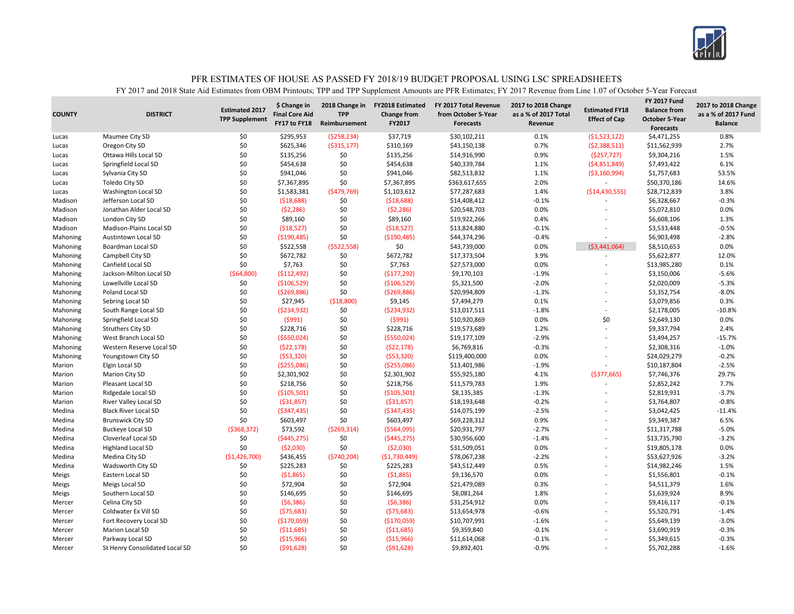

| <b>COUNTY</b> | <b>DISTRICT</b>                | <b>Estimated 2017</b><br><b>TPP Supplement</b> | \$ Change in<br><b>Final Core Aid</b><br>FY17 to FY18 | 2018 Change in<br><b>TPP</b><br>Reimbursement | <b>FY2018 Estimated</b><br><b>Change from</b><br>FY2017 | FY 2017 Total Revenue<br>from October 5-Year<br><b>Forecasts</b> | 2017 to 2018 Change<br>as a % of 2017 Total<br>Revenue | <b>Estimated FY18</b><br><b>Effect of Cap</b> | <b>FY 2017 Fund</b><br><b>Balance from</b><br><b>October 5-Year</b><br><b>Forecasts</b> | 2017 to 2018 Change<br>as a % of 2017 Fund<br><b>Balance</b> |
|---------------|--------------------------------|------------------------------------------------|-------------------------------------------------------|-----------------------------------------------|---------------------------------------------------------|------------------------------------------------------------------|--------------------------------------------------------|-----------------------------------------------|-----------------------------------------------------------------------------------------|--------------------------------------------------------------|
| Lucas         | Maumee City SD                 | \$0                                            | \$295,953                                             | ( \$258, 234)                                 | \$37,719                                                | \$30,102,211                                                     | 0.1%                                                   | (51,523,122)                                  | \$4,471,255                                                                             | 0.8%                                                         |
| Lucas         | Oregon City SD                 | \$0                                            | \$625,346                                             | ( \$315, 177)                                 | \$310,169                                               | \$43,150,138                                                     | 0.7%                                                   | (52, 388, 511)                                | \$11,562,939                                                                            | 2.7%                                                         |
| Lucas         | Ottawa Hills Local SD          | \$0                                            | \$135,256                                             | \$0                                           | \$135,256                                               | \$14,916,990                                                     | 0.9%                                                   | ( \$257, 727)                                 | \$9,304,216                                                                             | 1.5%                                                         |
| Lucas         | Springfield Local SD           | \$0                                            | \$454,638                                             | \$0                                           | \$454,638                                               | \$40,339,784                                                     | 1.1%                                                   | (54,851,849)                                  | \$7,493,422                                                                             | 6.1%                                                         |
| Lucas         | Sylvania City SD               | \$0                                            | \$941,046                                             | \$0                                           | \$941,046                                               | \$82,513,832                                                     | 1.1%                                                   | ( \$3,160,994)                                | \$1,757,683                                                                             | 53.5%                                                        |
| Lucas         | Toledo City SD                 | \$0                                            | \$7,367,895                                           | \$0                                           | \$7,367,895                                             | \$363,617,655                                                    | 2.0%                                                   |                                               | \$50,370,186                                                                            | 14.6%                                                        |
| Lucas         | Washington Local SD            | \$0                                            | \$1,583,381                                           | ( \$479, 769)                                 | \$1,103,612                                             | \$77,287,683                                                     | 1.4%                                                   | ( \$14,430,555)                               | \$28,712,839                                                                            | 3.8%                                                         |
| Madison       | Jefferson Local SD             | \$0                                            | (518, 688)                                            | \$0                                           | (518, 688)                                              | \$14,408,412                                                     | $-0.1%$                                                |                                               | \$6,328,667                                                                             | $-0.3%$                                                      |
| Madison       | Jonathan Alder Local SD        | \$0                                            | (52, 286)                                             | \$0                                           | (52, 286)                                               | \$20,548,703                                                     | 0.0%                                                   | L,                                            | \$5,072,810                                                                             | 0.0%                                                         |
| Madison       | London City SD                 | \$0                                            | \$89,160                                              | \$0                                           | \$89,160                                                | \$19,922,266                                                     | 0.4%                                                   |                                               | \$6,608,106                                                                             | 1.3%                                                         |
| Madison       | Madison-Plains Local SD        | \$0                                            | (518, 527)                                            | \$0                                           | ( \$18,527)                                             | \$13,824,880                                                     | $-0.1%$                                                | L,                                            | \$3,533,448                                                                             | $-0.5%$                                                      |
| Mahoning      | Austintown Local SD            | \$0                                            | ( \$190,485)                                          | \$0                                           | ( \$190,485)                                            | \$44,374,296                                                     | $-0.4%$                                                | $\overline{a}$                                | \$6,903,498                                                                             | $-2.8%$                                                      |
| Mahoning      | Boardman Local SD              | \$0                                            | \$522,558                                             | ( \$522, 558)                                 | \$0                                                     | \$43,739,000                                                     | 0.0%                                                   | (53,441,064)                                  | \$8,510,653                                                                             | 0.0%                                                         |
| Mahoning      | Campbell City SD               | \$0                                            | \$672,782                                             | \$0                                           | \$672,782                                               | \$17,373,504                                                     | 3.9%                                                   |                                               | \$5,622,877                                                                             | 12.0%                                                        |
| Mahoning      | Canfield Local SD              | \$0                                            | \$7,763                                               | \$0                                           | \$7,763                                                 | \$27,573,000                                                     | 0.0%                                                   | L,                                            | \$13,985,280                                                                            | 0.1%                                                         |
| Mahoning      | Jackson-Milton Local SD        | ( \$64, 800)                                   | ( \$112,492)                                          | \$0                                           | (5177, 292)                                             | \$9,170,103                                                      | $-1.9%$                                                |                                               | \$3,150,006                                                                             | $-5.6%$                                                      |
| Mahoning      | Lowellville Local SD           | \$0                                            | ( \$106, 529)                                         | \$0                                           | ( \$106, 529)                                           | \$5,321,500                                                      | $-2.0%$                                                | L,                                            | \$2,020,009                                                                             | $-5.3%$                                                      |
| Mahoning      | Poland Local SD                | \$0                                            | (5269, 886)                                           | \$0                                           | (5269,886)                                              | \$20,994,809                                                     | $-1.3%$                                                | ÷.                                            | \$3,352,754                                                                             | $-8.0%$                                                      |
| Mahoning      | Sebring Local SD               | \$0                                            | \$27,945                                              | ( \$18,800)                                   | \$9,145                                                 | \$7,494,279                                                      | 0.1%                                                   |                                               | \$3,079,856                                                                             | 0.3%                                                         |
| Mahoning      | South Range Local SD           | \$0                                            | (5234, 932)                                           | \$0                                           | ( \$234, 932)                                           | \$13,017,511                                                     | $-1.8%$                                                | ÷                                             | \$2,178,005                                                                             | $-10.8%$                                                     |
| Mahoning      | Springfield Local SD           | \$0                                            | (5991)                                                | \$0                                           | (5991)                                                  | \$10,920,869                                                     | 0.0%                                                   | \$0                                           | \$2,649,130                                                                             | 0.0%                                                         |
| Mahoning      | <b>Struthers City SD</b>       | \$0                                            | \$228,716                                             | \$0                                           | \$228,716                                               | \$19,573,689                                                     | 1.2%                                                   |                                               | \$9,337,794                                                                             | 2.4%                                                         |
| Mahoning      | West Branch Local SD           | \$0                                            | ( \$550,024)                                          | \$0                                           | ( \$550,024)                                            | \$19,177,109                                                     | $-2.9%$                                                | L,                                            | \$3,494,257                                                                             | $-15.7%$                                                     |
| Mahoning      | Western Reserve Local SD       | \$0                                            | (522, 178)                                            | \$0                                           | (522, 178)                                              | \$6,769,816                                                      | $-0.3%$                                                | ÷.                                            | \$2,308,316                                                                             | $-1.0%$                                                      |
| Mahoning      | Youngstown City SD             | \$0                                            | (553, 320)                                            | \$0                                           | (553, 320)                                              | \$119,400,000                                                    | 0.0%                                                   |                                               | \$24,029,279                                                                            | $-0.2%$                                                      |
| Marion        | Elgin Local SD                 | \$0                                            | ( \$255,086)                                          | \$0                                           | ( \$255,086)                                            | \$13,401,986                                                     | $-1.9%$                                                | L,                                            | \$10,187,804                                                                            | $-2.5%$                                                      |
| Marion        | Marion City SD                 | \$0                                            | \$2,301,902                                           | \$0                                           | \$2,301,902                                             | \$55,925,180                                                     | 4.1%                                                   | ( \$377, 665)                                 | \$7,746,376                                                                             | 29.7%                                                        |
| Marion        | Pleasant Local SD              | \$0                                            | \$218,756                                             | \$0                                           | \$218,756                                               | \$11,579,783                                                     | 1.9%                                                   |                                               | \$2,852,242                                                                             | 7.7%                                                         |
| Marion        | Ridgedale Local SD             | \$0                                            | ( \$105,501)                                          | \$0                                           | ( \$105, 501)                                           | \$8,135,385                                                      | $-1.3%$                                                |                                               | \$2,819,931                                                                             | $-3.7%$                                                      |
| Marion        | River Valley Local SD          | \$0                                            | ( \$31, 857)                                          | \$0                                           | ( \$31, 857)                                            | \$18,193,648                                                     | $-0.2%$                                                | L,                                            | \$3,764,807                                                                             | $-0.8%$                                                      |
| Medina        | <b>Black River Local SD</b>    | \$0                                            | ( \$347, 435)                                         | \$0                                           | ( \$347, 435)                                           | \$14,075,199                                                     | $-2.5%$                                                |                                               | \$3,042,425                                                                             | $-11.4%$                                                     |
| Medina        | <b>Brunswick City SD</b>       | \$0                                            | \$603,497                                             | \$0                                           | \$603,497                                               | \$69,228,312                                                     | 0.9%                                                   |                                               | \$9,349,387                                                                             | 6.5%                                                         |
| Medina        | <b>Buckeye Local SD</b>        | (5368, 372)                                    | \$73,592                                              | (5269, 314)                                   | ( \$564,095)                                            | \$20,931,797                                                     | $-2.7%$                                                | L,                                            | \$11,317,788                                                                            | $-5.0%$                                                      |
| Medina        | Cloverleaf Local SD            | \$0                                            | ( \$445, 275)                                         | \$0                                           | ( \$445, 275)                                           | \$30,956,600                                                     | $-1.4%$                                                |                                               | \$13,735,790                                                                            | $-3.2%$                                                      |
| Medina        | <b>Highland Local SD</b>       | \$0                                            | (52,030)                                              | \$0                                           | (52,030)                                                | \$31,509,051                                                     | 0.0%                                                   |                                               | \$19,805,178                                                                            | 0.0%                                                         |
| Medina        | Medina City SD                 | (51, 426, 700)                                 | \$436,455                                             | (5740, 204)                                   | (\$1,730,449)                                           | \$78,067,238                                                     | $-2.2%$                                                |                                               | \$53,627,926                                                                            | $-3.2%$                                                      |
| Medina        | Wadsworth City SD              | \$0                                            | \$225,283                                             | \$0                                           | \$225,283                                               | \$43,512,449                                                     | 0.5%                                                   | ÷                                             | \$14,982,246                                                                            | 1.5%                                                         |
|               | Eastern Local SD               | \$0                                            |                                                       | \$0                                           | (51,865)                                                |                                                                  | 0.0%                                                   |                                               |                                                                                         | $-0.1%$                                                      |
| Meigs         |                                | \$0                                            | (51,865)<br>\$72,904                                  | \$0                                           | \$72,904                                                | \$9,136,570<br>\$21,479,089                                      | 0.3%                                                   | L,                                            | \$1,556,801                                                                             | 1.6%                                                         |
| Meigs         | Meigs Local SD                 | \$0                                            | \$146,695                                             | \$0                                           | \$146,695                                               | \$8,081,264                                                      | 1.8%                                                   |                                               | \$4,511,379                                                                             | 8.9%                                                         |
| Meigs         | Southern Local SD              |                                                |                                                       | \$0                                           |                                                         |                                                                  |                                                        |                                               | \$1,639,924                                                                             |                                                              |
| Mercer        | Celina City SD                 | \$0                                            | (56, 386)                                             |                                               | (56, 386)                                               | \$31,254,912                                                     | 0.0%                                                   |                                               | \$9,416,117                                                                             | $-0.1%$                                                      |
| Mercer        | Coldwater Ex Vill SD           | \$0                                            | (575, 683)                                            | \$0<br>\$0                                    | (575, 683)                                              | \$13,654,978                                                     | $-0.6%$                                                |                                               | \$5,520,791                                                                             | $-1.4%$                                                      |
| Mercer        | Fort Recovery Local SD         | \$0                                            | ( \$170,059]                                          |                                               | (\$170,059)                                             | \$10,707,991                                                     | $-1.6%$                                                | L,                                            | \$5,649,139                                                                             | $-3.0%$                                                      |
| Mercer        | <b>Marion Local SD</b>         | \$0                                            | ( \$11,685)                                           | \$0                                           | ( \$11,685)                                             | \$9,359,840                                                      | $-0.1%$                                                |                                               | \$3,690,919                                                                             | $-0.3%$                                                      |
| Mercer        | Parkway Local SD               | \$0                                            | ( \$15,966)                                           | \$0                                           | ( \$15,966)                                             | \$11,614,068                                                     | $-0.1%$                                                |                                               | \$5,349,615                                                                             | $-0.3%$                                                      |
| Mercer        | St Henry Consolidated Local SD | \$0                                            | (591, 628)                                            | \$0                                           | (591, 628)                                              | \$9,892,401                                                      | $-0.9%$                                                | ÷                                             | \$5,702,288                                                                             | $-1.6%$                                                      |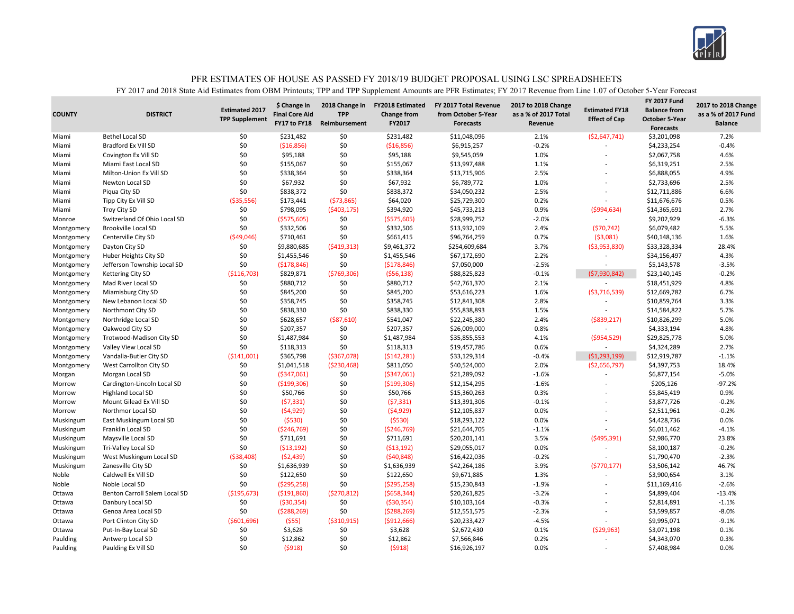

|               |                               |                       |                                       |                              |                                               |                                              |                                             |                          | <b>FY 2017 Fund</b>   |                                            |
|---------------|-------------------------------|-----------------------|---------------------------------------|------------------------------|-----------------------------------------------|----------------------------------------------|---------------------------------------------|--------------------------|-----------------------|--------------------------------------------|
| <b>COUNTY</b> | <b>DISTRICT</b>               | <b>Estimated 2017</b> | \$ Change in<br><b>Final Core Aid</b> | 2018 Change in<br><b>TPP</b> | <b>FY2018 Estimated</b><br><b>Change from</b> | FY 2017 Total Revenue<br>from October 5-Year | 2017 to 2018 Change<br>as a % of 2017 Total | <b>Estimated FY18</b>    | <b>Balance from</b>   | 2017 to 2018 Change<br>as a % of 2017 Fund |
|               |                               | <b>TPP Supplement</b> | FY17 to FY18                          | Reimbursement                | FY2017                                        | <b>Forecasts</b>                             | Revenue                                     | <b>Effect of Cap</b>     | <b>October 5-Year</b> | <b>Balance</b>                             |
|               |                               |                       |                                       |                              |                                               |                                              |                                             |                          | <b>Forecasts</b>      |                                            |
| Miami         | <b>Bethel Local SD</b>        | \$0                   | \$231,482                             | \$0                          | \$231,482                                     | \$11,048,096                                 | 2.1%                                        | ( \$2,647,741)           | \$3,201,098           | 7.2%                                       |
| Miami         | <b>Bradford Ex Vill SD</b>    | \$0                   | ( \$16, 856)                          | \$0                          | (\$16,856)                                    | \$6,915,257                                  | $-0.2%$                                     |                          | \$4,233,254           | $-0.4%$                                    |
| Miami         | Covington Ex Vill SD          | \$0                   | \$95,188                              | \$0                          | \$95,188                                      | \$9,545,059                                  | 1.0%                                        |                          | \$2,067,758           | 4.6%                                       |
| Miami         | Miami East Local SD           | \$0                   | \$155,067                             | \$0                          | \$155,067                                     | \$13,997,488                                 | 1.1%                                        |                          | \$6,319,251           | 2.5%                                       |
| Miami         | Milton-Union Ex Vill SD       | \$0                   | \$338,364                             | \$0                          | \$338,364                                     | \$13,715,906                                 | 2.5%                                        |                          | \$6,888,055           | 4.9%                                       |
| Miami         | Newton Local SD               | \$0                   | \$67,932                              | \$0                          | \$67,932                                      | \$6,789,772                                  | 1.0%                                        |                          | \$2,733,696           | 2.5%                                       |
| Miami         | Piqua City SD                 | \$0                   | \$838,372                             | \$0                          | \$838,372                                     | \$34,050,232                                 | 2.5%                                        |                          | \$12,711,886          | 6.6%                                       |
| Miami         | Tipp City Ex Vill SD          | ( \$35,556)           | \$173,441                             | (573,865)                    | \$64,020                                      | \$25,729,300                                 | 0.2%                                        |                          | \$11,676,676          | 0.5%                                       |
| Miami         | <b>Troy City SD</b>           | \$0                   | \$798,095                             | (5403, 175)                  | \$394,920                                     | \$45,733,213                                 | 0.9%                                        | (5994, 634)              | \$14,365,691          | 2.7%                                       |
| Monroe        | Switzerland Of Ohio Local SD  | \$0                   | ( \$575,605)                          | \$0                          | ( \$575, 605)                                 | \$28,999,752                                 | $-2.0%$                                     |                          | \$9,202,929           | $-6.3%$                                    |
| Montgomery    | <b>Brookville Local SD</b>    | \$0                   | \$332,506                             | \$0                          | \$332,506                                     | \$13,932,109                                 | 2.4%                                        | (570, 742)               | \$6,079,482           | 5.5%                                       |
| Montgomery    | Centerville City SD           | (549,046)             | \$710,461                             | \$0                          | \$661,415                                     | \$96,764,259                                 | 0.7%                                        | ( \$3,081)               | \$40,148,136          | 1.6%                                       |
| Montgomery    | Dayton City SD                | \$0                   | \$9,880,685                           | (5419,313)                   | \$9,461,372                                   | \$254,609,684                                | 3.7%                                        | ( \$3,953,830)           | \$33,328,334          | 28.4%                                      |
| Montgomery    | Huber Heights City SD         | \$0                   | \$1,455,546                           | \$0                          | \$1,455,546                                   | \$67,172,690                                 | 2.2%                                        |                          | \$34,156,497          | 4.3%                                       |
| Montgomery    | Jefferson Township Local SD   | \$0                   | (5178, 846)                           | \$0                          | (\$178,846)                                   | \$7,050,000                                  | $-2.5%$                                     | $\overline{a}$           | \$5,143,578           | $-3.5%$                                    |
| Montgomery    | Kettering City SD             | ( \$116, 703)         | \$829,871                             | (5769,306)                   | (556, 138)                                    | \$88,825,823                                 | $-0.1%$                                     | (57,930,842)             | \$23,140,145          | $-0.2%$                                    |
| Montgomery    | Mad River Local SD            | \$0                   | \$880,712                             | \$0                          | \$880,712                                     | \$42,761,370                                 | 2.1%                                        |                          | \$18,451,929          | 4.8%                                       |
| Montgomery    | Miamisburg City SD            | \$0                   | \$845,200                             | \$0                          | \$845,200                                     | \$53,616,223                                 | 1.6%                                        | ( \$3,716,539)           | \$12,669,782          | 6.7%                                       |
| Montgomery    | New Lebanon Local SD          | \$0                   | \$358,745                             | \$0                          | \$358,745                                     | \$12,841,308                                 | 2.8%                                        |                          | \$10,859,764          | 3.3%                                       |
| Montgomery    | Northmont City SD             | \$0                   | \$838,330                             | \$0                          | \$838,330                                     | \$55,838,893                                 | 1.5%                                        |                          | \$14,584,822          | 5.7%                                       |
| Montgomery    | Northridge Local SD           | \$0                   | \$628,657                             | ( \$87, 610)                 | \$541,047                                     | \$22,245,380                                 | 2.4%                                        | $($ \$839,217)           | \$10,826,299          | 5.0%                                       |
| Montgomery    | Oakwood City SD               | \$0                   | \$207,357                             | \$0                          | \$207,357                                     | \$26,009,000                                 | 0.8%                                        |                          | \$4,333,194           | 4.8%                                       |
| Montgomery    | Trotwood-Madison City SD      | \$0                   | \$1,487,984                           | \$0                          | \$1,487,984                                   | \$35,855,553                                 | 4.1%                                        | ( \$954, 529)            | \$29,825,778          | 5.0%                                       |
| Montgomery    | Valley View Local SD          | \$0                   | \$118,313                             | \$0                          | \$118,313                                     | \$19,457,786                                 | 0.6%                                        | $\sim$                   | \$4,324,289           | 2.7%                                       |
| Montgomery    | Vandalia-Butler City SD       | (5141,001)            | \$365,798                             | ( \$367,078)                 | (5142, 281)                                   | \$33,129,314                                 | $-0.4%$                                     | (51, 293, 199)           | \$12,919,787          | $-1.1%$                                    |
| Montgomery    | West Carrollton City SD       | \$0                   | \$1,041,518                           | ( \$230,468)                 | \$811,050                                     | \$40,524,000                                 | 2.0%                                        | ( \$2,656,797)           | \$4,397,753           | 18.4%                                      |
| Morgan        | Morgan Local SD               | \$0                   | ( \$347,061)                          | \$0                          | ( \$347,061)                                  | \$21,289,092                                 | $-1.6%$                                     |                          | \$6,877,154           | $-5.0%$                                    |
| Morrow        | Cardington-Lincoln Local SD   | \$0                   | ( \$199, 306)                         | \$0                          | ( \$199, 306)                                 | \$12,154,295                                 | $-1.6%$                                     |                          | \$205,126             | $-97.2%$                                   |
| Morrow        | <b>Highland Local SD</b>      | \$0                   | \$50,766                              | \$0                          | \$50,766                                      | \$15,360,263                                 | 0.3%                                        |                          | \$5,845,419           | 0.9%                                       |
| Morrow        | Mount Gilead Ex Vill SD       | \$0                   | (57, 331)                             | \$0                          | (57, 331)                                     | \$13,391,306                                 | $-0.1%$                                     |                          | \$3,877,726           | $-0.2%$                                    |
| Morrow        | Northmor Local SD             | \$0                   | (54, 929)                             | \$0                          | (54, 929)                                     | \$12,105,837                                 | 0.0%                                        |                          | \$2,511,961           | $-0.2%$                                    |
| Muskingum     | East Muskingum Local SD       | \$0                   | (5530)                                | \$0                          | (5530)                                        | \$18,293,122                                 | 0.0%                                        |                          | \$4,428,736           | 0.0%                                       |
| Muskingum     | Franklin Local SD             | \$0                   | (5246,769)                            | \$0                          | ( \$246, 769]                                 | \$21,644,705                                 | $-1.1%$                                     |                          | \$6,011,462           | $-4.1%$                                    |
| Muskingum     | Maysville Local SD            | \$0                   | \$711,691                             | \$0                          | \$711,691                                     | \$20,201,141                                 | 3.5%                                        | ( \$495, 391)            | \$2,986,770           | 23.8%                                      |
| Muskingum     | Tri-Valley Local SD           | \$0                   | ( \$13, 192)                          | \$0                          | (513, 192)                                    | \$29,055,017                                 | 0.0%                                        |                          | \$8,100,187           | $-0.2%$                                    |
| Muskingum     | West Muskingum Local SD       | ( \$38,408)           | (52, 439)                             | \$0                          | (540, 848)                                    | \$16,422,036                                 | $-0.2%$                                     |                          | \$1,790,470           | $-2.3%$                                    |
| Muskingum     | Zanesville City SD            | \$0                   | \$1,636,939                           | \$0                          | \$1,636,939                                   | \$42,264,186                                 | 3.9%                                        | (5770, 177)              | \$3,506,142           | 46.7%                                      |
| Noble         | Caldwell Ex Vill SD           | \$0                   | \$122,650                             | \$0                          | \$122,650                                     | \$9,671,885                                  | 1.3%                                        |                          | \$3,900,654           | 3.1%                                       |
| Noble         | Noble Local SD                | \$0                   | (5295, 258)                           | \$0                          | ( \$295, 258]                                 | \$15,230,843                                 | $-1.9%$                                     | $\overline{\phantom{a}}$ | \$11,169,416          | $-2.6%$                                    |
| Ottawa        | Benton Carroll Salem Local SD | (\$195,673)           | ( \$191, 860)                         | ( \$270, 812)                | ( \$658, 344)                                 | \$20,261,825                                 | $-3.2%$                                     |                          | \$4,899,404           | $-13.4%$                                   |
|               |                               |                       |                                       |                              |                                               |                                              | $-0.3%$                                     |                          |                       | $-1.1%$                                    |
| Ottawa        | Danbury Local SD              | \$0                   | ( \$30,354)                           | \$0                          | ( \$30, 354)                                  | \$10,103,164                                 |                                             |                          | \$2,814,891           |                                            |
| Ottawa        | Genoa Area Local SD           | \$0                   | (5288, 269)                           | \$0                          | (5288, 269)                                   | \$12,551,575                                 | $-2.3%$                                     |                          | \$3,599,857           | $-8.0%$                                    |
| Ottawa        | Port Clinton City SD          | (5601,696)            | (555)                                 | ( \$310, 915)                | ( \$912, 666]                                 | \$20,233,427                                 | $-4.5%$                                     | $\overline{a}$           | \$9,995,071           | $-9.1%$                                    |
| Ottawa        | Put-In-Bay Local SD           | \$0                   | \$3,628                               | \$0                          | \$3,628                                       | \$2,672,430                                  | 0.1%                                        | (529, 963)               | \$3,071,198           | 0.1%                                       |
| Paulding      | Antwerp Local SD              | \$0                   | \$12,862                              | \$0                          | \$12,862                                      | \$7,566,846                                  | 0.2%                                        | $\overline{\phantom{a}}$ | \$4,343,070           | 0.3%                                       |
| Paulding      | Paulding Ex Vill SD           | \$0                   | (5918)                                | \$0                          | (5918)                                        | \$16.926.197                                 | 0.0%                                        | $\overline{a}$           | \$7,408,984           | 0.0%                                       |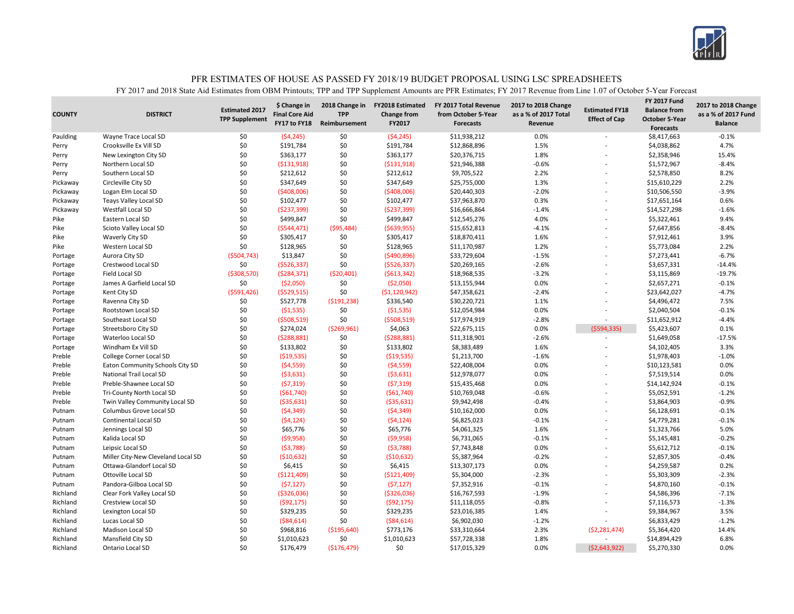

| <b>COUNTY</b> | <b>DISTRICT</b>                    | <b>Estimated 2017</b><br><b>TPP Supplement</b> | \$ Change in<br><b>Final Core Aid</b><br>FY17 to FY18 | 2018 Change in<br><b>TPP</b><br>Reimbursement | <b>FY2018 Estimated</b><br>Change from<br>FY2017 | FY 2017 Total Revenue<br>from October 5-Year<br><b>Forecasts</b> | 2017 to 2018 Change<br>as a % of 2017 Total<br>Revenue | <b>Estimated FY18</b><br><b>Effect of Cap</b> | <b>FY 2017 Fund</b><br><b>Balance from</b><br><b>October 5-Year</b> | 2017 to 2018 Change<br>as a % of 2017 Fund<br><b>Balance</b> |
|---------------|------------------------------------|------------------------------------------------|-------------------------------------------------------|-----------------------------------------------|--------------------------------------------------|------------------------------------------------------------------|--------------------------------------------------------|-----------------------------------------------|---------------------------------------------------------------------|--------------------------------------------------------------|
| Paulding      | Wayne Trace Local SD               | \$0                                            | (54, 245)                                             | \$0                                           | (54, 245)                                        | \$11,938,212                                                     | 0.0%                                                   |                                               | <b>Forecasts</b><br>\$8,417,663                                     | $-0.1%$                                                      |
| Perry         | Crooksville Ex Vill SD             | \$0                                            | \$191,784                                             | \$0                                           | \$191,784                                        | \$12,868,896                                                     | 1.5%                                                   |                                               | \$4,038,862                                                         | 4.7%                                                         |
| Perry         | New Lexington City SD              | \$0                                            | \$363,177                                             | \$0                                           | \$363,177                                        | \$20,376,715                                                     | 1.8%                                                   |                                               | \$2,358,946                                                         | 15.4%                                                        |
| Perry         | Northern Local SD                  | \$0                                            | ( \$131, 918)                                         | \$0                                           | ( \$131, 918)                                    | \$21,946,388                                                     | $-0.6%$                                                |                                               | \$1,572,967                                                         | $-8.4%$                                                      |
| Perry         | Southern Local SD                  | \$0                                            | \$212,612                                             | \$0                                           | \$212,612                                        | \$9,705,522                                                      | 2.2%                                                   |                                               | \$2,578,850                                                         | 8.2%                                                         |
| Pickaway      | Circleville City SD                | \$0                                            | \$347,649                                             | \$0                                           | \$347,649                                        | \$25,755,000                                                     | 1.3%                                                   |                                               | \$15,610,229                                                        | 2.2%                                                         |
| Pickaway      | Logan Elm Local SD                 | \$0                                            | ( \$408,006]                                          | \$0                                           | (5408,006)                                       | \$20,440,303                                                     | $-2.0%$                                                |                                               | \$10,506,550                                                        | $-3.9%$                                                      |
| Pickaway      | <b>Teays Valley Local SD</b>       | \$0                                            | \$102,477                                             | \$0                                           | \$102,477                                        | \$37,963,870                                                     | 0.3%                                                   |                                               | \$17,651,164                                                        | 0.6%                                                         |
| Pickaway      | Westfall Local SD                  | \$0                                            | ( \$237, 399)                                         | \$0                                           | ( \$237, 399)                                    | \$16,666,864                                                     | $-1.4%$                                                |                                               | \$14,527,298                                                        | $-1.6%$                                                      |
| Pike          | Eastern Local SD                   | \$0                                            |                                                       | \$0                                           |                                                  |                                                                  | 4.0%                                                   |                                               |                                                                     | 9.4%                                                         |
| Pike          |                                    | \$0                                            | \$499,847<br>(5544, 471)                              | ( \$95,484)                                   | \$499,847<br>( \$639, 955)                       | \$12,545,276<br>\$15,652,813                                     | $-4.1%$                                                |                                               | \$5,322,461<br>\$7,647,856                                          | $-8.4%$                                                      |
| Pike          | Scioto Valley Local SD             | \$0                                            | \$305,417                                             | \$0                                           | \$305,417                                        | \$18,870,411                                                     | 1.6%                                                   |                                               | \$7,912,461                                                         | 3.9%                                                         |
| Pike          | Waverly City SD                    | \$0                                            |                                                       | \$0                                           |                                                  |                                                                  | 1.2%                                                   |                                               |                                                                     | 2.2%                                                         |
|               | Western Local SD                   |                                                | \$128,965                                             |                                               | \$128,965                                        | \$11,170,987                                                     |                                                        |                                               | \$5,773,084                                                         | $-6.7%$                                                      |
| Portage       | Aurora City SD                     | ( \$504, 743)                                  | \$13,847                                              | \$0                                           | ( \$490, 896)                                    | \$33,729,604                                                     | $-1.5%$                                                |                                               | \$7,273,441                                                         |                                                              |
| Portage       | Crestwood Local SD                 | \$0                                            | ( \$526, 337)                                         | \$0                                           | ( \$526, 337)                                    | \$20,269,165                                                     | $-2.6%$                                                |                                               | \$3,657,331                                                         | $-14.4%$                                                     |
| Portage       | Field Local SD                     | ( \$308,570)                                   | (5284, 371)                                           | (520, 401)                                    | (5613, 342)                                      | \$18,968,535                                                     | $-3.2%$                                                |                                               | \$3,115,869                                                         | $-19.7%$                                                     |
| Portage       | James A Garfield Local SD          | \$0                                            | ( \$2,050)                                            | \$0                                           | ( \$2,050)                                       | \$13,155,944                                                     | 0.0%                                                   |                                               | \$2,657,271                                                         | $-0.1%$                                                      |
| Portage       | Kent City SD                       | (5591, 426)                                    | ( \$529, 515)                                         | \$0                                           | ( \$1,120,942)                                   | \$47,358,621                                                     | $-2.4%$                                                |                                               | \$23,642,027                                                        | $-4.7%$                                                      |
| Portage       | Ravenna City SD                    | \$0                                            | \$527,778                                             | ( \$191, 238)                                 | \$336,540                                        | \$30,220,721                                                     | 1.1%                                                   |                                               | \$4,496,472                                                         | 7.5%                                                         |
| Portage       | Rootstown Local SD                 | \$0                                            | (51,535)                                              | \$0                                           | (51, 535)                                        | \$12,054,984                                                     | 0.0%                                                   |                                               | \$2,040,504                                                         | $-0.1%$                                                      |
| Portage       | Southeast Local SD                 | \$0                                            | ( \$508, 519)                                         | \$0                                           | ( \$508, 519)                                    | \$17,974,919                                                     | $-2.8%$                                                |                                               | \$11,652,912                                                        | $-4.4%$                                                      |
| Portage       | Streetsboro City SD                | \$0                                            | \$274,024                                             | (5269,961)                                    | \$4,063                                          | \$22,675,115                                                     | 0.0%                                                   | (5594, 335)                                   | \$5,423,607                                                         | 0.1%                                                         |
| Portage       | Waterloo Local SD                  | \$0                                            | (5288, 881)                                           | \$0                                           | (5288, 881)                                      | \$11,318,901                                                     | $-2.6%$                                                |                                               | \$1,649,058                                                         | $-17.5%$                                                     |
| Portage       | Windham Ex Vill SD                 | \$0                                            | \$133,802                                             | \$0                                           | \$133,802                                        | \$8,383,489                                                      | 1.6%                                                   |                                               | \$4,102,405                                                         | 3.3%                                                         |
| Preble        | College Corner Local SD            | \$0                                            | ( \$19,535)                                           | \$0                                           | ( \$19,535)                                      | \$1,213,700                                                      | $-1.6%$                                                |                                               | \$1,978,403                                                         | $-1.0%$                                                      |
| Preble        | Eaton Community Schools City SD    | \$0                                            | (54, 559)                                             | \$0                                           | (54, 559)                                        | \$22,408,004                                                     | 0.0%                                                   |                                               | \$10,123,581                                                        | 0.0%                                                         |
| Preble        | <b>National Trail Local SD</b>     | \$0                                            | (53,631)                                              | \$0                                           | (53,631)                                         | \$12,978,077                                                     | 0.0%                                                   |                                               | \$7,519,514                                                         | 0.0%                                                         |
| Preble        | Preble-Shawnee Local SD            | \$0                                            | (57,319)                                              | \$0                                           | (57,319)                                         | \$15,435,468                                                     | 0.0%                                                   |                                               | \$14,142,924                                                        | $-0.1%$                                                      |
| Preble        | Tri-County North Local SD          | \$0                                            | ( \$61, 740)                                          | \$0                                           | (561,740)                                        | \$10,769,048                                                     | $-0.6%$                                                |                                               | \$5,052,591                                                         | $-1.2%$                                                      |
| Preble        | Twin Valley Community Local SD     | \$0                                            | ( \$35,631)                                           | \$0                                           | ( \$35,631)                                      | \$9,942,498                                                      | $-0.4%$                                                |                                               | \$3,864,903                                                         | $-0.9%$                                                      |
| Putnam        | Columbus Grove Local SD            | \$0                                            | (54, 349)                                             | \$0                                           | (54, 349)                                        | \$10,162,000                                                     | 0.0%                                                   |                                               | \$6,128,691                                                         | $-0.1%$                                                      |
| Putnam        | Continental Local SD               | \$0                                            | (54, 124)                                             | \$0                                           | (54, 124)                                        | \$6,825,023                                                      | $-0.1%$                                                |                                               | \$4,779,281                                                         | $-0.1%$                                                      |
| Putnam        | Jennings Local SD                  | \$0                                            | \$65,776                                              | \$0                                           | \$65,776                                         | \$4,061,325                                                      | 1.6%                                                   |                                               | \$1,323,766                                                         | 5.0%                                                         |
| Putnam        | Kalida Local SD                    | \$0                                            | ( \$9,958)                                            | \$0                                           | ( \$9,958)                                       | \$6,731,065                                                      | $-0.1%$                                                |                                               | \$5,145,481                                                         | $-0.2%$                                                      |
| Putnam        | Leipsic Local SD                   | \$0                                            | (53,788)                                              | \$0                                           | (53,788)                                         | \$7,743,848                                                      | 0.0%                                                   |                                               | \$5,612,712                                                         | $-0.1%$                                                      |
| Putnam        | Miller City-New Cleveland Local SD | \$0                                            | ( \$10,632)                                           | \$0                                           | ( \$10,632)                                      | \$5,387,964                                                      | $-0.2%$                                                |                                               | \$2,857,305                                                         | $-0.4%$                                                      |
| Putnam        | Ottawa-Glandorf Local SD           | \$0                                            | \$6,415                                               | \$0                                           | \$6,415                                          | \$13,307,173                                                     | 0.0%                                                   |                                               | \$4,259,587                                                         | 0.2%                                                         |
| Putnam        | Ottoville Local SD                 | \$0                                            | ( \$121,409)                                          | \$0                                           | ( \$121,409)                                     | \$5,304,000                                                      | $-2.3%$                                                |                                               | \$5,303,309                                                         | $-2.3%$                                                      |
| Putnam        | Pandora-Gilboa Local SD            | \$0                                            | (57, 127)                                             | \$0                                           | (57, 127)                                        | \$7,352,916                                                      | $-0.1%$                                                |                                               | \$4,870,160                                                         | $-0.1%$                                                      |
| Richland      | Clear Fork Valley Local SD         | \$0                                            | ( \$326, 036)                                         | \$0                                           | ( \$326, 036)                                    | \$16,767,593                                                     | $-1.9%$                                                |                                               | \$4,586,396                                                         | $-7.1%$                                                      |
| Richland      | Crestview Local SD                 | \$0                                            | (592, 175)                                            | \$0                                           | (592, 175)                                       | \$11,118,055                                                     | $-0.8%$                                                |                                               | \$7,116,573                                                         | $-1.3%$                                                      |
| Richland      | Lexington Local SD                 | \$0                                            | \$329,235                                             | \$0                                           | \$329,235                                        | \$23,016,385                                                     | 1.4%                                                   |                                               | \$9,384,967                                                         | 3.5%                                                         |
| Richland      | Lucas Local SD                     | \$0                                            | ( \$84, 614)                                          | \$0                                           | ( \$84, 614)                                     | \$6,902,030                                                      | $-1.2%$                                                |                                               | \$6,833,429                                                         | $-1.2%$                                                      |
| Richland      | Madison Local SD                   | \$0                                            | \$968,816                                             | ( \$195,640)                                  | \$773,176                                        | \$33,310,664                                                     | 2.3%                                                   | (52, 281, 474)                                | \$5,364,420                                                         | 14.4%                                                        |
| Richland      | Mansfield City SD                  | \$0                                            | \$1,010,623                                           | \$0                                           | \$1,010,623                                      | \$57,728,338                                                     | 1.8%                                                   | $\sim$                                        | \$14,894,429                                                        | 6.8%                                                         |
| Richland      | Ontario Local SD                   | \$0                                            | \$176.479                                             | ( \$176,479)                                  | \$0                                              | \$17,015,329                                                     | 0.0%                                                   | (52,643,922)                                  | \$5,270,330                                                         | 0.0%                                                         |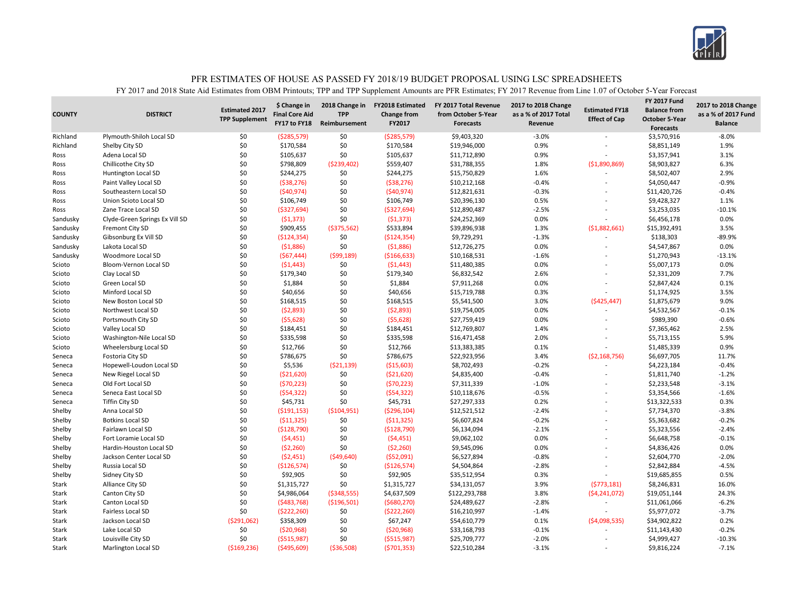

| $-8.0%$<br>Richland<br>Plymouth-Shiloh Local SD<br>\$0<br>( \$285, 579)<br>\$0<br>( \$285, 579)<br>\$9,403,320<br>$-3.0%$<br>\$3,570,916<br>\$0<br>\$0<br>\$170,584<br>0.9%<br>\$8,851,149<br>1.9%<br>Richland<br>Shelby City SD<br>\$170,584<br>\$19,946,000<br>\$0<br>\$0<br>0.9%<br>\$3,357,941<br>3.1%<br>Adena Local SD<br>\$105,637<br>\$105,637<br>\$11,712,890<br>Ross<br>Chillicothe City SD<br>\$0<br>\$798,809<br>( \$239,402)<br>\$559,407<br>\$31,788,355<br>1.8%<br>\$8,903,827<br>6.3%<br>( \$1,890,869)<br>Ross<br>\$0<br>2.9%<br>\$244,275<br>\$0<br>\$244,275<br>\$15,750,829<br>1.6%<br>\$8,502,407<br>Ross<br><b>Huntington Local SD</b><br>$\overline{\phantom{a}}$<br>\$0<br>\$0<br>$-0.4%$<br>$-0.9%$<br>Paint Valley Local SD<br>( \$38, 276)<br>( \$38, 276)<br>\$10,212,168<br>\$4,050,447<br>Ross<br>\$0<br>\$0<br>(540, 974)<br>(540, 974)<br>\$12,821,631<br>$-0.3%$<br>$-0.4%$<br>Ross<br>Southeastern Local SD<br>\$11,420,726<br>\$0<br>\$0<br>0.5%<br>\$106,749<br>\$106,749<br>\$20,396,130<br>\$9,428,327<br>1.1%<br>Ross<br>Union Scioto Local SD<br>\$0<br>\$0<br>\$12,890,487<br>$-2.5%$<br>$-10.1%$<br>Zane Trace Local SD<br>( \$327, 694)<br>( \$327, 694)<br>\$3,253,035<br>Ross<br>÷<br>0.0%<br>\$0<br>\$0<br>\$24,252,369<br>0.0%<br>Clyde-Green Springs Ex Vill SD<br>(51, 373)<br>(51, 373)<br>\$6,456,178<br>Sandusky<br>\$0<br>3.5%<br>\$909,455<br>( \$375,562)<br>\$533,894<br>\$39,896,938<br>1.3%<br>( \$1,882,661)<br>\$15,392,491<br>Sandusky<br><b>Fremont City SD</b><br>\$0<br>\$0<br>$-1.3%$<br>$-89.9%$<br>Gibsonburg Ex Vill SD<br>( \$124, 354)<br>( \$124, 354)<br>\$9,729,291<br>\$138,303<br>Sandusky<br>$\overline{a}$<br>\$0<br>\$0<br>(51,886)<br>\$12,726,275<br>0.0%<br>0.0%<br>Sandusky<br>Lakota Local SD<br>(51,886)<br>\$4,547,867<br>\$0<br>(567, 444)<br>(599, 189)<br>( \$166, 633)<br>\$10,168,531<br>$-1.6%$<br>\$1,270,943<br>$-13.1%$<br>Sandusky<br>Woodmore Local SD<br>\$0<br>\$0<br>\$11,480,385<br>0.0%<br>0.0%<br>(51, 443)<br>(51, 443)<br>\$5,007,173<br>Scioto<br>Bloom-Vernon Local SD<br>L,<br>\$0<br>\$179,340<br>\$0<br>\$179,340<br>\$6,832,542<br>2.6%<br>7.7%<br>Scioto<br>Clay Local SD<br>\$2,331,209<br>\$0<br>\$0<br>0.0%<br>0.1%<br>\$1,884<br>\$1,884<br>\$7,911,268<br>\$2,847,424<br>Scioto<br>Green Local SD<br>\$0<br>\$0<br>\$40,656<br>0.3%<br>3.5%<br>Minford Local SD<br>\$40,656<br>\$15,719,788<br>\$1,174,925<br>Scioto<br>\$0<br>\$0<br>9.0%<br>\$168,515<br>\$5,541,500<br>3.0%<br>Scioto<br>New Boston Local SD<br>\$168,515<br>(\$425,447)<br>\$1,875,679<br>\$0<br>\$0<br>(52,893)<br>(52,893)<br>\$19,754,005<br>0.0%<br>\$4,532,567<br>$-0.1%$<br>Scioto<br>Northwest Local SD<br>\$0<br>\$0<br>0.0%<br>\$989,390<br>(55, 628)<br>(55, 628)<br>\$27,759,419<br>$-0.6%$<br>Scioto<br>Portsmouth City SD<br>$\overline{a}$<br>\$0<br>\$0<br>1.4%<br>2.5%<br>Valley Local SD<br>\$184,451<br>\$184,451<br>\$12,769,807<br>\$7,365,462<br>Scioto<br>\$0<br>\$0<br>\$335,598<br>\$335,598<br>\$16,471,458<br>2.0%<br>5.9%<br>Scioto<br>Washington-Nile Local SD<br>\$5,713,155<br>L,<br>\$0<br>\$0<br>\$12,766<br>0.1%<br>0.9%<br>\$12,766<br>\$13,383,385<br>\$1,485,339<br>Scioto<br>Wheelersburg Local SD<br>\$0<br>\$786,675<br>\$0<br>\$786,675<br>\$22,923,956<br>3.4%<br>\$6,697,705<br>11.7%<br>Fostoria City SD<br>(52, 168, 756)<br>Seneca<br>\$0<br>\$5,536<br>(521, 139)<br>( \$15,603)<br>\$8,702,493<br>$-0.2%$<br>$-0.4%$<br>Seneca<br>Hopewell-Loudon Local SD<br>\$4,223,184<br>\$0<br>\$0<br>\$4,835,400<br>(521, 620)<br>( \$21,620)<br>$-0.4%$<br>\$1,811,740<br>$-1.2%$<br>Seneca<br>New Riegel Local SD<br>$\overline{\phantom{a}}$<br>\$0<br>\$0<br>$-3.1%$<br>Old Fort Local SD<br>(570, 223)<br>(570, 223)<br>\$7,311,339<br>$-1.0%$<br>\$2,233,548<br>Seneca<br>\$0<br>\$0<br>(554, 322)<br>(554, 322)<br>\$10,118,676<br>$-0.5%$<br>\$3,354,566<br>$-1.6%$<br>Seneca East Local SD<br>Seneca<br>L,<br>\$0<br>\$0<br>\$45,731<br>\$45,731<br>\$27,297,333<br>0.2%<br>\$13,322,533<br>0.3%<br>Seneca<br><b>Tiffin City SD</b><br>$\overline{a}$<br>\$0<br>$-3.8%$<br>Shelby<br>Anna Local SD<br>( \$191, 153)<br>( \$104, 951)<br>( \$296, 104)<br>\$12,521,512<br>$-2.4%$<br>\$7,734,370<br>\$0<br>\$0<br>\$6,607,824<br>$-0.2%$<br>$-0.2%$<br>Shelby<br><b>Botkins Local SD</b><br>( \$11,325)<br>(511, 325)<br>\$5,363,682<br>\$0<br>\$0<br>(5128,790)<br>(\$128,790)<br>\$6,134,094<br>$-2.1%$<br>\$5,323,556<br>$-2.4%$<br>Shelby<br>Fairlawn Local SD<br>\$0<br>\$0<br>0.0%<br>\$6,648,758<br>$-0.1%$<br>Shelby<br>(54, 451)<br>(54, 451)<br>\$9,062,102<br>Fort Loramie Local SD<br>L,<br>\$0<br>0.0%<br>\$0<br>\$9,545,096<br>0.0%<br>Shelby<br>Hardin-Houston Local SD<br>(52,260)<br>( \$2,260)<br>\$4,836,426<br>\$0<br>(52, 451)<br>(549, 640)<br>( \$52,091)<br>\$6,527,894<br>$-0.8%$<br>\$2,604,770<br>$-2.0%$<br>Shelby<br>Jackson Center Local SD<br>$\overline{a}$<br>\$0<br>\$0<br>$-4.5%$<br>Shelby<br>Russia Local SD<br>(\$126,574)<br>( \$126, 574)<br>\$4,504,864<br>$-2.8%$<br>\$2,842,884<br>$\overline{a}$<br>\$0<br>\$0<br>\$92,905<br>0.3%<br>0.5%<br>Shelby<br>Sidney City SD<br>\$92,905<br>\$35,512,954<br>\$19,685,855<br>\$0<br>\$0<br>\$34,131,057<br>3.9%<br>(5773, 181)<br>16.0%<br>Stark<br>Alliance City SD<br>\$1,315,727<br>\$1,315,727<br>\$8,246,831<br>\$0<br>3.8%<br>24.3%<br>Stark<br>Canton City SD<br>\$4,986,064<br>( \$348, 555)<br>\$4,637,509<br>\$122,293,788<br>( \$4, 241, 072)<br>\$19,051,144<br>\$0<br>(5483,768)<br>( \$196, 501)<br>( \$680, 270)<br>\$24,489,627<br>$-6.2%$<br>Stark<br>Canton Local SD<br>$-2.8%$<br>\$11,061,066<br>\$0<br>\$0<br>( \$222, 260)<br>( \$222, 260)<br>\$16,210,997<br>$-1.4%$<br>\$5,977,072<br>$-3.7%$<br>Stark<br><b>Fairless Local SD</b><br>\$0<br>0.2%<br>Stark<br>Jackson Local SD<br>(5291,062)<br>\$358,309<br>\$67,247<br>\$54,610,779<br>0.1%<br>( \$4,098,535)<br>\$34,902,822<br>\$0<br>\$0<br>$-0.1%$<br>$-0.2%$<br>Stark<br>Lake Local SD<br>( \$20, 968)<br>(520, 968)<br>\$33,168,793<br>\$11,143,430 | <b>COUNTY</b> | <b>DISTRICT</b> | <b>Estimated 2017</b><br><b>TPP Supplement</b> | \$ Change in<br><b>Final Core Aid</b><br>FY17 to FY18 | 2018 Change in<br><b>TPP</b><br>Reimbursement | <b>FY2018 Estimated</b><br>Change from<br>FY2017 | FY 2017 Total Revenue<br>from October 5-Year<br><b>Forecasts</b> | 2017 to 2018 Change<br>as a % of 2017 Total<br>Revenue | <b>Estimated FY18</b><br><b>Effect of Cap</b> | <b>FY 2017 Fund</b><br><b>Balance from</b><br><b>October 5-Year</b><br><b>Forecasts</b> | 2017 to 2018 Change<br>as a % of 2017 Fund<br><b>Balance</b> |
|----------------------------------------------------------------------------------------------------------------------------------------------------------------------------------------------------------------------------------------------------------------------------------------------------------------------------------------------------------------------------------------------------------------------------------------------------------------------------------------------------------------------------------------------------------------------------------------------------------------------------------------------------------------------------------------------------------------------------------------------------------------------------------------------------------------------------------------------------------------------------------------------------------------------------------------------------------------------------------------------------------------------------------------------------------------------------------------------------------------------------------------------------------------------------------------------------------------------------------------------------------------------------------------------------------------------------------------------------------------------------------------------------------------------------------------------------------------------------------------------------------------------------------------------------------------------------------------------------------------------------------------------------------------------------------------------------------------------------------------------------------------------------------------------------------------------------------------------------------------------------------------------------------------------------------------------------------------------------------------------------------------------------------------------------------------------------------------------------------------------------------------------------------------------------------------------------------------------------------------------------------------------------------------------------------------------------------------------------------------------------------------------------------------------------------------------------------------------------------------------------------------------------------------------------------------------------------------------------------------------------------------------------------------------------------------------------------------------------------------------------------------------------------------------------------------------------------------------------------------------------------------------------------------------------------------------------------------------------------------------------------------------------------------------------------------------------------------------------------------------------------------------------------------------------------------------------------------------------------------------------------------------------------------------------------------------------------------------------------------------------------------------------------------------------------------------------------------------------------------------------------------------------------------------------------------------------------------------------------------------------------------------------------------------------------------------------------------------------------------------------------------------------------------------------------------------------------------------------------------------------------------------------------------------------------------------------------------------------------------------------------------------------------------------------------------------------------------------------------------------------------------------------------------------------------------------------------------------------------------------------------------------------------------------------------------------------------------------------------------------------------------------------------------------------------------------------------------------------------------------------------------------------------------------------------------------------------------------------------------------------------------------------------------------------------------------------------------------------------------------------------------------------------------------------------------------------------------------------------------------------------------------------------------------------------------------------------------------------------------------------------------------------------------------------------------------------------------------------------------------------------------------------------------------------------------------------------------------------------------------------------------------------------------------------------------------------------------------------------------------------------------------------------------------------------------------------------------------------------------------------------------------------------------------------------------------------------------------------------------------------------------------------------------------------------------------------------------------------------------------------------------------------------------------------------------------------------------------------------------------------------------------------------------------------------------------------------------------------------------------------------------------------------------------------------------|---------------|-----------------|------------------------------------------------|-------------------------------------------------------|-----------------------------------------------|--------------------------------------------------|------------------------------------------------------------------|--------------------------------------------------------|-----------------------------------------------|-----------------------------------------------------------------------------------------|--------------------------------------------------------------|
|                                                                                                                                                                                                                                                                                                                                                                                                                                                                                                                                                                                                                                                                                                                                                                                                                                                                                                                                                                                                                                                                                                                                                                                                                                                                                                                                                                                                                                                                                                                                                                                                                                                                                                                                                                                                                                                                                                                                                                                                                                                                                                                                                                                                                                                                                                                                                                                                                                                                                                                                                                                                                                                                                                                                                                                                                                                                                                                                                                                                                                                                                                                                                                                                                                                                                                                                                                                                                                                                                                                                                                                                                                                                                                                                                                                                                                                                                                                                                                                                                                                                                                                                                                                                                                                                                                                                                                                                                                                                                                                                                                                                                                                                                                                                                                                                                                                                                                                                                                                                                                                                                                                                                                                                                                                                                                                                                                                                                                                                                                                                                                                                                                                                                                                                                                                                                                                                                                                                                                                                                                                                |               |                 |                                                |                                                       |                                               |                                                  |                                                                  |                                                        |                                               |                                                                                         |                                                              |
|                                                                                                                                                                                                                                                                                                                                                                                                                                                                                                                                                                                                                                                                                                                                                                                                                                                                                                                                                                                                                                                                                                                                                                                                                                                                                                                                                                                                                                                                                                                                                                                                                                                                                                                                                                                                                                                                                                                                                                                                                                                                                                                                                                                                                                                                                                                                                                                                                                                                                                                                                                                                                                                                                                                                                                                                                                                                                                                                                                                                                                                                                                                                                                                                                                                                                                                                                                                                                                                                                                                                                                                                                                                                                                                                                                                                                                                                                                                                                                                                                                                                                                                                                                                                                                                                                                                                                                                                                                                                                                                                                                                                                                                                                                                                                                                                                                                                                                                                                                                                                                                                                                                                                                                                                                                                                                                                                                                                                                                                                                                                                                                                                                                                                                                                                                                                                                                                                                                                                                                                                                                                |               |                 |                                                |                                                       |                                               |                                                  |                                                                  |                                                        |                                               |                                                                                         |                                                              |
|                                                                                                                                                                                                                                                                                                                                                                                                                                                                                                                                                                                                                                                                                                                                                                                                                                                                                                                                                                                                                                                                                                                                                                                                                                                                                                                                                                                                                                                                                                                                                                                                                                                                                                                                                                                                                                                                                                                                                                                                                                                                                                                                                                                                                                                                                                                                                                                                                                                                                                                                                                                                                                                                                                                                                                                                                                                                                                                                                                                                                                                                                                                                                                                                                                                                                                                                                                                                                                                                                                                                                                                                                                                                                                                                                                                                                                                                                                                                                                                                                                                                                                                                                                                                                                                                                                                                                                                                                                                                                                                                                                                                                                                                                                                                                                                                                                                                                                                                                                                                                                                                                                                                                                                                                                                                                                                                                                                                                                                                                                                                                                                                                                                                                                                                                                                                                                                                                                                                                                                                                                                                |               |                 |                                                |                                                       |                                               |                                                  |                                                                  |                                                        |                                               |                                                                                         |                                                              |
|                                                                                                                                                                                                                                                                                                                                                                                                                                                                                                                                                                                                                                                                                                                                                                                                                                                                                                                                                                                                                                                                                                                                                                                                                                                                                                                                                                                                                                                                                                                                                                                                                                                                                                                                                                                                                                                                                                                                                                                                                                                                                                                                                                                                                                                                                                                                                                                                                                                                                                                                                                                                                                                                                                                                                                                                                                                                                                                                                                                                                                                                                                                                                                                                                                                                                                                                                                                                                                                                                                                                                                                                                                                                                                                                                                                                                                                                                                                                                                                                                                                                                                                                                                                                                                                                                                                                                                                                                                                                                                                                                                                                                                                                                                                                                                                                                                                                                                                                                                                                                                                                                                                                                                                                                                                                                                                                                                                                                                                                                                                                                                                                                                                                                                                                                                                                                                                                                                                                                                                                                                                                |               |                 |                                                |                                                       |                                               |                                                  |                                                                  |                                                        |                                               |                                                                                         |                                                              |
|                                                                                                                                                                                                                                                                                                                                                                                                                                                                                                                                                                                                                                                                                                                                                                                                                                                                                                                                                                                                                                                                                                                                                                                                                                                                                                                                                                                                                                                                                                                                                                                                                                                                                                                                                                                                                                                                                                                                                                                                                                                                                                                                                                                                                                                                                                                                                                                                                                                                                                                                                                                                                                                                                                                                                                                                                                                                                                                                                                                                                                                                                                                                                                                                                                                                                                                                                                                                                                                                                                                                                                                                                                                                                                                                                                                                                                                                                                                                                                                                                                                                                                                                                                                                                                                                                                                                                                                                                                                                                                                                                                                                                                                                                                                                                                                                                                                                                                                                                                                                                                                                                                                                                                                                                                                                                                                                                                                                                                                                                                                                                                                                                                                                                                                                                                                                                                                                                                                                                                                                                                                                |               |                 |                                                |                                                       |                                               |                                                  |                                                                  |                                                        |                                               |                                                                                         |                                                              |
|                                                                                                                                                                                                                                                                                                                                                                                                                                                                                                                                                                                                                                                                                                                                                                                                                                                                                                                                                                                                                                                                                                                                                                                                                                                                                                                                                                                                                                                                                                                                                                                                                                                                                                                                                                                                                                                                                                                                                                                                                                                                                                                                                                                                                                                                                                                                                                                                                                                                                                                                                                                                                                                                                                                                                                                                                                                                                                                                                                                                                                                                                                                                                                                                                                                                                                                                                                                                                                                                                                                                                                                                                                                                                                                                                                                                                                                                                                                                                                                                                                                                                                                                                                                                                                                                                                                                                                                                                                                                                                                                                                                                                                                                                                                                                                                                                                                                                                                                                                                                                                                                                                                                                                                                                                                                                                                                                                                                                                                                                                                                                                                                                                                                                                                                                                                                                                                                                                                                                                                                                                                                |               |                 |                                                |                                                       |                                               |                                                  |                                                                  |                                                        |                                               |                                                                                         |                                                              |
|                                                                                                                                                                                                                                                                                                                                                                                                                                                                                                                                                                                                                                                                                                                                                                                                                                                                                                                                                                                                                                                                                                                                                                                                                                                                                                                                                                                                                                                                                                                                                                                                                                                                                                                                                                                                                                                                                                                                                                                                                                                                                                                                                                                                                                                                                                                                                                                                                                                                                                                                                                                                                                                                                                                                                                                                                                                                                                                                                                                                                                                                                                                                                                                                                                                                                                                                                                                                                                                                                                                                                                                                                                                                                                                                                                                                                                                                                                                                                                                                                                                                                                                                                                                                                                                                                                                                                                                                                                                                                                                                                                                                                                                                                                                                                                                                                                                                                                                                                                                                                                                                                                                                                                                                                                                                                                                                                                                                                                                                                                                                                                                                                                                                                                                                                                                                                                                                                                                                                                                                                                                                |               |                 |                                                |                                                       |                                               |                                                  |                                                                  |                                                        |                                               |                                                                                         |                                                              |
|                                                                                                                                                                                                                                                                                                                                                                                                                                                                                                                                                                                                                                                                                                                                                                                                                                                                                                                                                                                                                                                                                                                                                                                                                                                                                                                                                                                                                                                                                                                                                                                                                                                                                                                                                                                                                                                                                                                                                                                                                                                                                                                                                                                                                                                                                                                                                                                                                                                                                                                                                                                                                                                                                                                                                                                                                                                                                                                                                                                                                                                                                                                                                                                                                                                                                                                                                                                                                                                                                                                                                                                                                                                                                                                                                                                                                                                                                                                                                                                                                                                                                                                                                                                                                                                                                                                                                                                                                                                                                                                                                                                                                                                                                                                                                                                                                                                                                                                                                                                                                                                                                                                                                                                                                                                                                                                                                                                                                                                                                                                                                                                                                                                                                                                                                                                                                                                                                                                                                                                                                                                                |               |                 |                                                |                                                       |                                               |                                                  |                                                                  |                                                        |                                               |                                                                                         |                                                              |
|                                                                                                                                                                                                                                                                                                                                                                                                                                                                                                                                                                                                                                                                                                                                                                                                                                                                                                                                                                                                                                                                                                                                                                                                                                                                                                                                                                                                                                                                                                                                                                                                                                                                                                                                                                                                                                                                                                                                                                                                                                                                                                                                                                                                                                                                                                                                                                                                                                                                                                                                                                                                                                                                                                                                                                                                                                                                                                                                                                                                                                                                                                                                                                                                                                                                                                                                                                                                                                                                                                                                                                                                                                                                                                                                                                                                                                                                                                                                                                                                                                                                                                                                                                                                                                                                                                                                                                                                                                                                                                                                                                                                                                                                                                                                                                                                                                                                                                                                                                                                                                                                                                                                                                                                                                                                                                                                                                                                                                                                                                                                                                                                                                                                                                                                                                                                                                                                                                                                                                                                                                                                |               |                 |                                                |                                                       |                                               |                                                  |                                                                  |                                                        |                                               |                                                                                         |                                                              |
|                                                                                                                                                                                                                                                                                                                                                                                                                                                                                                                                                                                                                                                                                                                                                                                                                                                                                                                                                                                                                                                                                                                                                                                                                                                                                                                                                                                                                                                                                                                                                                                                                                                                                                                                                                                                                                                                                                                                                                                                                                                                                                                                                                                                                                                                                                                                                                                                                                                                                                                                                                                                                                                                                                                                                                                                                                                                                                                                                                                                                                                                                                                                                                                                                                                                                                                                                                                                                                                                                                                                                                                                                                                                                                                                                                                                                                                                                                                                                                                                                                                                                                                                                                                                                                                                                                                                                                                                                                                                                                                                                                                                                                                                                                                                                                                                                                                                                                                                                                                                                                                                                                                                                                                                                                                                                                                                                                                                                                                                                                                                                                                                                                                                                                                                                                                                                                                                                                                                                                                                                                                                |               |                 |                                                |                                                       |                                               |                                                  |                                                                  |                                                        |                                               |                                                                                         |                                                              |
|                                                                                                                                                                                                                                                                                                                                                                                                                                                                                                                                                                                                                                                                                                                                                                                                                                                                                                                                                                                                                                                                                                                                                                                                                                                                                                                                                                                                                                                                                                                                                                                                                                                                                                                                                                                                                                                                                                                                                                                                                                                                                                                                                                                                                                                                                                                                                                                                                                                                                                                                                                                                                                                                                                                                                                                                                                                                                                                                                                                                                                                                                                                                                                                                                                                                                                                                                                                                                                                                                                                                                                                                                                                                                                                                                                                                                                                                                                                                                                                                                                                                                                                                                                                                                                                                                                                                                                                                                                                                                                                                                                                                                                                                                                                                                                                                                                                                                                                                                                                                                                                                                                                                                                                                                                                                                                                                                                                                                                                                                                                                                                                                                                                                                                                                                                                                                                                                                                                                                                                                                                                                |               |                 |                                                |                                                       |                                               |                                                  |                                                                  |                                                        |                                               |                                                                                         |                                                              |
|                                                                                                                                                                                                                                                                                                                                                                                                                                                                                                                                                                                                                                                                                                                                                                                                                                                                                                                                                                                                                                                                                                                                                                                                                                                                                                                                                                                                                                                                                                                                                                                                                                                                                                                                                                                                                                                                                                                                                                                                                                                                                                                                                                                                                                                                                                                                                                                                                                                                                                                                                                                                                                                                                                                                                                                                                                                                                                                                                                                                                                                                                                                                                                                                                                                                                                                                                                                                                                                                                                                                                                                                                                                                                                                                                                                                                                                                                                                                                                                                                                                                                                                                                                                                                                                                                                                                                                                                                                                                                                                                                                                                                                                                                                                                                                                                                                                                                                                                                                                                                                                                                                                                                                                                                                                                                                                                                                                                                                                                                                                                                                                                                                                                                                                                                                                                                                                                                                                                                                                                                                                                |               |                 |                                                |                                                       |                                               |                                                  |                                                                  |                                                        |                                               |                                                                                         |                                                              |
|                                                                                                                                                                                                                                                                                                                                                                                                                                                                                                                                                                                                                                                                                                                                                                                                                                                                                                                                                                                                                                                                                                                                                                                                                                                                                                                                                                                                                                                                                                                                                                                                                                                                                                                                                                                                                                                                                                                                                                                                                                                                                                                                                                                                                                                                                                                                                                                                                                                                                                                                                                                                                                                                                                                                                                                                                                                                                                                                                                                                                                                                                                                                                                                                                                                                                                                                                                                                                                                                                                                                                                                                                                                                                                                                                                                                                                                                                                                                                                                                                                                                                                                                                                                                                                                                                                                                                                                                                                                                                                                                                                                                                                                                                                                                                                                                                                                                                                                                                                                                                                                                                                                                                                                                                                                                                                                                                                                                                                                                                                                                                                                                                                                                                                                                                                                                                                                                                                                                                                                                                                                                |               |                 |                                                |                                                       |                                               |                                                  |                                                                  |                                                        |                                               |                                                                                         |                                                              |
|                                                                                                                                                                                                                                                                                                                                                                                                                                                                                                                                                                                                                                                                                                                                                                                                                                                                                                                                                                                                                                                                                                                                                                                                                                                                                                                                                                                                                                                                                                                                                                                                                                                                                                                                                                                                                                                                                                                                                                                                                                                                                                                                                                                                                                                                                                                                                                                                                                                                                                                                                                                                                                                                                                                                                                                                                                                                                                                                                                                                                                                                                                                                                                                                                                                                                                                                                                                                                                                                                                                                                                                                                                                                                                                                                                                                                                                                                                                                                                                                                                                                                                                                                                                                                                                                                                                                                                                                                                                                                                                                                                                                                                                                                                                                                                                                                                                                                                                                                                                                                                                                                                                                                                                                                                                                                                                                                                                                                                                                                                                                                                                                                                                                                                                                                                                                                                                                                                                                                                                                                                                                |               |                 |                                                |                                                       |                                               |                                                  |                                                                  |                                                        |                                               |                                                                                         |                                                              |
|                                                                                                                                                                                                                                                                                                                                                                                                                                                                                                                                                                                                                                                                                                                                                                                                                                                                                                                                                                                                                                                                                                                                                                                                                                                                                                                                                                                                                                                                                                                                                                                                                                                                                                                                                                                                                                                                                                                                                                                                                                                                                                                                                                                                                                                                                                                                                                                                                                                                                                                                                                                                                                                                                                                                                                                                                                                                                                                                                                                                                                                                                                                                                                                                                                                                                                                                                                                                                                                                                                                                                                                                                                                                                                                                                                                                                                                                                                                                                                                                                                                                                                                                                                                                                                                                                                                                                                                                                                                                                                                                                                                                                                                                                                                                                                                                                                                                                                                                                                                                                                                                                                                                                                                                                                                                                                                                                                                                                                                                                                                                                                                                                                                                                                                                                                                                                                                                                                                                                                                                                                                                |               |                 |                                                |                                                       |                                               |                                                  |                                                                  |                                                        |                                               |                                                                                         |                                                              |
|                                                                                                                                                                                                                                                                                                                                                                                                                                                                                                                                                                                                                                                                                                                                                                                                                                                                                                                                                                                                                                                                                                                                                                                                                                                                                                                                                                                                                                                                                                                                                                                                                                                                                                                                                                                                                                                                                                                                                                                                                                                                                                                                                                                                                                                                                                                                                                                                                                                                                                                                                                                                                                                                                                                                                                                                                                                                                                                                                                                                                                                                                                                                                                                                                                                                                                                                                                                                                                                                                                                                                                                                                                                                                                                                                                                                                                                                                                                                                                                                                                                                                                                                                                                                                                                                                                                                                                                                                                                                                                                                                                                                                                                                                                                                                                                                                                                                                                                                                                                                                                                                                                                                                                                                                                                                                                                                                                                                                                                                                                                                                                                                                                                                                                                                                                                                                                                                                                                                                                                                                                                                |               |                 |                                                |                                                       |                                               |                                                  |                                                                  |                                                        |                                               |                                                                                         |                                                              |
|                                                                                                                                                                                                                                                                                                                                                                                                                                                                                                                                                                                                                                                                                                                                                                                                                                                                                                                                                                                                                                                                                                                                                                                                                                                                                                                                                                                                                                                                                                                                                                                                                                                                                                                                                                                                                                                                                                                                                                                                                                                                                                                                                                                                                                                                                                                                                                                                                                                                                                                                                                                                                                                                                                                                                                                                                                                                                                                                                                                                                                                                                                                                                                                                                                                                                                                                                                                                                                                                                                                                                                                                                                                                                                                                                                                                                                                                                                                                                                                                                                                                                                                                                                                                                                                                                                                                                                                                                                                                                                                                                                                                                                                                                                                                                                                                                                                                                                                                                                                                                                                                                                                                                                                                                                                                                                                                                                                                                                                                                                                                                                                                                                                                                                                                                                                                                                                                                                                                                                                                                                                                |               |                 |                                                |                                                       |                                               |                                                  |                                                                  |                                                        |                                               |                                                                                         |                                                              |
|                                                                                                                                                                                                                                                                                                                                                                                                                                                                                                                                                                                                                                                                                                                                                                                                                                                                                                                                                                                                                                                                                                                                                                                                                                                                                                                                                                                                                                                                                                                                                                                                                                                                                                                                                                                                                                                                                                                                                                                                                                                                                                                                                                                                                                                                                                                                                                                                                                                                                                                                                                                                                                                                                                                                                                                                                                                                                                                                                                                                                                                                                                                                                                                                                                                                                                                                                                                                                                                                                                                                                                                                                                                                                                                                                                                                                                                                                                                                                                                                                                                                                                                                                                                                                                                                                                                                                                                                                                                                                                                                                                                                                                                                                                                                                                                                                                                                                                                                                                                                                                                                                                                                                                                                                                                                                                                                                                                                                                                                                                                                                                                                                                                                                                                                                                                                                                                                                                                                                                                                                                                                |               |                 |                                                |                                                       |                                               |                                                  |                                                                  |                                                        |                                               |                                                                                         |                                                              |
|                                                                                                                                                                                                                                                                                                                                                                                                                                                                                                                                                                                                                                                                                                                                                                                                                                                                                                                                                                                                                                                                                                                                                                                                                                                                                                                                                                                                                                                                                                                                                                                                                                                                                                                                                                                                                                                                                                                                                                                                                                                                                                                                                                                                                                                                                                                                                                                                                                                                                                                                                                                                                                                                                                                                                                                                                                                                                                                                                                                                                                                                                                                                                                                                                                                                                                                                                                                                                                                                                                                                                                                                                                                                                                                                                                                                                                                                                                                                                                                                                                                                                                                                                                                                                                                                                                                                                                                                                                                                                                                                                                                                                                                                                                                                                                                                                                                                                                                                                                                                                                                                                                                                                                                                                                                                                                                                                                                                                                                                                                                                                                                                                                                                                                                                                                                                                                                                                                                                                                                                                                                                |               |                 |                                                |                                                       |                                               |                                                  |                                                                  |                                                        |                                               |                                                                                         |                                                              |
|                                                                                                                                                                                                                                                                                                                                                                                                                                                                                                                                                                                                                                                                                                                                                                                                                                                                                                                                                                                                                                                                                                                                                                                                                                                                                                                                                                                                                                                                                                                                                                                                                                                                                                                                                                                                                                                                                                                                                                                                                                                                                                                                                                                                                                                                                                                                                                                                                                                                                                                                                                                                                                                                                                                                                                                                                                                                                                                                                                                                                                                                                                                                                                                                                                                                                                                                                                                                                                                                                                                                                                                                                                                                                                                                                                                                                                                                                                                                                                                                                                                                                                                                                                                                                                                                                                                                                                                                                                                                                                                                                                                                                                                                                                                                                                                                                                                                                                                                                                                                                                                                                                                                                                                                                                                                                                                                                                                                                                                                                                                                                                                                                                                                                                                                                                                                                                                                                                                                                                                                                                                                |               |                 |                                                |                                                       |                                               |                                                  |                                                                  |                                                        |                                               |                                                                                         |                                                              |
|                                                                                                                                                                                                                                                                                                                                                                                                                                                                                                                                                                                                                                                                                                                                                                                                                                                                                                                                                                                                                                                                                                                                                                                                                                                                                                                                                                                                                                                                                                                                                                                                                                                                                                                                                                                                                                                                                                                                                                                                                                                                                                                                                                                                                                                                                                                                                                                                                                                                                                                                                                                                                                                                                                                                                                                                                                                                                                                                                                                                                                                                                                                                                                                                                                                                                                                                                                                                                                                                                                                                                                                                                                                                                                                                                                                                                                                                                                                                                                                                                                                                                                                                                                                                                                                                                                                                                                                                                                                                                                                                                                                                                                                                                                                                                                                                                                                                                                                                                                                                                                                                                                                                                                                                                                                                                                                                                                                                                                                                                                                                                                                                                                                                                                                                                                                                                                                                                                                                                                                                                                                                |               |                 |                                                |                                                       |                                               |                                                  |                                                                  |                                                        |                                               |                                                                                         |                                                              |
|                                                                                                                                                                                                                                                                                                                                                                                                                                                                                                                                                                                                                                                                                                                                                                                                                                                                                                                                                                                                                                                                                                                                                                                                                                                                                                                                                                                                                                                                                                                                                                                                                                                                                                                                                                                                                                                                                                                                                                                                                                                                                                                                                                                                                                                                                                                                                                                                                                                                                                                                                                                                                                                                                                                                                                                                                                                                                                                                                                                                                                                                                                                                                                                                                                                                                                                                                                                                                                                                                                                                                                                                                                                                                                                                                                                                                                                                                                                                                                                                                                                                                                                                                                                                                                                                                                                                                                                                                                                                                                                                                                                                                                                                                                                                                                                                                                                                                                                                                                                                                                                                                                                                                                                                                                                                                                                                                                                                                                                                                                                                                                                                                                                                                                                                                                                                                                                                                                                                                                                                                                                                |               |                 |                                                |                                                       |                                               |                                                  |                                                                  |                                                        |                                               |                                                                                         |                                                              |
|                                                                                                                                                                                                                                                                                                                                                                                                                                                                                                                                                                                                                                                                                                                                                                                                                                                                                                                                                                                                                                                                                                                                                                                                                                                                                                                                                                                                                                                                                                                                                                                                                                                                                                                                                                                                                                                                                                                                                                                                                                                                                                                                                                                                                                                                                                                                                                                                                                                                                                                                                                                                                                                                                                                                                                                                                                                                                                                                                                                                                                                                                                                                                                                                                                                                                                                                                                                                                                                                                                                                                                                                                                                                                                                                                                                                                                                                                                                                                                                                                                                                                                                                                                                                                                                                                                                                                                                                                                                                                                                                                                                                                                                                                                                                                                                                                                                                                                                                                                                                                                                                                                                                                                                                                                                                                                                                                                                                                                                                                                                                                                                                                                                                                                                                                                                                                                                                                                                                                                                                                                                                |               |                 |                                                |                                                       |                                               |                                                  |                                                                  |                                                        |                                               |                                                                                         |                                                              |
|                                                                                                                                                                                                                                                                                                                                                                                                                                                                                                                                                                                                                                                                                                                                                                                                                                                                                                                                                                                                                                                                                                                                                                                                                                                                                                                                                                                                                                                                                                                                                                                                                                                                                                                                                                                                                                                                                                                                                                                                                                                                                                                                                                                                                                                                                                                                                                                                                                                                                                                                                                                                                                                                                                                                                                                                                                                                                                                                                                                                                                                                                                                                                                                                                                                                                                                                                                                                                                                                                                                                                                                                                                                                                                                                                                                                                                                                                                                                                                                                                                                                                                                                                                                                                                                                                                                                                                                                                                                                                                                                                                                                                                                                                                                                                                                                                                                                                                                                                                                                                                                                                                                                                                                                                                                                                                                                                                                                                                                                                                                                                                                                                                                                                                                                                                                                                                                                                                                                                                                                                                                                |               |                 |                                                |                                                       |                                               |                                                  |                                                                  |                                                        |                                               |                                                                                         |                                                              |
|                                                                                                                                                                                                                                                                                                                                                                                                                                                                                                                                                                                                                                                                                                                                                                                                                                                                                                                                                                                                                                                                                                                                                                                                                                                                                                                                                                                                                                                                                                                                                                                                                                                                                                                                                                                                                                                                                                                                                                                                                                                                                                                                                                                                                                                                                                                                                                                                                                                                                                                                                                                                                                                                                                                                                                                                                                                                                                                                                                                                                                                                                                                                                                                                                                                                                                                                                                                                                                                                                                                                                                                                                                                                                                                                                                                                                                                                                                                                                                                                                                                                                                                                                                                                                                                                                                                                                                                                                                                                                                                                                                                                                                                                                                                                                                                                                                                                                                                                                                                                                                                                                                                                                                                                                                                                                                                                                                                                                                                                                                                                                                                                                                                                                                                                                                                                                                                                                                                                                                                                                                                                |               |                 |                                                |                                                       |                                               |                                                  |                                                                  |                                                        |                                               |                                                                                         |                                                              |
|                                                                                                                                                                                                                                                                                                                                                                                                                                                                                                                                                                                                                                                                                                                                                                                                                                                                                                                                                                                                                                                                                                                                                                                                                                                                                                                                                                                                                                                                                                                                                                                                                                                                                                                                                                                                                                                                                                                                                                                                                                                                                                                                                                                                                                                                                                                                                                                                                                                                                                                                                                                                                                                                                                                                                                                                                                                                                                                                                                                                                                                                                                                                                                                                                                                                                                                                                                                                                                                                                                                                                                                                                                                                                                                                                                                                                                                                                                                                                                                                                                                                                                                                                                                                                                                                                                                                                                                                                                                                                                                                                                                                                                                                                                                                                                                                                                                                                                                                                                                                                                                                                                                                                                                                                                                                                                                                                                                                                                                                                                                                                                                                                                                                                                                                                                                                                                                                                                                                                                                                                                                                |               |                 |                                                |                                                       |                                               |                                                  |                                                                  |                                                        |                                               |                                                                                         |                                                              |
|                                                                                                                                                                                                                                                                                                                                                                                                                                                                                                                                                                                                                                                                                                                                                                                                                                                                                                                                                                                                                                                                                                                                                                                                                                                                                                                                                                                                                                                                                                                                                                                                                                                                                                                                                                                                                                                                                                                                                                                                                                                                                                                                                                                                                                                                                                                                                                                                                                                                                                                                                                                                                                                                                                                                                                                                                                                                                                                                                                                                                                                                                                                                                                                                                                                                                                                                                                                                                                                                                                                                                                                                                                                                                                                                                                                                                                                                                                                                                                                                                                                                                                                                                                                                                                                                                                                                                                                                                                                                                                                                                                                                                                                                                                                                                                                                                                                                                                                                                                                                                                                                                                                                                                                                                                                                                                                                                                                                                                                                                                                                                                                                                                                                                                                                                                                                                                                                                                                                                                                                                                                                |               |                 |                                                |                                                       |                                               |                                                  |                                                                  |                                                        |                                               |                                                                                         |                                                              |
|                                                                                                                                                                                                                                                                                                                                                                                                                                                                                                                                                                                                                                                                                                                                                                                                                                                                                                                                                                                                                                                                                                                                                                                                                                                                                                                                                                                                                                                                                                                                                                                                                                                                                                                                                                                                                                                                                                                                                                                                                                                                                                                                                                                                                                                                                                                                                                                                                                                                                                                                                                                                                                                                                                                                                                                                                                                                                                                                                                                                                                                                                                                                                                                                                                                                                                                                                                                                                                                                                                                                                                                                                                                                                                                                                                                                                                                                                                                                                                                                                                                                                                                                                                                                                                                                                                                                                                                                                                                                                                                                                                                                                                                                                                                                                                                                                                                                                                                                                                                                                                                                                                                                                                                                                                                                                                                                                                                                                                                                                                                                                                                                                                                                                                                                                                                                                                                                                                                                                                                                                                                                |               |                 |                                                |                                                       |                                               |                                                  |                                                                  |                                                        |                                               |                                                                                         |                                                              |
|                                                                                                                                                                                                                                                                                                                                                                                                                                                                                                                                                                                                                                                                                                                                                                                                                                                                                                                                                                                                                                                                                                                                                                                                                                                                                                                                                                                                                                                                                                                                                                                                                                                                                                                                                                                                                                                                                                                                                                                                                                                                                                                                                                                                                                                                                                                                                                                                                                                                                                                                                                                                                                                                                                                                                                                                                                                                                                                                                                                                                                                                                                                                                                                                                                                                                                                                                                                                                                                                                                                                                                                                                                                                                                                                                                                                                                                                                                                                                                                                                                                                                                                                                                                                                                                                                                                                                                                                                                                                                                                                                                                                                                                                                                                                                                                                                                                                                                                                                                                                                                                                                                                                                                                                                                                                                                                                                                                                                                                                                                                                                                                                                                                                                                                                                                                                                                                                                                                                                                                                                                                                |               |                 |                                                |                                                       |                                               |                                                  |                                                                  |                                                        |                                               |                                                                                         |                                                              |
|                                                                                                                                                                                                                                                                                                                                                                                                                                                                                                                                                                                                                                                                                                                                                                                                                                                                                                                                                                                                                                                                                                                                                                                                                                                                                                                                                                                                                                                                                                                                                                                                                                                                                                                                                                                                                                                                                                                                                                                                                                                                                                                                                                                                                                                                                                                                                                                                                                                                                                                                                                                                                                                                                                                                                                                                                                                                                                                                                                                                                                                                                                                                                                                                                                                                                                                                                                                                                                                                                                                                                                                                                                                                                                                                                                                                                                                                                                                                                                                                                                                                                                                                                                                                                                                                                                                                                                                                                                                                                                                                                                                                                                                                                                                                                                                                                                                                                                                                                                                                                                                                                                                                                                                                                                                                                                                                                                                                                                                                                                                                                                                                                                                                                                                                                                                                                                                                                                                                                                                                                                                                |               |                 |                                                |                                                       |                                               |                                                  |                                                                  |                                                        |                                               |                                                                                         |                                                              |
|                                                                                                                                                                                                                                                                                                                                                                                                                                                                                                                                                                                                                                                                                                                                                                                                                                                                                                                                                                                                                                                                                                                                                                                                                                                                                                                                                                                                                                                                                                                                                                                                                                                                                                                                                                                                                                                                                                                                                                                                                                                                                                                                                                                                                                                                                                                                                                                                                                                                                                                                                                                                                                                                                                                                                                                                                                                                                                                                                                                                                                                                                                                                                                                                                                                                                                                                                                                                                                                                                                                                                                                                                                                                                                                                                                                                                                                                                                                                                                                                                                                                                                                                                                                                                                                                                                                                                                                                                                                                                                                                                                                                                                                                                                                                                                                                                                                                                                                                                                                                                                                                                                                                                                                                                                                                                                                                                                                                                                                                                                                                                                                                                                                                                                                                                                                                                                                                                                                                                                                                                                                                |               |                 |                                                |                                                       |                                               |                                                  |                                                                  |                                                        |                                               |                                                                                         |                                                              |
|                                                                                                                                                                                                                                                                                                                                                                                                                                                                                                                                                                                                                                                                                                                                                                                                                                                                                                                                                                                                                                                                                                                                                                                                                                                                                                                                                                                                                                                                                                                                                                                                                                                                                                                                                                                                                                                                                                                                                                                                                                                                                                                                                                                                                                                                                                                                                                                                                                                                                                                                                                                                                                                                                                                                                                                                                                                                                                                                                                                                                                                                                                                                                                                                                                                                                                                                                                                                                                                                                                                                                                                                                                                                                                                                                                                                                                                                                                                                                                                                                                                                                                                                                                                                                                                                                                                                                                                                                                                                                                                                                                                                                                                                                                                                                                                                                                                                                                                                                                                                                                                                                                                                                                                                                                                                                                                                                                                                                                                                                                                                                                                                                                                                                                                                                                                                                                                                                                                                                                                                                                                                |               |                 |                                                |                                                       |                                               |                                                  |                                                                  |                                                        |                                               |                                                                                         |                                                              |
|                                                                                                                                                                                                                                                                                                                                                                                                                                                                                                                                                                                                                                                                                                                                                                                                                                                                                                                                                                                                                                                                                                                                                                                                                                                                                                                                                                                                                                                                                                                                                                                                                                                                                                                                                                                                                                                                                                                                                                                                                                                                                                                                                                                                                                                                                                                                                                                                                                                                                                                                                                                                                                                                                                                                                                                                                                                                                                                                                                                                                                                                                                                                                                                                                                                                                                                                                                                                                                                                                                                                                                                                                                                                                                                                                                                                                                                                                                                                                                                                                                                                                                                                                                                                                                                                                                                                                                                                                                                                                                                                                                                                                                                                                                                                                                                                                                                                                                                                                                                                                                                                                                                                                                                                                                                                                                                                                                                                                                                                                                                                                                                                                                                                                                                                                                                                                                                                                                                                                                                                                                                                |               |                 |                                                |                                                       |                                               |                                                  |                                                                  |                                                        |                                               |                                                                                         |                                                              |
|                                                                                                                                                                                                                                                                                                                                                                                                                                                                                                                                                                                                                                                                                                                                                                                                                                                                                                                                                                                                                                                                                                                                                                                                                                                                                                                                                                                                                                                                                                                                                                                                                                                                                                                                                                                                                                                                                                                                                                                                                                                                                                                                                                                                                                                                                                                                                                                                                                                                                                                                                                                                                                                                                                                                                                                                                                                                                                                                                                                                                                                                                                                                                                                                                                                                                                                                                                                                                                                                                                                                                                                                                                                                                                                                                                                                                                                                                                                                                                                                                                                                                                                                                                                                                                                                                                                                                                                                                                                                                                                                                                                                                                                                                                                                                                                                                                                                                                                                                                                                                                                                                                                                                                                                                                                                                                                                                                                                                                                                                                                                                                                                                                                                                                                                                                                                                                                                                                                                                                                                                                                                |               |                 |                                                |                                                       |                                               |                                                  |                                                                  |                                                        |                                               |                                                                                         |                                                              |
|                                                                                                                                                                                                                                                                                                                                                                                                                                                                                                                                                                                                                                                                                                                                                                                                                                                                                                                                                                                                                                                                                                                                                                                                                                                                                                                                                                                                                                                                                                                                                                                                                                                                                                                                                                                                                                                                                                                                                                                                                                                                                                                                                                                                                                                                                                                                                                                                                                                                                                                                                                                                                                                                                                                                                                                                                                                                                                                                                                                                                                                                                                                                                                                                                                                                                                                                                                                                                                                                                                                                                                                                                                                                                                                                                                                                                                                                                                                                                                                                                                                                                                                                                                                                                                                                                                                                                                                                                                                                                                                                                                                                                                                                                                                                                                                                                                                                                                                                                                                                                                                                                                                                                                                                                                                                                                                                                                                                                                                                                                                                                                                                                                                                                                                                                                                                                                                                                                                                                                                                                                                                |               |                 |                                                |                                                       |                                               |                                                  |                                                                  |                                                        |                                               |                                                                                         |                                                              |
|                                                                                                                                                                                                                                                                                                                                                                                                                                                                                                                                                                                                                                                                                                                                                                                                                                                                                                                                                                                                                                                                                                                                                                                                                                                                                                                                                                                                                                                                                                                                                                                                                                                                                                                                                                                                                                                                                                                                                                                                                                                                                                                                                                                                                                                                                                                                                                                                                                                                                                                                                                                                                                                                                                                                                                                                                                                                                                                                                                                                                                                                                                                                                                                                                                                                                                                                                                                                                                                                                                                                                                                                                                                                                                                                                                                                                                                                                                                                                                                                                                                                                                                                                                                                                                                                                                                                                                                                                                                                                                                                                                                                                                                                                                                                                                                                                                                                                                                                                                                                                                                                                                                                                                                                                                                                                                                                                                                                                                                                                                                                                                                                                                                                                                                                                                                                                                                                                                                                                                                                                                                                |               |                 |                                                |                                                       |                                               |                                                  |                                                                  |                                                        |                                               |                                                                                         |                                                              |
|                                                                                                                                                                                                                                                                                                                                                                                                                                                                                                                                                                                                                                                                                                                                                                                                                                                                                                                                                                                                                                                                                                                                                                                                                                                                                                                                                                                                                                                                                                                                                                                                                                                                                                                                                                                                                                                                                                                                                                                                                                                                                                                                                                                                                                                                                                                                                                                                                                                                                                                                                                                                                                                                                                                                                                                                                                                                                                                                                                                                                                                                                                                                                                                                                                                                                                                                                                                                                                                                                                                                                                                                                                                                                                                                                                                                                                                                                                                                                                                                                                                                                                                                                                                                                                                                                                                                                                                                                                                                                                                                                                                                                                                                                                                                                                                                                                                                                                                                                                                                                                                                                                                                                                                                                                                                                                                                                                                                                                                                                                                                                                                                                                                                                                                                                                                                                                                                                                                                                                                                                                                                |               |                 |                                                |                                                       |                                               |                                                  |                                                                  |                                                        |                                               |                                                                                         |                                                              |
|                                                                                                                                                                                                                                                                                                                                                                                                                                                                                                                                                                                                                                                                                                                                                                                                                                                                                                                                                                                                                                                                                                                                                                                                                                                                                                                                                                                                                                                                                                                                                                                                                                                                                                                                                                                                                                                                                                                                                                                                                                                                                                                                                                                                                                                                                                                                                                                                                                                                                                                                                                                                                                                                                                                                                                                                                                                                                                                                                                                                                                                                                                                                                                                                                                                                                                                                                                                                                                                                                                                                                                                                                                                                                                                                                                                                                                                                                                                                                                                                                                                                                                                                                                                                                                                                                                                                                                                                                                                                                                                                                                                                                                                                                                                                                                                                                                                                                                                                                                                                                                                                                                                                                                                                                                                                                                                                                                                                                                                                                                                                                                                                                                                                                                                                                                                                                                                                                                                                                                                                                                                                |               |                 |                                                |                                                       |                                               |                                                  |                                                                  |                                                        |                                               |                                                                                         |                                                              |
|                                                                                                                                                                                                                                                                                                                                                                                                                                                                                                                                                                                                                                                                                                                                                                                                                                                                                                                                                                                                                                                                                                                                                                                                                                                                                                                                                                                                                                                                                                                                                                                                                                                                                                                                                                                                                                                                                                                                                                                                                                                                                                                                                                                                                                                                                                                                                                                                                                                                                                                                                                                                                                                                                                                                                                                                                                                                                                                                                                                                                                                                                                                                                                                                                                                                                                                                                                                                                                                                                                                                                                                                                                                                                                                                                                                                                                                                                                                                                                                                                                                                                                                                                                                                                                                                                                                                                                                                                                                                                                                                                                                                                                                                                                                                                                                                                                                                                                                                                                                                                                                                                                                                                                                                                                                                                                                                                                                                                                                                                                                                                                                                                                                                                                                                                                                                                                                                                                                                                                                                                                                                |               |                 |                                                |                                                       |                                               |                                                  |                                                                  |                                                        |                                               |                                                                                         |                                                              |
|                                                                                                                                                                                                                                                                                                                                                                                                                                                                                                                                                                                                                                                                                                                                                                                                                                                                                                                                                                                                                                                                                                                                                                                                                                                                                                                                                                                                                                                                                                                                                                                                                                                                                                                                                                                                                                                                                                                                                                                                                                                                                                                                                                                                                                                                                                                                                                                                                                                                                                                                                                                                                                                                                                                                                                                                                                                                                                                                                                                                                                                                                                                                                                                                                                                                                                                                                                                                                                                                                                                                                                                                                                                                                                                                                                                                                                                                                                                                                                                                                                                                                                                                                                                                                                                                                                                                                                                                                                                                                                                                                                                                                                                                                                                                                                                                                                                                                                                                                                                                                                                                                                                                                                                                                                                                                                                                                                                                                                                                                                                                                                                                                                                                                                                                                                                                                                                                                                                                                                                                                                                                |               |                 |                                                |                                                       |                                               |                                                  |                                                                  |                                                        |                                               |                                                                                         |                                                              |
|                                                                                                                                                                                                                                                                                                                                                                                                                                                                                                                                                                                                                                                                                                                                                                                                                                                                                                                                                                                                                                                                                                                                                                                                                                                                                                                                                                                                                                                                                                                                                                                                                                                                                                                                                                                                                                                                                                                                                                                                                                                                                                                                                                                                                                                                                                                                                                                                                                                                                                                                                                                                                                                                                                                                                                                                                                                                                                                                                                                                                                                                                                                                                                                                                                                                                                                                                                                                                                                                                                                                                                                                                                                                                                                                                                                                                                                                                                                                                                                                                                                                                                                                                                                                                                                                                                                                                                                                                                                                                                                                                                                                                                                                                                                                                                                                                                                                                                                                                                                                                                                                                                                                                                                                                                                                                                                                                                                                                                                                                                                                                                                                                                                                                                                                                                                                                                                                                                                                                                                                                                                                |               |                 |                                                |                                                       |                                               |                                                  |                                                                  |                                                        |                                               |                                                                                         |                                                              |
|                                                                                                                                                                                                                                                                                                                                                                                                                                                                                                                                                                                                                                                                                                                                                                                                                                                                                                                                                                                                                                                                                                                                                                                                                                                                                                                                                                                                                                                                                                                                                                                                                                                                                                                                                                                                                                                                                                                                                                                                                                                                                                                                                                                                                                                                                                                                                                                                                                                                                                                                                                                                                                                                                                                                                                                                                                                                                                                                                                                                                                                                                                                                                                                                                                                                                                                                                                                                                                                                                                                                                                                                                                                                                                                                                                                                                                                                                                                                                                                                                                                                                                                                                                                                                                                                                                                                                                                                                                                                                                                                                                                                                                                                                                                                                                                                                                                                                                                                                                                                                                                                                                                                                                                                                                                                                                                                                                                                                                                                                                                                                                                                                                                                                                                                                                                                                                                                                                                                                                                                                                                                |               |                 |                                                |                                                       |                                               |                                                  |                                                                  |                                                        |                                               |                                                                                         |                                                              |
|                                                                                                                                                                                                                                                                                                                                                                                                                                                                                                                                                                                                                                                                                                                                                                                                                                                                                                                                                                                                                                                                                                                                                                                                                                                                                                                                                                                                                                                                                                                                                                                                                                                                                                                                                                                                                                                                                                                                                                                                                                                                                                                                                                                                                                                                                                                                                                                                                                                                                                                                                                                                                                                                                                                                                                                                                                                                                                                                                                                                                                                                                                                                                                                                                                                                                                                                                                                                                                                                                                                                                                                                                                                                                                                                                                                                                                                                                                                                                                                                                                                                                                                                                                                                                                                                                                                                                                                                                                                                                                                                                                                                                                                                                                                                                                                                                                                                                                                                                                                                                                                                                                                                                                                                                                                                                                                                                                                                                                                                                                                                                                                                                                                                                                                                                                                                                                                                                                                                                                                                                                                                |               |                 |                                                |                                                       |                                               |                                                  |                                                                  |                                                        |                                               |                                                                                         |                                                              |
|                                                                                                                                                                                                                                                                                                                                                                                                                                                                                                                                                                                                                                                                                                                                                                                                                                                                                                                                                                                                                                                                                                                                                                                                                                                                                                                                                                                                                                                                                                                                                                                                                                                                                                                                                                                                                                                                                                                                                                                                                                                                                                                                                                                                                                                                                                                                                                                                                                                                                                                                                                                                                                                                                                                                                                                                                                                                                                                                                                                                                                                                                                                                                                                                                                                                                                                                                                                                                                                                                                                                                                                                                                                                                                                                                                                                                                                                                                                                                                                                                                                                                                                                                                                                                                                                                                                                                                                                                                                                                                                                                                                                                                                                                                                                                                                                                                                                                                                                                                                                                                                                                                                                                                                                                                                                                                                                                                                                                                                                                                                                                                                                                                                                                                                                                                                                                                                                                                                                                                                                                                                                |               |                 |                                                |                                                       |                                               |                                                  |                                                                  |                                                        |                                               |                                                                                         |                                                              |
| \$0<br>Stark<br>( \$515, 987)<br>\$0<br>( \$515, 987]<br>\$25,709,777<br>$-2.0%$<br>\$4,999,427<br>$-10.3%$<br>Louisville City SD                                                                                                                                                                                                                                                                                                                                                                                                                                                                                                                                                                                                                                                                                                                                                                                                                                                                                                                                                                                                                                                                                                                                                                                                                                                                                                                                                                                                                                                                                                                                                                                                                                                                                                                                                                                                                                                                                                                                                                                                                                                                                                                                                                                                                                                                                                                                                                                                                                                                                                                                                                                                                                                                                                                                                                                                                                                                                                                                                                                                                                                                                                                                                                                                                                                                                                                                                                                                                                                                                                                                                                                                                                                                                                                                                                                                                                                                                                                                                                                                                                                                                                                                                                                                                                                                                                                                                                                                                                                                                                                                                                                                                                                                                                                                                                                                                                                                                                                                                                                                                                                                                                                                                                                                                                                                                                                                                                                                                                                                                                                                                                                                                                                                                                                                                                                                                                                                                                                              |               |                 |                                                |                                                       |                                               |                                                  |                                                                  |                                                        |                                               |                                                                                         |                                                              |
| Stark<br>( \$169, 236)<br>( \$495, 609]<br>( \$36,508)<br>(5701, 353)<br>\$22,510,284<br>$-3.1%$<br>\$9,816,224<br>$-7.1%$<br><b>Marlington Local SD</b><br>$\overline{a}$                                                                                                                                                                                                                                                                                                                                                                                                                                                                                                                                                                                                                                                                                                                                                                                                                                                                                                                                                                                                                                                                                                                                                                                                                                                                                                                                                                                                                                                                                                                                                                                                                                                                                                                                                                                                                                                                                                                                                                                                                                                                                                                                                                                                                                                                                                                                                                                                                                                                                                                                                                                                                                                                                                                                                                                                                                                                                                                                                                                                                                                                                                                                                                                                                                                                                                                                                                                                                                                                                                                                                                                                                                                                                                                                                                                                                                                                                                                                                                                                                                                                                                                                                                                                                                                                                                                                                                                                                                                                                                                                                                                                                                                                                                                                                                                                                                                                                                                                                                                                                                                                                                                                                                                                                                                                                                                                                                                                                                                                                                                                                                                                                                                                                                                                                                                                                                                                                     |               |                 |                                                |                                                       |                                               |                                                  |                                                                  |                                                        |                                               |                                                                                         |                                                              |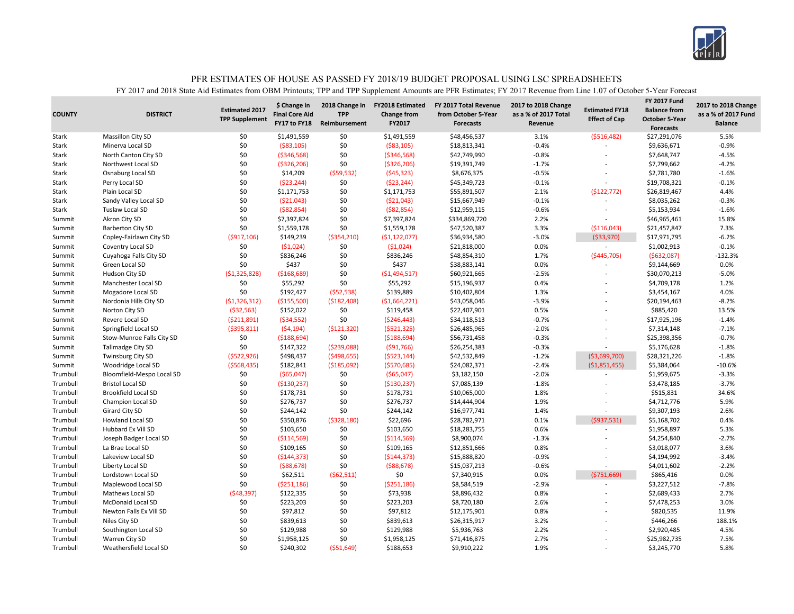

| <b>COUNTY</b> | <b>DISTRICT</b>            | <b>Estimated 2017</b><br><b>TPP Supplement</b> | \$ Change in<br><b>Final Core Aid</b><br>FY17 to FY18 | 2018 Change in<br><b>TPP</b><br>Reimbursement | <b>FY2018 Estimated</b><br>Change from<br>FY2017 | FY 2017 Total Revenue<br>from October 5-Year<br><b>Forecasts</b> | 2017 to 2018 Change<br>as a % of 2017 Total<br>Revenue | <b>Estimated FY18</b><br><b>Effect of Cap</b> | <b>FY 2017 Fund</b><br><b>Balance from</b><br><b>October 5-Year</b><br><b>Forecasts</b> | 2017 to 2018 Change<br>as a % of 2017 Fund<br><b>Balance</b> |
|---------------|----------------------------|------------------------------------------------|-------------------------------------------------------|-----------------------------------------------|--------------------------------------------------|------------------------------------------------------------------|--------------------------------------------------------|-----------------------------------------------|-----------------------------------------------------------------------------------------|--------------------------------------------------------------|
| Stark         | <b>Massillon City SD</b>   | \$0                                            | \$1,491,559                                           | \$0                                           | \$1,491,559                                      | \$48,456,537                                                     | 3.1%                                                   | ( \$516,482)                                  | \$27,291,076                                                                            | 5.5%                                                         |
| Stark         | Minerva Local SD           | \$0                                            | ( \$83, 105)                                          | \$0                                           | ( \$83,105)                                      | \$18,813,341                                                     | $-0.4%$                                                | $\overline{a}$                                | \$9,636,671                                                                             | $-0.9%$                                                      |
| Stark         | North Canton City SD       | \$0                                            | ( \$346, 568)                                         | \$0                                           | ( \$346, 568)                                    | \$42,749,990                                                     | $-0.8%$                                                | $\overline{a}$                                | \$7,648,747                                                                             | $-4.5%$                                                      |
| Stark         | Northwest Local SD         | \$0                                            | ( \$326, 206)                                         | \$0                                           | ( \$326, 206)                                    | \$19,391,749                                                     | $-1.7%$                                                | $\overline{a}$                                | \$7,799,662                                                                             | $-4.2%$                                                      |
| Stark         | Osnaburg Local SD          | \$0                                            | \$14,209                                              | (559, 532)                                    | (545, 323)                                       | \$8,676,375                                                      | $-0.5%$                                                | $\overline{a}$                                | \$2,781,780                                                                             | $-1.6%$                                                      |
| Stark         | Perry Local SD             | \$0                                            | (523, 244)                                            | \$0                                           | (523, 244)                                       | \$45,349,723                                                     | $-0.1%$                                                | L,                                            | \$19,708,321                                                                            | $-0.1%$                                                      |
| <b>Stark</b>  | Plain Local SD             | \$0                                            | \$1,171,753                                           | \$0                                           | \$1,171,753                                      | \$55,891,507                                                     | 2.1%                                                   | (5122, 772)                                   | \$26,819,467                                                                            | 4.4%                                                         |
| Stark         | Sandy Valley Local SD      | \$0                                            | ( \$21,043)                                           | \$0                                           | ( \$21,043)                                      | \$15,667,949                                                     | $-0.1%$                                                | ۰                                             | \$8,035,262                                                                             | $-0.3%$                                                      |
| Stark         | Tuslaw Local SD            | \$0                                            | ( \$82, 854)                                          | \$0                                           | ( \$82, 854)                                     | \$12,959,115                                                     | $-0.6%$                                                | $\overline{\phantom{a}}$                      | \$5,153,934                                                                             | $-1.6%$                                                      |
| Summit        | Akron City SD              | \$0                                            | \$7,397,824                                           | \$0                                           | \$7,397,824                                      | \$334,869,720                                                    | 2.2%                                                   | $\overline{a}$                                | \$46,965,461                                                                            | 15.8%                                                        |
| Summit        | <b>Barberton City SD</b>   | \$0                                            | \$1,559,178                                           | \$0                                           | \$1,559,178                                      | \$47,520,387                                                     | 3.3%                                                   | ( \$116,043)                                  | \$21,457,847                                                                            | 7.3%                                                         |
| Summit        | Copley-Fairlawn City SD    | ( \$917, 106)                                  | \$149,239                                             | ( \$354, 210)                                 | (51, 122, 077)                                   | \$36,934,580                                                     | $-3.0%$                                                | (533,970)                                     | \$17,971,795                                                                            | $-6.2%$                                                      |
| Summit        | Coventry Local SD          | \$0                                            | (51,024)                                              | \$0                                           | (51,024)                                         | \$21,818,000                                                     | 0.0%                                                   | $\sim$                                        | \$1,002,913                                                                             | $-0.1%$                                                      |
| Summit        | Cuyahoga Falls City SD     | \$0                                            | \$836,246                                             | \$0                                           | \$836,246                                        | \$48,854,310                                                     | 1.7%                                                   | ( \$445,705)                                  | (5632,087)                                                                              | $-132.3%$                                                    |
| Summit        | Green Local SD             | \$0                                            | \$437                                                 | \$0                                           | \$437                                            | \$38,883,141                                                     | 0.0%                                                   |                                               | \$9,144,669                                                                             | 0.0%                                                         |
| Summit        | Hudson City SD             | (51, 325, 828)                                 | ( \$168, 689)                                         | \$0                                           | ( \$1,494,517)                                   | \$60,921,665                                                     | $-2.5%$                                                | L,                                            | \$30,070,213                                                                            | $-5.0%$                                                      |
| Summit        | Manchester Local SD        | \$0                                            | \$55,292                                              | \$0                                           | \$55,292                                         | \$15,196,937                                                     | 0.4%                                                   | $\overline{\phantom{a}}$                      | \$4,709,178                                                                             | 1.2%                                                         |
| Summit        | Mogadore Local SD          | \$0                                            | \$192,427                                             | (552, 538)                                    | \$139,889                                        | \$10,402,804                                                     | 1.3%                                                   |                                               | \$3,454,167                                                                             | 4.0%                                                         |
| Summit        | Nordonia Hills City SD     | (51, 326, 312)                                 | ( \$155,500)                                          | ( \$182,408)                                  | ( \$1,664,221)                                   | \$43,058,046                                                     | $-3.9%$                                                | ÷                                             | \$20,194,463                                                                            | $-8.2%$                                                      |
| Summit        | Norton City SD             | ( \$32, 563)                                   | \$152,022                                             | \$0                                           | \$119,458                                        | \$22,407,901                                                     | 0.5%                                                   |                                               | \$885,420                                                                               | 13.5%                                                        |
| Summit        | Revere Local SD            | (5211,891)                                     | (534, 552)                                            | \$0                                           | ( \$246, 443)                                    | \$34,118,513                                                     | $-0.7%$                                                | $\overline{a}$                                | \$17,925,196                                                                            | $-1.4%$                                                      |
| Summit        | Springfield Local SD       | ( \$395, 811)                                  | (54, 194)                                             | ( \$121, 320)                                 | ( \$521, 325)                                    | \$26,485,965                                                     | $-2.0%$                                                |                                               | \$7,314,148                                                                             | $-7.1%$                                                      |
| Summit        | Stow-Munroe Falls City SD  | \$0                                            | ( \$188, 694)                                         | \$0                                           | ( \$188,694)                                     | \$56,731,458                                                     | $-0.3%$                                                | ÷                                             | \$25,398,356                                                                            | $-0.7%$                                                      |
| Summit        | <b>Tallmadge City SD</b>   | \$0                                            | \$147,322                                             | (5239,088)                                    | ( \$91,766)                                      | \$26,254,383                                                     | $-0.3%$                                                | $\overline{a}$                                | \$5,176,628                                                                             | $-1.8%$                                                      |
| Summit        | <b>Twinsburg City SD</b>   | ( \$522, 926)                                  | \$498,437                                             | ( \$498, 655)                                 | ( \$523, 144)                                    | \$42,532,849                                                     | $-1.2%$                                                | ( \$3,699,700)                                | \$28,321,226                                                                            | $-1.8%$                                                      |
| Summit        | Woodridge Local SD         | ( \$568,435)                                   | \$182,841                                             | ( \$185,092)                                  | ( \$570, 685)                                    | \$24,082,371                                                     | $-2.4%$                                                | (51,851,455)                                  | \$5,384,064                                                                             | $-10.6%$                                                     |
| Trumbull      | Bloomfield-Mespo Local SD  | \$0                                            | ( \$65,047)                                           | \$0                                           | ( \$65,047)                                      | \$3,182,150                                                      | $-2.0%$                                                | $\overline{a}$                                | \$1,959,675                                                                             | $-3.3%$                                                      |
| Trumbull      | <b>Bristol Local SD</b>    | \$0                                            | ( \$130, 237)                                         | \$0                                           | ( \$130, 237)                                    | \$7,085,139                                                      | $-1.8%$                                                |                                               | \$3,478,185                                                                             | $-3.7%$                                                      |
| Trumbull      | <b>Brookfield Local SD</b> | \$0                                            | \$178,731                                             | \$0                                           | \$178,731                                        | \$10,065,000                                                     | 1.8%                                                   |                                               | \$515,831                                                                               | 34.6%                                                        |
| Trumbull      | Champion Local SD          | \$0                                            | \$276,737                                             | \$0                                           | \$276,737                                        | \$14,444,904                                                     | 1.9%                                                   |                                               | \$4,712,776                                                                             | 5.9%                                                         |
| Trumbull      | Girard City SD             | \$0                                            | \$244,142                                             | \$0                                           | \$244,142                                        | \$16,977,741                                                     | 1.4%                                                   | ۰                                             | \$9,307,193                                                                             | 2.6%                                                         |
| Trumbull      | Howland Local SD           | \$0                                            | \$350,876                                             | ( \$328, 180)                                 | \$22,696                                         | \$28,782,971                                                     | 0.1%                                                   | (5937,531)                                    | \$5,168,702                                                                             | 0.4%                                                         |
| Trumbull      | Hubbard Ex Vill SD         | \$0                                            | \$103,650                                             | \$0                                           | \$103,650                                        | \$18,283,755                                                     | 0.6%                                                   | $\sim$                                        | \$1,958,897                                                                             | 5.3%                                                         |
| Trumbull      | Joseph Badger Local SD     | \$0                                            | ( \$114, 569)                                         | \$0                                           | ( \$114, 569)                                    | \$8,900,074                                                      | $-1.3%$                                                |                                               | \$4,254,840                                                                             | $-2.7%$                                                      |
| Trumbull      | La Brae Local SD           | \$0                                            | \$109,165                                             | \$0                                           | \$109,165                                        | \$12,851,666                                                     | 0.8%                                                   | $\overline{a}$                                | \$3,018,077                                                                             | 3.6%                                                         |
| Trumbull      | Lakeview Local SD          | \$0                                            | ( \$144, 373)                                         | \$0                                           | ( \$144, 373)                                    | \$15,888,820                                                     | $-0.9%$                                                |                                               | \$4,194,992                                                                             | $-3.4%$                                                      |
| Trumbull      | Liberty Local SD           | \$0                                            | ( \$88, 678)                                          | \$0                                           | ( \$88, 678)                                     | \$15,037,213                                                     | $-0.6%$                                                | ۰                                             | \$4,011,602                                                                             | $-2.2%$                                                      |
| Trumbull      | Lordstown Local SD         | \$0                                            | \$62,511                                              | ( \$62, 511)                                  | \$0                                              | \$7,340,915                                                      | 0.0%                                                   | ( \$751, 669)                                 | \$865,416                                                                               | 0.0%                                                         |
| Trumbull      | Maplewood Local SD         | \$0                                            | ( \$251, 186)                                         | \$0                                           | ( \$251, 186)                                    | \$8,584,519                                                      | $-2.9%$                                                | ۰                                             | \$3,227,512                                                                             | $-7.8%$                                                      |
| Trumbull      | Mathews Local SD           | (548, 397)                                     | \$122,335                                             | \$0                                           | \$73,938                                         | \$8,896,432                                                      | 0.8%                                                   |                                               | \$2,689,433                                                                             | 2.7%                                                         |
| Trumbull      | <b>McDonald Local SD</b>   | \$0                                            | \$223,203                                             | \$0                                           | \$223,203                                        | \$8,720,180                                                      | 2.6%                                                   | ÷                                             | \$7,478,253                                                                             | 3.0%                                                         |
| Trumbull      | Newton Falls Ex Vill SD    | \$0                                            | \$97,812                                              | \$0                                           | \$97,812                                         | \$12,175,901                                                     | 0.8%                                                   |                                               | \$820,535                                                                               | 11.9%                                                        |
| Trumbull      | Niles City SD              | \$0                                            | \$839,613                                             | \$0                                           | \$839,613                                        | \$26,315,917                                                     | 3.2%                                                   |                                               | \$446,266                                                                               | 188.1%                                                       |
| Trumbull      | Southington Local SD       | \$0                                            | \$129,988                                             | \$0                                           | \$129,988                                        | \$5,936,763                                                      | 2.2%                                                   |                                               | \$2,920,485                                                                             | 4.5%                                                         |
| Trumbull      | Warren City SD             | \$0                                            | \$1,958,125                                           | \$0                                           | \$1,958,125                                      | \$71,416,875                                                     | 2.7%                                                   |                                               | \$25,982,735                                                                            | 7.5%                                                         |
| Trumbull      | Weathersfield Local SD     | \$0                                            | \$240,302                                             | (551, 649)                                    | \$188,653                                        | \$9,910,222                                                      | 1.9%                                                   |                                               | \$3,245,770                                                                             | 5.8%                                                         |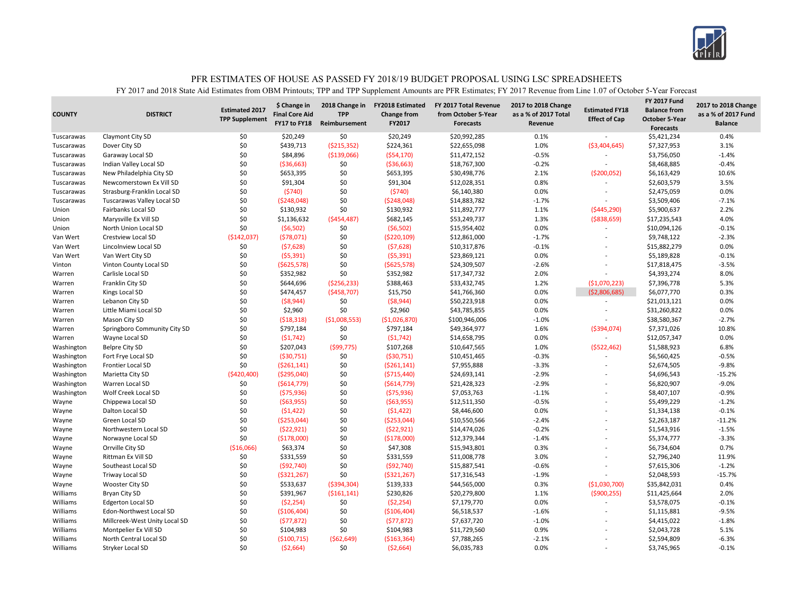

| <b>TPP Supplement</b><br><b>Effect of Cap</b><br><b>October 5-Year</b><br>FY17 to FY18<br>FY2017<br>Reimbursement<br>Revenue<br><b>Forecasts</b><br><b>Forecasts</b><br>\$20,249<br>0.1%<br>Claymont City SD<br>\$0<br>\$20,249<br>\$0<br>\$20,992,285<br>\$5,421,234<br>Tuscarawas<br>\$0<br>\$439,713<br>\$224,361<br>1.0%<br>\$7,327,953<br>( \$215, 352)<br>\$22,655,098<br>( \$3,404,645)<br>Tuscarawas<br>Dover City SD<br>\$0<br>( \$139,066)<br>( \$54,170)<br>$-0.5%$<br>\$84,896<br>\$11,472,152<br>\$3,756,050<br>Tuscarawas<br>Garaway Local SD<br>\$0<br>( \$36, 663)<br>\$0<br>( \$36, 663)<br>\$18,767,300<br>$-0.2%$<br>\$8,468,885<br>Tuscarawas<br>Indian Valley Local SD | <b>Balance</b><br>0.4%<br>3.1%<br>$-1.4%$<br>$-0.4%$<br>10.6%<br>3.5%<br>0.0%<br>$-7.1%$<br>2.2% |
|---------------------------------------------------------------------------------------------------------------------------------------------------------------------------------------------------------------------------------------------------------------------------------------------------------------------------------------------------------------------------------------------------------------------------------------------------------------------------------------------------------------------------------------------------------------------------------------------------------------------------------------------------------------------------------------------|--------------------------------------------------------------------------------------------------|
|                                                                                                                                                                                                                                                                                                                                                                                                                                                                                                                                                                                                                                                                                             |                                                                                                  |
|                                                                                                                                                                                                                                                                                                                                                                                                                                                                                                                                                                                                                                                                                             |                                                                                                  |
|                                                                                                                                                                                                                                                                                                                                                                                                                                                                                                                                                                                                                                                                                             |                                                                                                  |
|                                                                                                                                                                                                                                                                                                                                                                                                                                                                                                                                                                                                                                                                                             |                                                                                                  |
|                                                                                                                                                                                                                                                                                                                                                                                                                                                                                                                                                                                                                                                                                             |                                                                                                  |
| \$0<br>\$0<br>\$653,395<br>\$653,395<br>\$30,498,776<br>2.1%<br>( \$200,052)<br>Tuscarawas<br>New Philadelphia City SD<br>\$6,163,429                                                                                                                                                                                                                                                                                                                                                                                                                                                                                                                                                       |                                                                                                  |
| \$0<br>\$0<br>\$91,304<br>0.8%<br>\$91,304<br>\$12,028,351<br>\$2,603,579<br>Tuscarawas<br>Newcomerstown Ex Vill SD                                                                                                                                                                                                                                                                                                                                                                                                                                                                                                                                                                         |                                                                                                  |
| \$0<br>\$0<br>(5740)<br>(5740)<br>\$6,140,380<br>0.0%<br>\$2,475,059<br>Tuscarawas<br>Strasburg-Franklin Local SD<br>÷                                                                                                                                                                                                                                                                                                                                                                                                                                                                                                                                                                      |                                                                                                  |
| \$0<br>\$0<br>(5248,048)<br>(5248,048)<br>\$14,883,782<br>$-1.7%$<br>\$3,509,406<br>Tuscarawas<br>Tuscarawas Valley Local SD                                                                                                                                                                                                                                                                                                                                                                                                                                                                                                                                                                |                                                                                                  |
| \$0<br>\$130,932<br>\$0<br>\$130,932<br>\$11,892,777<br>Fairbanks Local SD<br>1.1%<br>( \$445, 290)<br>\$5,900,637<br>Union                                                                                                                                                                                                                                                                                                                                                                                                                                                                                                                                                                 |                                                                                                  |
| \$0<br>( \$454, 487)<br>\$682,145<br>\$53,249,737<br>1.3%<br>( \$838, 659)<br>Union<br>Marysville Ex Vill SD<br>\$1,136,632<br>\$17,235,543                                                                                                                                                                                                                                                                                                                                                                                                                                                                                                                                                 | 4.0%                                                                                             |
| \$0<br>(56, 502)<br>0.0%<br>(56, 502)<br>\$0<br>\$15,954,402<br>\$10,094,126<br>Union<br>North Union Local SD<br>$\overline{a}$                                                                                                                                                                                                                                                                                                                                                                                                                                                                                                                                                             | $-0.1%$                                                                                          |
| \$0<br>$-1.7%$<br>Van Wert<br>(\$142,037)<br>(578,071)<br>( \$220, 109)<br>\$12,861,000<br>\$9,748,122<br><b>Crestview Local SD</b><br>$\overline{a}$                                                                                                                                                                                                                                                                                                                                                                                                                                                                                                                                       | $-2.3%$                                                                                          |
| \$0<br>\$0<br>(57, 628)<br>\$10,317,876<br>$-0.1%$<br>Van Wert<br>Lincolnview Local SD<br>(57, 628)<br>\$15,882,279                                                                                                                                                                                                                                                                                                                                                                                                                                                                                                                                                                         | 0.0%                                                                                             |
| \$0<br>\$0<br>(55, 391)<br>(55, 391)<br>\$23,869,121<br>0.0%<br>\$5,189,828<br>Van Wert<br>Van Wert City SD                                                                                                                                                                                                                                                                                                                                                                                                                                                                                                                                                                                 | $-0.1%$                                                                                          |
| \$0<br>\$0<br>\$24,309,507<br>$-2.6%$<br>( \$625, 578)<br>( \$625, 578)<br>\$17,818,475<br>Vinton<br>Vinton County Local SD                                                                                                                                                                                                                                                                                                                                                                                                                                                                                                                                                                 | $-3.5%$                                                                                          |
| \$0<br>\$0<br>\$352,982<br>\$352,982<br>\$17,347,732<br>2.0%<br>Carlisle Local SD<br>\$4,393,274<br>Warren                                                                                                                                                                                                                                                                                                                                                                                                                                                                                                                                                                                  | 8.0%                                                                                             |
| \$0<br>\$644,696<br>( \$256, 233)<br>\$388,463<br>\$33,432,745<br>1.2%<br>(51,070,223)<br>\$7,396,778<br>Warren<br>Franklin City SD                                                                                                                                                                                                                                                                                                                                                                                                                                                                                                                                                         | 5.3%                                                                                             |
| \$0<br>(\$458,707)<br>\$15,750<br>0.0%<br>\$474,457<br>\$41,766,360<br>(52,806,685)<br>\$6,077,770<br>Kings Local SD<br>Warren                                                                                                                                                                                                                                                                                                                                                                                                                                                                                                                                                              | 0.3%                                                                                             |
| \$0<br>\$0<br>( \$8, 944)<br>\$50,223,918<br>0.0%<br>Lebanon City SD<br>(58, 944)<br>\$21,013,121<br>Warren                                                                                                                                                                                                                                                                                                                                                                                                                                                                                                                                                                                 | 0.0%                                                                                             |
| \$0<br>\$0<br>\$2,960<br>\$2,960<br>\$43,785,855<br>0.0%<br>Little Miami Local SD<br>\$31,260,822<br>Warren                                                                                                                                                                                                                                                                                                                                                                                                                                                                                                                                                                                 | 0.0%                                                                                             |
| \$0<br>(518, 318)<br>( \$1,008,553)<br>\$100,946,006<br>$-1.0%$<br>\$38,580,367<br>Warren<br>Mason City SD<br>( \$1,026,870)<br>$\overline{a}$                                                                                                                                                                                                                                                                                                                                                                                                                                                                                                                                              | $-2.7%$                                                                                          |
| \$0<br>\$797,184<br>\$0<br>\$797,184<br>Springboro Community City SD<br>\$49,364,977<br>1.6%<br>( \$394,074)<br>\$7,371,026<br>Warren                                                                                                                                                                                                                                                                                                                                                                                                                                                                                                                                                       | 10.8%                                                                                            |
| \$0<br>\$0<br>(51, 742)<br>\$14,658,795<br>0.0%<br>\$12,057,347<br>Wayne Local SD<br>(51, 742)<br>Warren                                                                                                                                                                                                                                                                                                                                                                                                                                                                                                                                                                                    | 0.0%                                                                                             |
| \$0<br>\$207,043<br>\$107,268<br><b>Belpre City SD</b><br>(599, 775)<br>\$10,647,565<br>1.0%<br>(5522, 462)<br>\$1,588,923<br>Washington                                                                                                                                                                                                                                                                                                                                                                                                                                                                                                                                                    | 6.8%                                                                                             |
| \$0<br>\$0<br>( \$30,751)<br>$-0.3%$<br>Washington<br>( \$30,751)<br>\$10,451,465<br>\$6,560,425<br>Fort Frye Local SD                                                                                                                                                                                                                                                                                                                                                                                                                                                                                                                                                                      | $-0.5%$                                                                                          |
| \$0<br>( \$261,141)<br>\$0<br>\$7,955,888<br>$-3.3%$<br>Washington<br>Frontier Local SD<br>( \$261,141)<br>\$2,674,505                                                                                                                                                                                                                                                                                                                                                                                                                                                                                                                                                                      | $-9.8%$                                                                                          |
| (5420, 400)<br>\$0<br>$-2.9%$<br>( \$295,040]<br>( \$715,440)<br>\$24,693,141<br>\$4,696,543<br>Washington<br>Marietta City SD<br>$\overline{a}$                                                                                                                                                                                                                                                                                                                                                                                                                                                                                                                                            | $-15.2%$                                                                                         |
| \$0<br>$-2.9%$<br>Washington<br>Warren Local SD<br>\$0<br>( \$614, 779)<br>( \$614, 779)<br>\$21,428,323<br>\$6,820,907                                                                                                                                                                                                                                                                                                                                                                                                                                                                                                                                                                     | $-9.0%$                                                                                          |
| \$0<br>Wolf Creek Local SD<br>\$0<br>( \$75, 936)<br>(575, 936)<br>\$7,053,763<br>$-1.1%$<br>Washington<br>\$8,407,107                                                                                                                                                                                                                                                                                                                                                                                                                                                                                                                                                                      | $-0.9%$                                                                                          |
| \$0<br>$-0.5%$<br>\$0<br>( \$63, 955)<br>( \$63, 955)<br>\$12,511,350<br>\$5,499,229<br>Wayne<br>Chippewa Local SD<br>$\overline{a}$                                                                                                                                                                                                                                                                                                                                                                                                                                                                                                                                                        | $-1.2%$                                                                                          |
| \$0<br>\$0<br>\$8,446,600<br>Dalton Local SD<br>(51, 422)<br>(51, 422)<br>0.0%<br>\$1,334,138<br>Wayne                                                                                                                                                                                                                                                                                                                                                                                                                                                                                                                                                                                      | $-0.1%$                                                                                          |
| \$0<br>\$0<br>( \$253,044)<br>(\$253,044)<br>\$10,550,566<br>$-2.4%$<br>Green Local SD<br>\$2,263,187<br>Wayne                                                                                                                                                                                                                                                                                                                                                                                                                                                                                                                                                                              | $-11.2%$                                                                                         |
| \$0<br>\$0<br>(522, 921)<br>(522, 921)<br>\$14,474,026<br>$-0.2%$<br>\$1,543,916<br>Wayne<br>Northwestern Local SD                                                                                                                                                                                                                                                                                                                                                                                                                                                                                                                                                                          | $-1.5%$                                                                                          |
| \$0<br>(\$178,000)<br>\$0<br>$-1.4%$<br>(\$178,000)<br>\$12,379,344<br>\$5,374,777<br>Wayne<br>Norwayne Local SD<br>L,                                                                                                                                                                                                                                                                                                                                                                                                                                                                                                                                                                      | $-3.3%$                                                                                          |
| \$0<br>( \$16,066)<br>\$63,374<br>\$47,308<br>\$15,943,801<br>0.3%<br>Orrville City SD<br>\$6,734,604<br>Wayne                                                                                                                                                                                                                                                                                                                                                                                                                                                                                                                                                                              | 0.7%                                                                                             |
| \$0<br>\$0<br>\$331,559<br>\$331,559<br>\$11,008,778<br>3.0%<br>\$2,796,240<br>Wayne<br>Rittman Ex Vill SD                                                                                                                                                                                                                                                                                                                                                                                                                                                                                                                                                                                  | 11.9%                                                                                            |
| \$0<br>\$0<br>$-0.6%$<br>Southeast Local SD<br>(\$92,740)<br>(592, 740)<br>\$15,887,541<br>\$7,615,306<br>Wayne<br>÷                                                                                                                                                                                                                                                                                                                                                                                                                                                                                                                                                                        | $-1.2%$                                                                                          |
| \$0<br>\$0<br>( \$321, 267)<br>$-1.9%$<br>Triway Local SD<br>( \$321, 267)<br>\$17,316,543<br>\$2,048,593<br>Wayne                                                                                                                                                                                                                                                                                                                                                                                                                                                                                                                                                                          | $-15.7%$                                                                                         |
| \$0<br>\$533,637<br>(5394, 304)<br>\$139,333<br>\$44,565,000<br>0.3%<br>( \$1,030,700)<br>\$35,842,031<br>Wayne<br>Wooster City SD                                                                                                                                                                                                                                                                                                                                                                                                                                                                                                                                                          | 0.4%                                                                                             |
| \$0<br>\$391,967<br>( \$161, 141)<br>\$230,826<br>Williams<br>Bryan City SD<br>\$20,279,800<br>1.1%<br>( \$900, 255)<br>\$11,425,664                                                                                                                                                                                                                                                                                                                                                                                                                                                                                                                                                        | 2.0%                                                                                             |
| \$0<br>(52, 254)<br>\$0<br>(52, 254)<br>\$7,179,770<br>0.0%<br>\$3,578,075<br>Williams<br><b>Edgerton Local SD</b>                                                                                                                                                                                                                                                                                                                                                                                                                                                                                                                                                                          | $-0.1%$                                                                                          |
| \$0<br>\$0<br>(\$106,404)<br>(\$106,404)<br>\$6,518,537<br>$-1.6%$<br>Williams<br>Edon-Northwest Local SD<br>\$1,115,881                                                                                                                                                                                                                                                                                                                                                                                                                                                                                                                                                                    | $-9.5%$                                                                                          |
| \$0<br>\$0<br>\$7,637,720<br>Williams<br>(577, 872)<br>(577, 872)<br>$-1.0%$<br>\$4,415,022<br>Millcreek-West Unity Local SD<br>$\overline{a}$                                                                                                                                                                                                                                                                                                                                                                                                                                                                                                                                              | $-1.8%$                                                                                          |
| \$0<br>\$0<br>\$11,729,560<br>0.9%<br>Williams<br>Montpelier Ex Vill SD<br>\$104,983<br>\$104,983<br>\$2,043,728                                                                                                                                                                                                                                                                                                                                                                                                                                                                                                                                                                            | 5.1%                                                                                             |
| \$0<br>Williams<br>( \$62, 649)<br>( \$163, 364]<br>\$7,788,265<br>$-2.1%$<br>\$2,594,809<br>North Central Local SD<br>( \$100, 715)                                                                                                                                                                                                                                                                                                                                                                                                                                                                                                                                                        | $-6.3%$                                                                                          |
| \$0<br>\$0<br>\$6.035.783<br>0.0%<br>Williams<br>(52,664)<br>( \$2,664)<br>\$3,745,965<br>Stryker Local SD<br>$\overline{a}$                                                                                                                                                                                                                                                                                                                                                                                                                                                                                                                                                                | $-0.1%$                                                                                          |